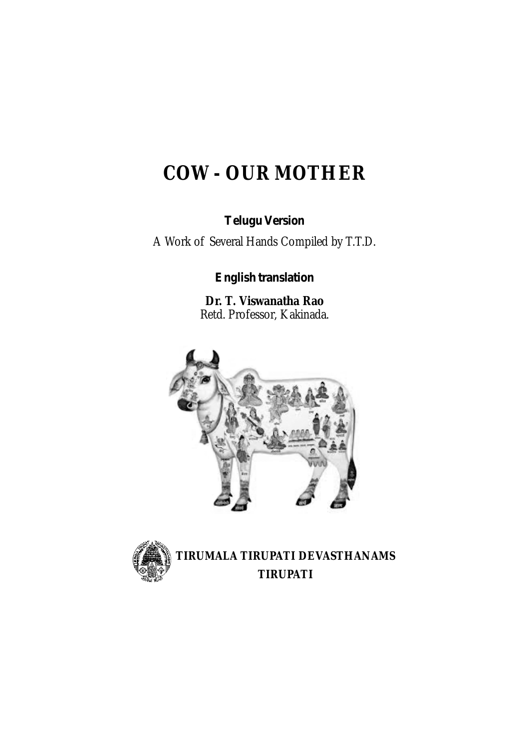# **COW - OUR MOTHER**

*Telugu Version*

A Work of Several Hands Compiled by T.T.D.

*English translation*

**Dr. T. Viswanatha Rao** Retd. Professor, Kakinada.





**TIRUMALA TIRUPATI DEVASTHANAMS TIRUPATI**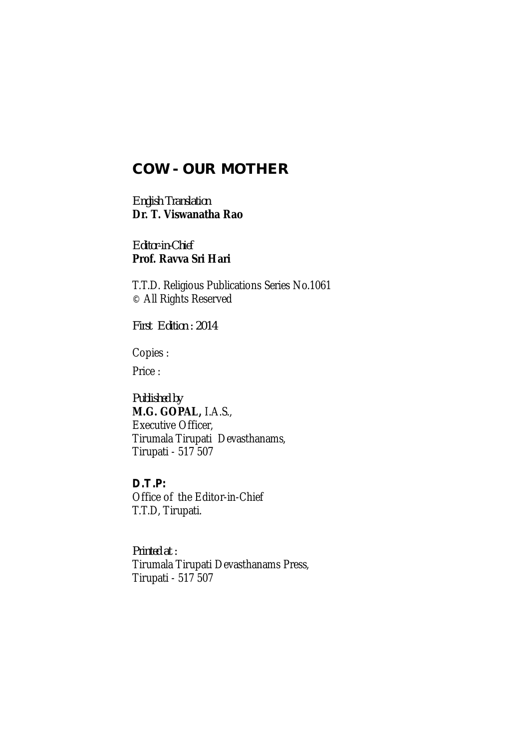## **COW - OUR MOTHER**

*English Translation* **Dr. T. Viswanatha Rao**

*Editor-in-Chief* **Prof. Ravva Sri Hari**

T.T.D. Religious Publications Series No.1061 © All Rights Reserved

*First Edition : 2014*

Copies :

Price :

*Published by* **M.G. GOPAL,** I.A.S., Executive Officer, Tirumala Tirupati Devasthanams, Tirupati - 517 507

*D.T.P:* Office of the Editor-in-Chief T.T.D, Tirupati.

*Printed at :* Tirumala Tirupati Devasthanams Press, Tirupati - 517 507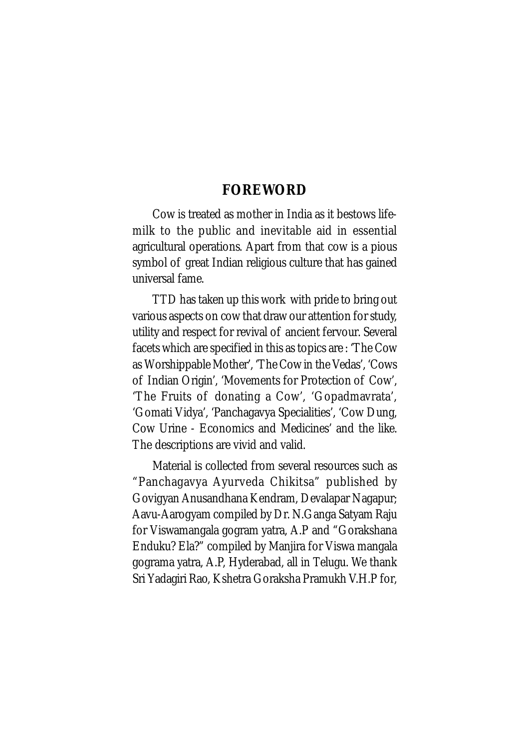## **FOREWORD**

Cow is treated as mother in India as it bestows lifemilk to the public and inevitable aid in essential agricultural operations. Apart from that cow is a pious symbol of great Indian religious culture that has gained universal fame.

TTD has taken up this work with pride to bring out various aspects on cow that draw our attention for study, utility and respect for revival of ancient fervour. Several facets which are specified in this as topics are : 'The Cow as Worshippable Mother', 'The Cow in the Vedas', 'Cows of Indian Origin', 'Movements for Protection of Cow', 'The Fruits of donating a Cow', 'Gopadmavrata', 'Gomati Vidya', 'Panchagavya Specialities', 'Cow Dung, Cow Urine - Economics and Medicines' and the like. The descriptions are vivid and valid.

Material is collected from several resources such as "Panchagavya Ayurveda Chikitsa" published by Govigyan Anusandhana Kendram, Devalapar Nagapur; Aavu-Aarogyam compiled by Dr. N.Ganga Satyam Raju for Viswamangala gogram yatra, A.P and "Gorakshana Enduku? Ela?" compiled by Manjira for Viswa mangala gograma yatra, A.P, Hyderabad, all in Telugu. We thank Sri Yadagiri Rao, Kshetra Goraksha Pramukh V.H.P for,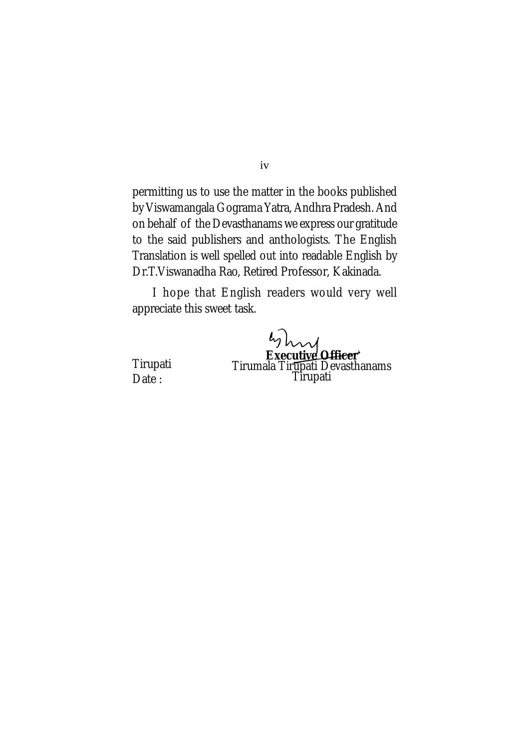permitting us to use the matter in the books published by Viswamangala Gograma Yatra, Andhra Pradesh. And on behalf of the Devasthanams we express our gratitude to the said publishers and anthologists. The English Translation is well spelled out into readable English by Dr.T.Viswanadha Rao, Retired Professor, Kakinada.

I hope that English readers would very well appreciate this sweet task.

> **Executive Officer** Tirumala Tir<u>u</u>pati Devasthanams Tirupati

Tirupati Date:

iv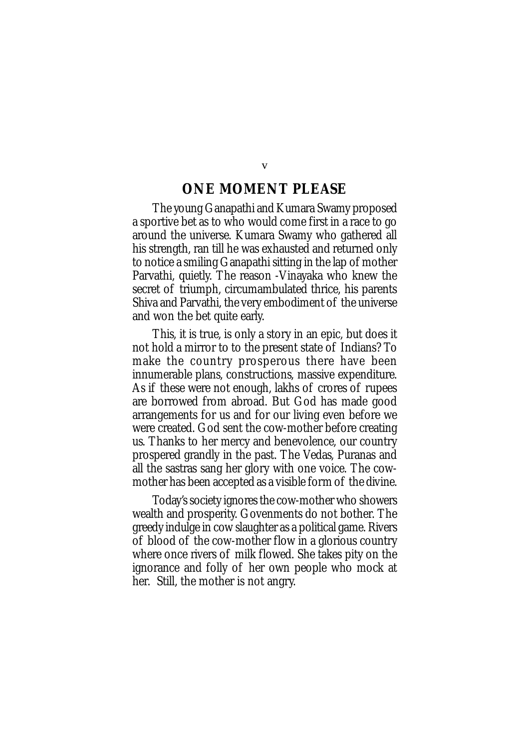## **ONE MOMENT PLEASE**

The young Ganapathi and Kumara Swamy proposed a sportive bet as to who would come first in a race to go around the universe. Kumara Swamy who gathered all his strength, ran till he was exhausted and returned only to notice a smiling Ganapathi sitting in the lap of mother Parvathi, quietly. The reason -Vinayaka who knew the secret of triumph, circumambulated thrice, his parents Shiva and Parvathi, the very embodiment of the universe and won the bet quite early.

This, it is true, is only a story in an epic, but does it not hold a mirror to to the present state of Indians? To make the country prosperous there have been innumerable plans, constructions, massive expenditure. As if these were not enough, lakhs of crores of rupees are borrowed from abroad. But God has made good arrangements for us and for our living even before we were created. God sent the cow-mother before creating us. Thanks to her mercy and benevolence, our country prospered grandly in the past. The Vedas, Puranas and all the sastras sang her glory with one voice. The cowmother has been accepted as a visible form of the divine.

Today's society ignores the cow-mother who showers wealth and prosperity. Govenments do not bother. The greedy indulge in cow slaughter as a political game. Rivers of blood of the cow-mother flow in a glorious country where once rivers of milk flowed. She takes pity on the ignorance and folly of her own people who mock at her. Still, the mother is not angry.

v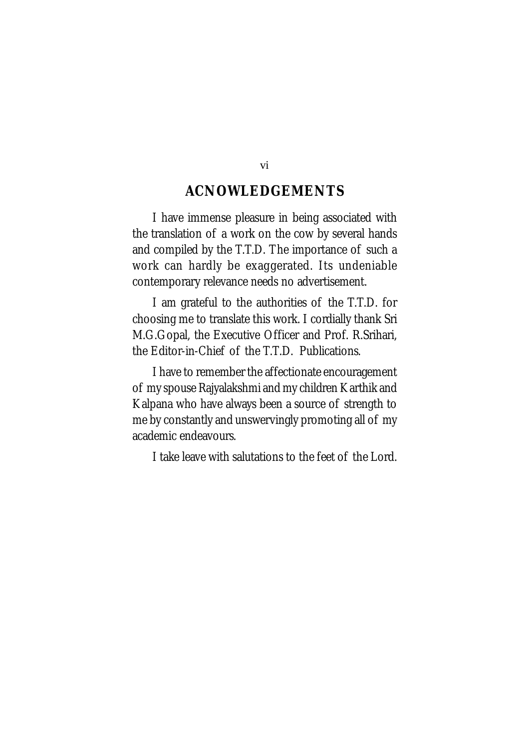## **ACNOWLEDGEMENTS**

I have immense pleasure in being associated with the translation of a work on the cow by several hands and compiled by the T.T.D. The importance of such a work can hardly be exaggerated. Its undeniable contemporary relevance needs no advertisement.

I am grateful to the authorities of the T.T.D. for choosing me to translate this work. I cordially thank Sri M.G.Gopal, the Executive Officer and Prof. R.Srihari, the Editor-in-Chief of the T.T.D. Publications.

I have to remember the affectionate encouragement of my spouse Rajyalakshmi and my children Karthik and Kalpana who have always been a source of strength to me by constantly and unswervingly promoting all of my academic endeavours.

I take leave with salutations to the feet of the Lord.

vi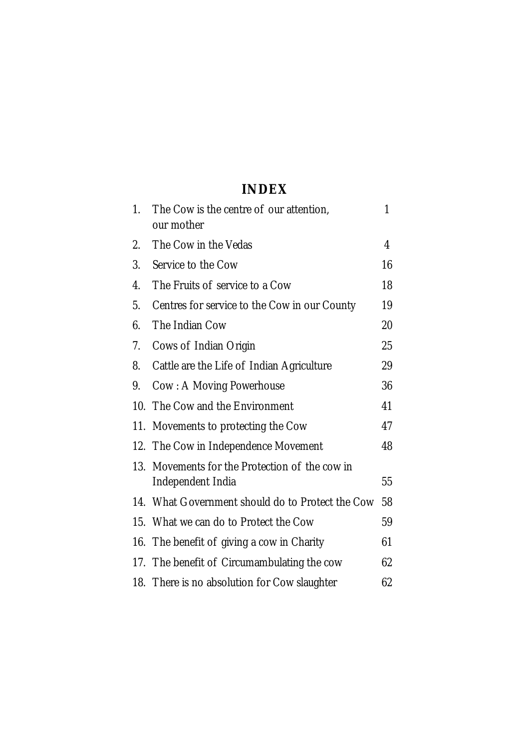## **INDEX**

| $\mathbf{1}$ . | The Cow is the centre of our attention,<br>our mother           | 1  |
|----------------|-----------------------------------------------------------------|----|
| 2.             | The Cow in the Vedas                                            | 4  |
| 3.             | Service to the Cow                                              | 16 |
| 4.             | The Fruits of service to a Cow                                  | 18 |
| 5.             | Centres for service to the Cow in our County                    | 19 |
| 6.             | The Indian Cow                                                  | 20 |
| 7.             | Cows of Indian Origin                                           | 25 |
| 8.             | Cattle are the Life of Indian Agriculture                       | 29 |
| 9.             | Cow: A Moving Powerhouse                                        | 36 |
| 10.            | The Cow and the Environment                                     | 41 |
| 11.            | Movements to protecting the Cow                                 | 47 |
|                | 12. The Cow in Independence Movement                            | 48 |
| 13.            | Movements for the Protection of the cow in<br>Independent India | 55 |
|                | 14. What Government should do to Protect the Cow                | 58 |
|                | 15. What we can do to Protect the Cow                           | 59 |
|                | 16. The benefit of giving a cow in Charity                      | 61 |
| 17.            | The benefit of Circumambulating the cow                         | 62 |
|                | 18. There is no absolution for Cow slaughter                    | 62 |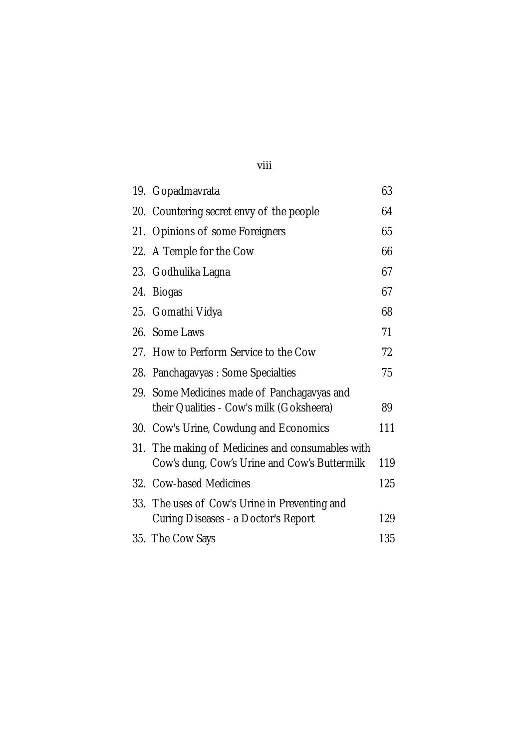|     | 19. Gopadmavrata                                                                                 | 63  |  |
|-----|--------------------------------------------------------------------------------------------------|-----|--|
|     | 20. Countering secret envy of the people                                                         | 64  |  |
|     | 21. Opinions of some Foreigners                                                                  | 65  |  |
|     | 22. A Temple for the Cow                                                                         | 66  |  |
|     | 23. Godhulika Lagna                                                                              | 67  |  |
| 24. | <b>Biogas</b>                                                                                    | 67  |  |
|     | 25. Gomathi Vidya                                                                                | 68  |  |
|     | 26. Some Laws                                                                                    | 71  |  |
|     | 27. How to Perform Service to the Cow                                                            | 72  |  |
|     | 28. Panchagavyas: Some Specialties                                                               | 75  |  |
|     | 29. Some Medicines made of Panchagavyas and<br>their Qualities - Cow's milk (Goksheera)          | 89  |  |
|     | 30. Cow's Urine, Cowdung and Economics                                                           | 111 |  |
|     | 31. The making of Medicines and consumables with<br>Cow's dung, Cow's Urine and Cow's Buttermilk | 119 |  |
|     | 32. Cow-based Medicines                                                                          | 125 |  |
|     | 33. The uses of Cow's Urine in Preventing and<br>Curing Diseases - a Doctor's Report             | 129 |  |
|     | 35. The Cow Says                                                                                 | 135 |  |

viii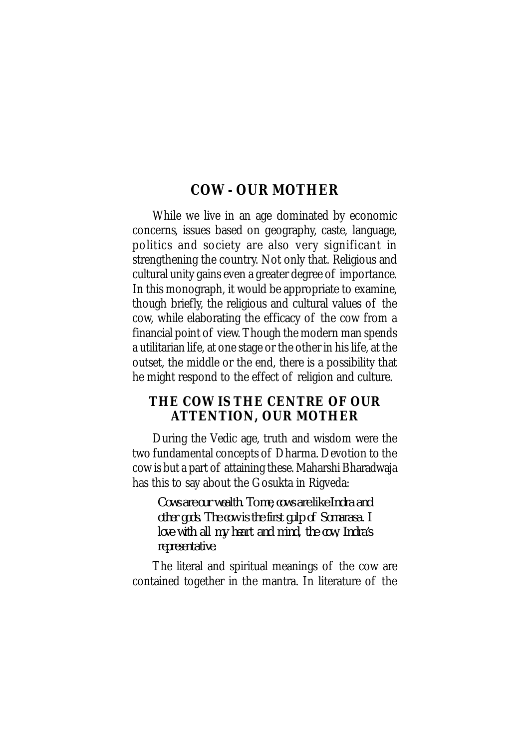## **COW - OUR MOTHER**

While we live in an age dominated by economic concerns, issues based on geography, caste, language, politics and society are also very significant in strengthening the country. Not only that. Religious and cultural unity gains even a greater degree of importance. In this monograph, it would be appropriate to examine, though briefly, the religious and cultural values of the cow, while elaborating the efficacy of the cow from a financial point of view. Though the modern man spends a utilitarian life, at one stage or the other in his life, at the outset, the middle or the end, there is a possibility that he might respond to the effect of religion and culture.

## **THE COW IS THE CENTRE OF OUR ATTENTION, OUR MOTHER**

During the Vedic age, truth and wisdom were the two fundamental concepts of Dharma. Devotion to the cow is but a part of attaining these. Maharshi Bharadwaja has this to say about the Gosukta in Rigveda:

*Cows are our wealth. To me, cows are like Indra and other gods. The cow is the first gulp of Somarasa. I love with all my heart and mind, the cow, Indra's representative.*

The literal and spiritual meanings of the cow are contained together in the mantra. In literature of the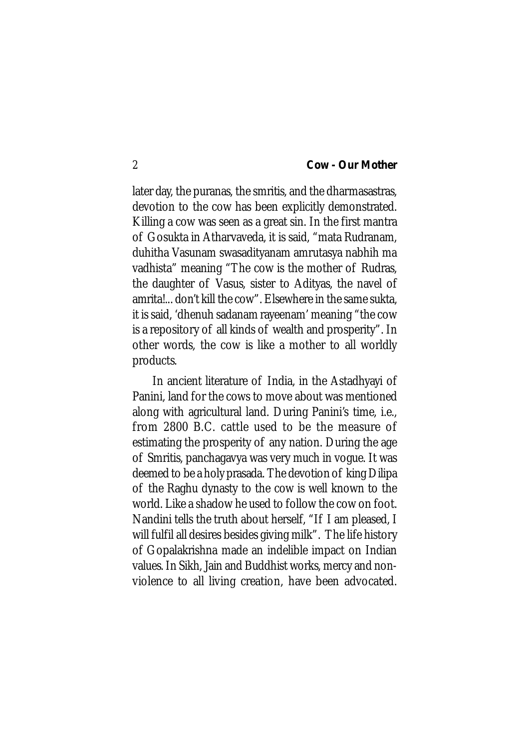later day, the puranas, the smritis, and the dharmasastras, devotion to the cow has been explicitly demonstrated. Killing a cow was seen as a great sin. In the first mantra of Gosukta in Atharvaveda, it is said, "mata Rudranam, duhitha Vasunam swasadityanam amrutasya nabhih ma vadhista" meaning "The cow is the mother of Rudras, the daughter of Vasus, sister to Adityas, the navel of amrita!... don't kill the cow". Elsewhere in the same sukta, it is said, 'dhenuh sadanam rayeenam' meaning "the cow is a repository of all kinds of wealth and prosperity". In other words, the cow is like a mother to all worldly products.

In ancient literature of India, in the Astadhyayi of Panini, land for the cows to move about was mentioned along with agricultural land. During Panini's time, i.e., from 2800 B.C. cattle used to be the measure of estimating the prosperity of any nation. During the age of Smritis, panchagavya was very much in vogue. It was deemed to be a holy prasada. The devotion of king Dilipa of the Raghu dynasty to the cow is well known to the world. Like a shadow he used to follow the cow on foot. Nandini tells the truth about herself, "If I am pleased, I will fulfil all desires besides giving milk". The life history of Gopalakrishna made an indelible impact on Indian values. In Sikh, Jain and Buddhist works, mercy and nonviolence to all living creation, have been advocated.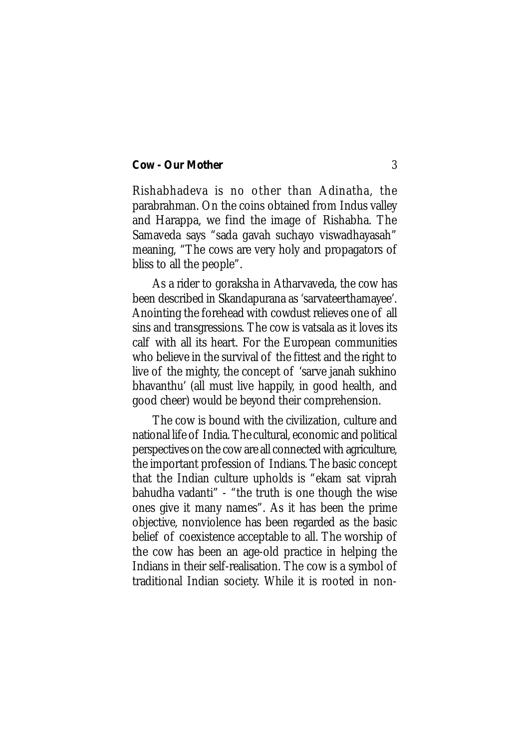Rishabhadeva is no other than Adinatha, the parabrahman. On the coins obtained from Indus valley and Harappa, we find the image of Rishabha. The Samaveda says "sada gavah suchayo viswadhayasah" meaning, "The cows are very holy and propagators of bliss to all the people".

As a rider to goraksha in Atharvaveda, the cow has been described in Skandapurana as 'sarvateerthamayee'. Anointing the forehead with cowdust relieves one of all sins and transgressions. The cow is vatsala as it loves its calf with all its heart. For the European communities who believe in the survival of the fittest and the right to live of the mighty, the concept of 'sarve janah sukhino bhavanthu' (all must live happily, in good health, and good cheer) would be beyond their comprehension.

The cow is bound with the civilization, culture and national life of India. The cultural, economic and political perspectives on the cow are all connected with agriculture, the important profession of Indians. The basic concept that the Indian culture upholds is "ekam sat viprah bahudha vadanti" - "the truth is one though the wise ones give it many names". As it has been the prime objective, nonviolence has been regarded as the basic belief of coexistence acceptable to all. The worship of the cow has been an age-old practice in helping the Indians in their self-realisation. The cow is a symbol of traditional Indian society. While it is rooted in non-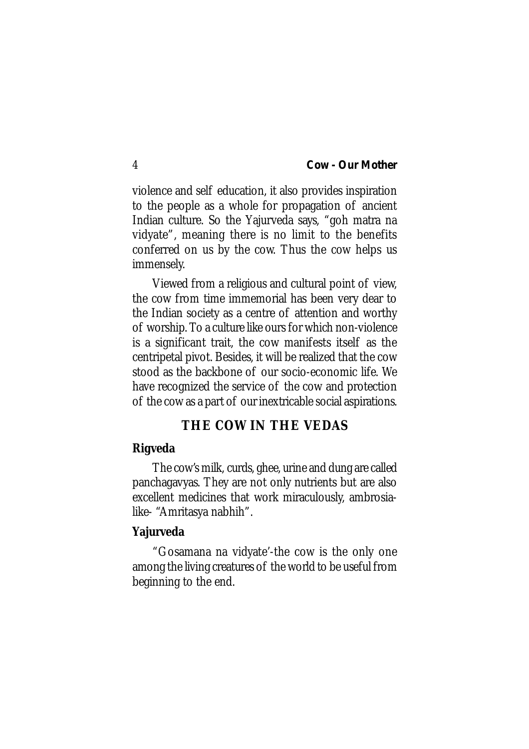violence and self education, it also provides inspiration to the people as a whole for propagation of ancient Indian culture. So the Yajurveda says, "goh matra na vidyate", meaning there is no limit to the benefits conferred on us by the cow. Thus the cow helps us immensely.

Viewed from a religious and cultural point of view, the cow from time immemorial has been very dear to the Indian society as a centre of attention and worthy of worship. To a culture like ours for which non-violence is a significant trait, the cow manifests itself as the centripetal pivot. Besides, it will be realized that the cow stood as the backbone of our socio-economic life. We have recognized the service of the cow and protection of the cow as a part of our inextricable social aspirations.

## **THE COW IN THE VEDAS**

#### **Rigveda**

The cow's milk, curds, ghee, urine and dung are called panchagavyas. They are not only nutrients but are also excellent medicines that work miraculously, ambrosialike- "Amritasya nabhih".

### **Yajurveda**

"Gosamana na vidyate'-the cow is the only one among the living creatures of the world to be useful from beginning to the end.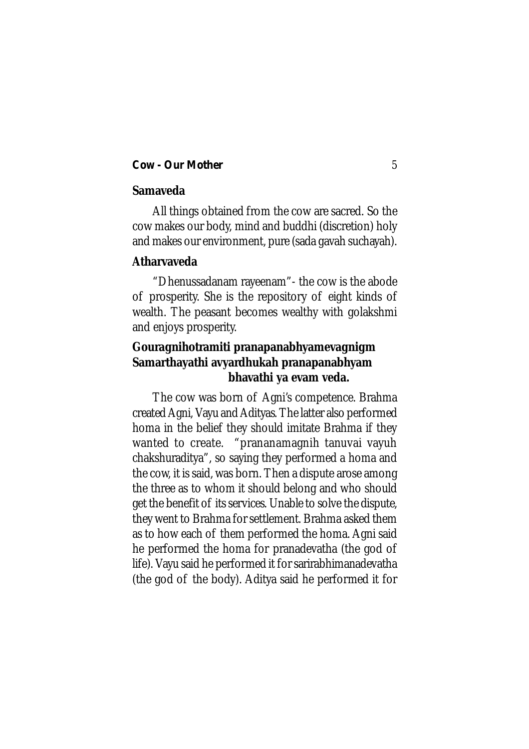### **Samaveda**

All things obtained from the cow are sacred. So the cow makes our body, mind and buddhi (discretion) holy and makes our environment, pure (sada gavah suchayah).

#### **Atharvaveda**

"Dhenussadanam rayeenam"- the cow is the abode of prosperity. She is the repository of eight kinds of wealth. The peasant becomes wealthy with golakshmi and enjoys prosperity.

## **Gouragnihotramiti pranapanabhyamevagnigm Samarthayathi avyardhukah pranapanabhyam bhavathi ya evam veda.**

The cow was born of Agni's competence. Brahma created Agni, Vayu and Adityas. The latter also performed homa in the belief they should imitate Brahma if they wanted to create. "prananamagnih tanuvai vayuh chakshuraditya", so saying they performed a homa and the cow, it is said, was born. Then a dispute arose among the three as to whom it should belong and who should get the benefit of its services. Unable to solve the dispute, they went to Brahma for settlement. Brahma asked them as to how each of them performed the homa. Agni said he performed the homa for pranadevatha (the god of life). Vayu said he performed it for sarirabhimanadevatha (the god of the body). Aditya said he performed it for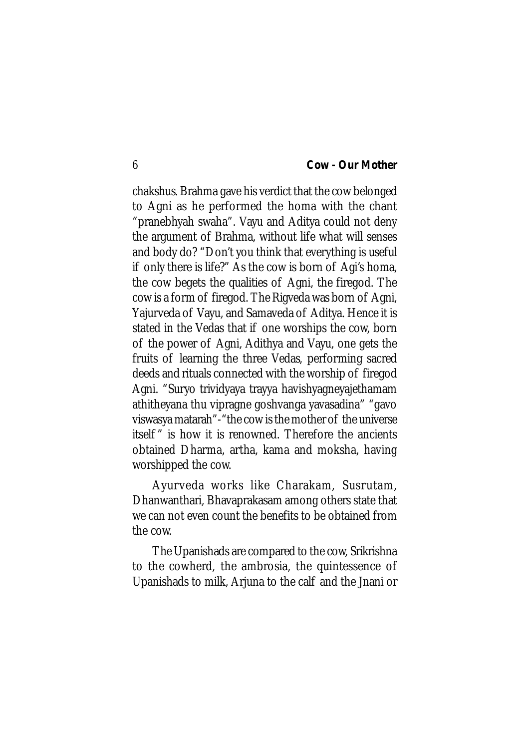chakshus. Brahma gave his verdict that the cow belonged to Agni as he performed the homa with the chant "pranebhyah swaha". Vayu and Aditya could not deny the argument of Brahma, without life what will senses and body do? "Don't you think that everything is useful if only there is life?" As the cow is born of Agi's homa, the cow begets the qualities of Agni, the firegod. The cow is a form of firegod. The Rigveda was born of Agni, Yajurveda of Vayu, and Samaveda of Aditya. Hence it is stated in the Vedas that if one worships the cow, born of the power of Agni, Adithya and Vayu, one gets the fruits of learning the three Vedas, performing sacred deeds and rituals connected with the worship of firegod Agni. "Suryo trividyaya trayya havishyagneyajethamam athitheyana thu vipragne goshvanga yavasadina" "gavo viswasya matarah"-"the cow is the mother of the universe itself " is how it is renowned. Therefore the ancients obtained Dharma, artha, kama and moksha, having worshipped the cow.

Ayurveda works like Charakam, Susrutam, Dhanwanthari, Bhavaprakasam among others state that we can not even count the benefits to be obtained from the cow.

The Upanishads are compared to the cow, Srikrishna to the cowherd, the ambrosia, the quintessence of Upanishads to milk, Arjuna to the calf and the Jnani or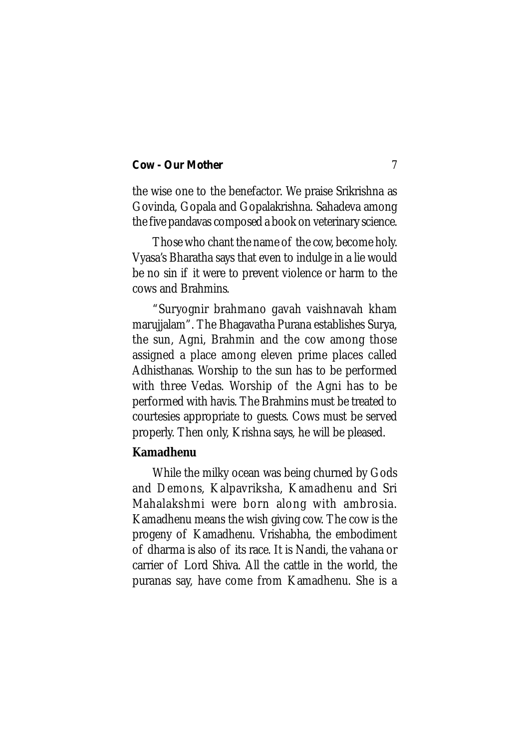the wise one to the benefactor. We praise Srikrishna as Govinda, Gopala and Gopalakrishna. Sahadeva among the five pandavas composed a book on veterinary science.

Those who chant the name of the cow, become holy. Vyasa's Bharatha says that even to indulge in a lie would be no sin if it were to prevent violence or harm to the cows and Brahmins.

"Suryognir brahmano gavah vaishnavah kham marujjalam". The Bhagavatha Purana establishes Surya, the sun, Agni, Brahmin and the cow among those assigned a place among eleven prime places called Adhisthanas. Worship to the sun has to be performed with three Vedas. Worship of the Agni has to be performed with havis. The Brahmins must be treated to courtesies appropriate to guests. Cows must be served properly. Then only, Krishna says, he will be pleased.

### **Kamadhenu**

While the milky ocean was being churned by Gods and Demons, Kalpavriksha, Kamadhenu and Sri Mahalakshmi were born along with ambrosia. Kamadhenu means the wish giving cow. The cow is the progeny of Kamadhenu. Vrishabha, the embodiment of dharma is also of its race. It is Nandi, the vahana or carrier of Lord Shiva. All the cattle in the world, the puranas say, have come from Kamadhenu. She is a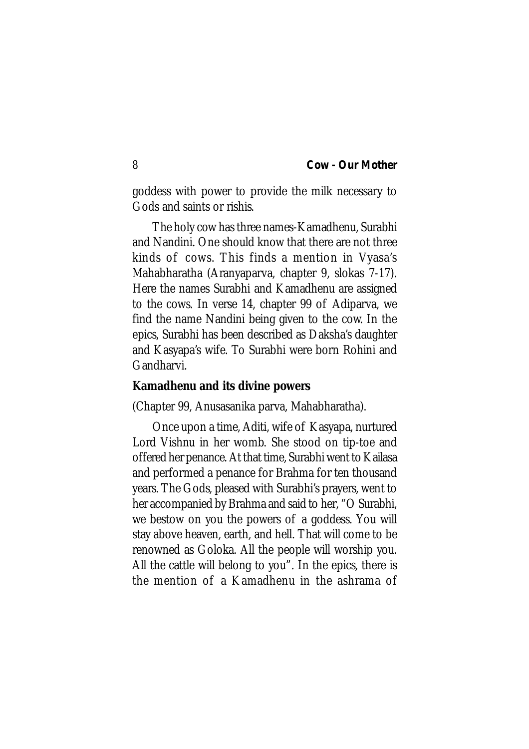goddess with power to provide the milk necessary to Gods and saints or rishis.

The holy cow has three names-Kamadhenu, Surabhi and Nandini. One should know that there are not three kinds of cows. This finds a mention in Vyasa's Mahabharatha (Aranyaparva, chapter 9, slokas 7-17). Here the names Surabhi and Kamadhenu are assigned to the cows. In verse 14, chapter 99 of Adiparva, we find the name Nandini being given to the cow. In the epics, Surabhi has been described as Daksha's daughter and Kasyapa's wife. To Surabhi were born Rohini and Gandharvi.

#### **Kamadhenu and its divine powers**

(Chapter 99, Anusasanika parva, Mahabharatha).

Once upon a time, Aditi, wife of Kasyapa, nurtured Lord Vishnu in her womb. She stood on tip-toe and offered her penance. At that time, Surabhi went to Kailasa and performed a penance for Brahma for ten thousand years. The Gods, pleased with Surabhi's prayers, went to her accompanied by Brahma and said to her, "O Surabhi, we bestow on you the powers of a goddess. You will stay above heaven, earth, and hell. That will come to be renowned as Goloka. All the people will worship you. All the cattle will belong to you". In the epics, there is the mention of a Kamadhenu in the ashrama of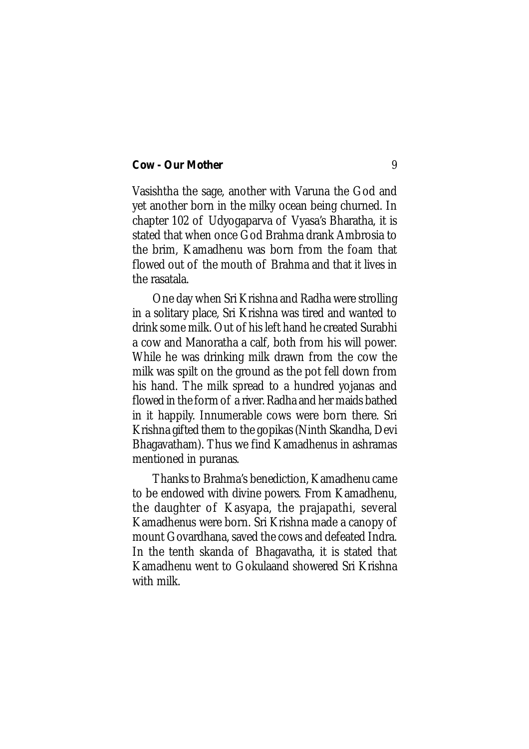Vasishtha the sage, another with Varuna the God and yet another born in the milky ocean being churned. In chapter 102 of Udyogaparva of Vyasa's Bharatha, it is stated that when once God Brahma drank Ambrosia to the brim, Kamadhenu was born from the foam that flowed out of the mouth of Brahma and that it lives in the rasatala.

One day when Sri Krishna and Radha were strolling in a solitary place, Sri Krishna was tired and wanted to drink some milk. Out of his left hand he created Surabhi a cow and Manoratha a calf, both from his will power. While he was drinking milk drawn from the cow the milk was spilt on the ground as the pot fell down from his hand. The milk spread to a hundred yojanas and flowed in the form of a river. Radha and her maids bathed in it happily. Innumerable cows were born there. Sri Krishna gifted them to the gopikas (Ninth Skandha, Devi Bhagavatham). Thus we find Kamadhenus in ashramas mentioned in puranas.

Thanks to Brahma's benediction, Kamadhenu came to be endowed with divine powers. From Kamadhenu, the daughter of Kasyapa, the prajapathi, several Kamadhenus were born. Sri Krishna made a canopy of mount Govardhana, saved the cows and defeated Indra. In the tenth skanda of Bhagavatha, it is stated that Kamadhenu went to Gokulaand showered Sri Krishna with milk.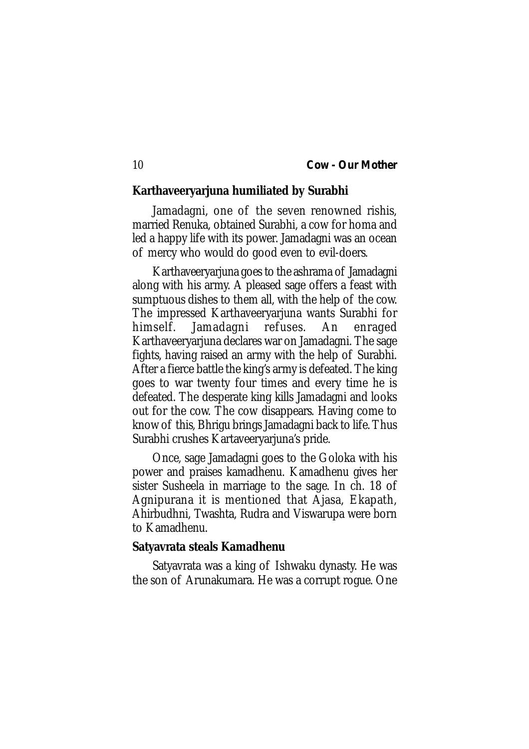#### **Karthaveeryarjuna humiliated by Surabhi**

Jamadagni, one of the seven renowned rishis, married Renuka, obtained Surabhi, a cow for homa and led a happy life with its power. Jamadagni was an ocean of mercy who would do good even to evil-doers.

Karthaveeryarjuna goes to the ashrama of Jamadagni along with his army. A pleased sage offers a feast with sumptuous dishes to them all, with the help of the cow. The impressed Karthaveeryarjuna wants Surabhi for himself. Jamadagni refuses. An enraged Karthaveeryarjuna declares war on Jamadagni. The sage fights, having raised an army with the help of Surabhi. After a fierce battle the king's army is defeated. The king goes to war twenty four times and every time he is defeated. The desperate king kills Jamadagni and looks out for the cow. The cow disappears. Having come to know of this, Bhrigu brings Jamadagni back to life. Thus Surabhi crushes Kartaveeryarjuna's pride.

Once, sage Jamadagni goes to the Goloka with his power and praises kamadhenu. Kamadhenu gives her sister Susheela in marriage to the sage. In ch. 18 of Agnipurana it is mentioned that Ajasa, Ekapath, Ahirbudhni, Twashta, Rudra and Viswarupa were born to Kamadhenu.

#### **Satyavrata steals Kamadhenu**

Satyavrata was a king of Ishwaku dynasty. He was the son of Arunakumara. He was a corrupt rogue. One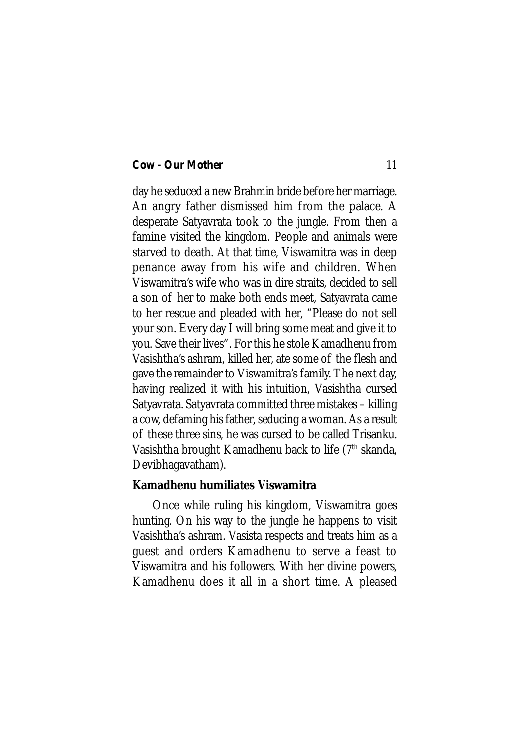day he seduced a new Brahmin bride before her marriage. An angry father dismissed him from the palace. A desperate Satyavrata took to the jungle. From then a famine visited the kingdom. People and animals were starved to death. At that time, Viswamitra was in deep penance away from his wife and children. When Viswamitra's wife who was in dire straits, decided to sell a son of her to make both ends meet, Satyavrata came to her rescue and pleaded with her, "Please do not sell your son. Every day I will bring some meat and give it to you. Save their lives". For this he stole Kamadhenu from Vasishtha's ashram, killed her, ate some of the flesh and gave the remainder to Viswamitra's family. The next day, having realized it with his intuition, Vasishtha cursed Satyavrata. Satyavrata committed three mistakes – killing a cow, defaming his father, seducing a woman. As a result of these three sins, he was cursed to be called Trisanku. Vasishtha brought Kamadhenu back to life (7<sup>th</sup> skanda, Devibhagavatham).

#### **Kamadhenu humiliates Viswamitra**

Once while ruling his kingdom, Viswamitra goes hunting. On his way to the jungle he happens to visit Vasishtha's ashram. Vasista respects and treats him as a guest and orders Kamadhenu to serve a feast to Viswamitra and his followers. With her divine powers, Kamadhenu does it all in a short time. A pleased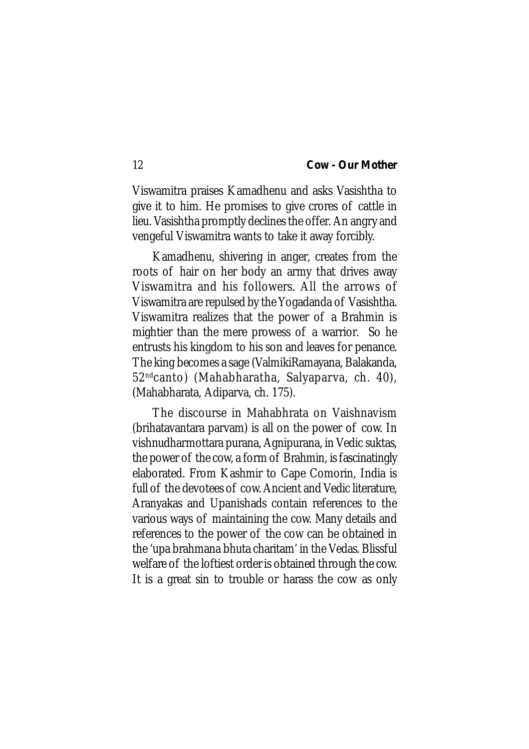Viswamitra praises Kamadhenu and asks Vasishtha to give it to him. He promises to give crores of cattle in lieu. Vasishtha promptly declines the offer. An angry and vengeful Viswamitra wants to take it away forcibly.

Kamadhenu, shivering in anger, creates from the roots of hair on her body an army that drives away Viswamitra and his followers. All the arrows of Viswamitra are repulsed by the Yogadanda of Vasishtha. Viswamitra realizes that the power of a Brahmin is mightier than the mere prowess of a warrior. So he entrusts his kingdom to his son and leaves for penance. The king becomes a sage (ValmikiRamayana, Balakanda, 52ndcanto) (Mahabharatha, Salyaparva, ch. 40), (Mahabharata, Adiparva, ch. 175).

The discourse in Mahabhrata on Vaishnavism (brihatavantara parvam) is all on the power of cow. In vishnudharmottara purana, Agnipurana, in Vedic suktas, the power of the cow, a form of Brahmin, is fascinatingly elaborated. From Kashmir to Cape Comorin, India is full of the devotees of cow. Ancient and Vedic literature, Aranyakas and Upanishads contain references to the various ways of maintaining the cow. Many details and references to the power of the cow can be obtained in the 'upa brahmana bhuta charitam' in the Vedas. Blissful welfare of the loftiest order is obtained through the cow. It is a great sin to trouble or harass the cow as only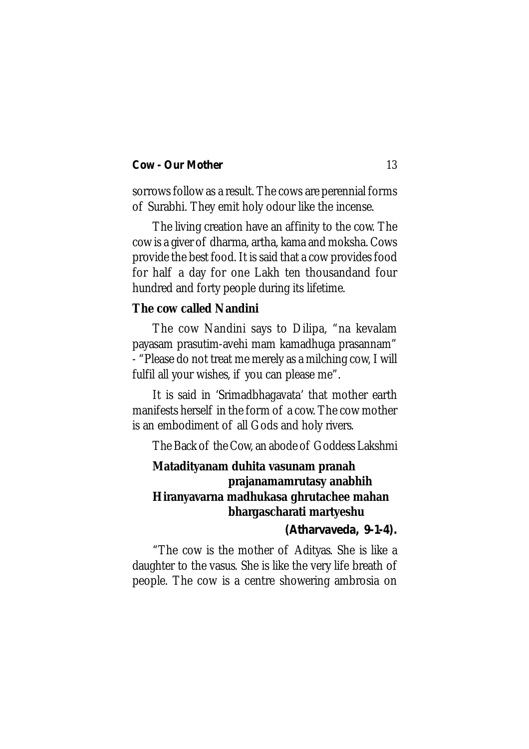sorrows follow as a result. The cows are perennial forms of Surabhi. They emit holy odour like the incense.

The living creation have an affinity to the cow. The cow is a giver of dharma, artha, kama and moksha. Cows provide the best food. It is said that a cow provides food for half a day for one Lakh ten thousandand four hundred and forty people during its lifetime.

### **The cow called Nandini**

The cow Nandini says to Dilipa, "na kevalam payasam prasutim-avehi mam kamadhuga prasannam" - "Please do not treat me merely as a milching cow, I will fulfil all your wishes, if you can please me".

It is said in 'Srimadbhagavata' that mother earth manifests herself in the form of a cow. The cow mother is an embodiment of all Gods and holy rivers.

The Back of the Cow, an abode of Goddess Lakshmi

## **Matadityanam duhita vasunam pranah prajanamamrutasy anabhih Hiranyavarna madhukasa ghrutachee mahan bhargascharati martyeshu**

### *(Atharvaveda, 9-1-4).*

"The cow is the mother of Adityas. She is like a daughter to the vasus. She is like the very life breath of people. The cow is a centre showering ambrosia on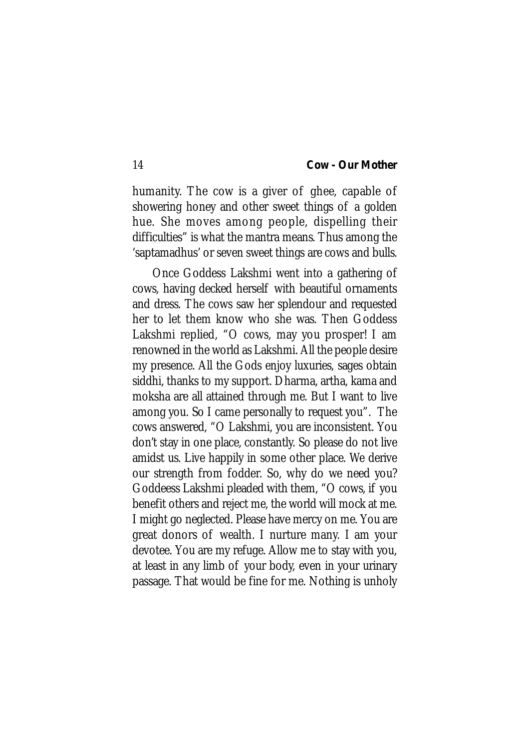humanity. The cow is a giver of ghee, capable of showering honey and other sweet things of a golden hue. She moves among people, dispelling their difficulties" is what the mantra means. Thus among the 'saptamadhus' or seven sweet things are cows and bulls.

Once Goddess Lakshmi went into a gathering of cows, having decked herself with beautiful ornaments and dress. The cows saw her splendour and requested her to let them know who she was. Then Goddess Lakshmi replied, "O cows, may you prosper! I am renowned in the world as Lakshmi. All the people desire my presence. All the Gods enjoy luxuries, sages obtain siddhi, thanks to my support. Dharma, artha, kama and moksha are all attained through me. But I want to live among you. So I came personally to request you". The cows answered, "O Lakshmi, you are inconsistent. You don't stay in one place, constantly. So please do not live amidst us. Live happily in some other place. We derive our strength from fodder. So, why do we need you? Goddeess Lakshmi pleaded with them, "O cows, if you benefit others and reject me, the world will mock at me. I might go neglected. Please have mercy on me. You are great donors of wealth. I nurture many. I am your devotee. You are my refuge. Allow me to stay with you, at least in any limb of your body, even in your urinary passage. That would be fine for me. Nothing is unholy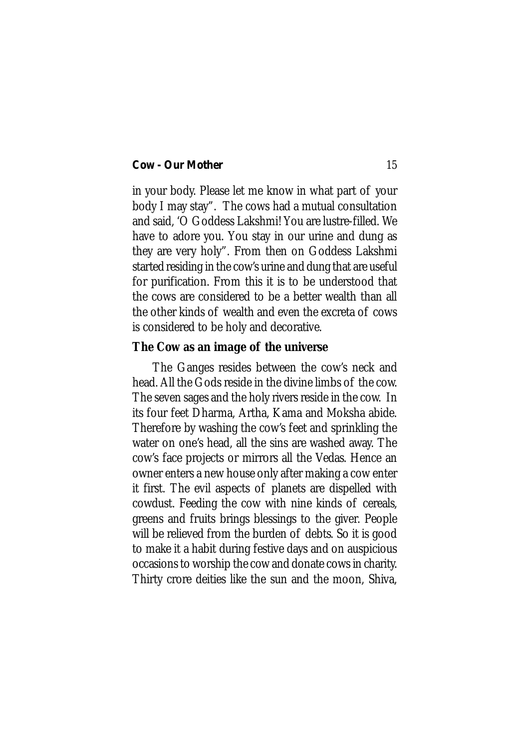in your body. Please let me know in what part of your body I may stay". The cows had a mutual consultation and said, 'O Goddess Lakshmi! You are lustre-filled. We have to adore you. You stay in our urine and dung as they are very holy". From then on Goddess Lakshmi started residing in the cow's urine and dung that are useful for purification. From this it is to be understood that the cows are considered to be a better wealth than all the other kinds of wealth and even the excreta of cows is considered to be holy and decorative.

#### **The Cow as an image of the universe**

The Ganges resides between the cow's neck and head. All the Gods reside in the divine limbs of the cow. The seven sages and the holy rivers reside in the cow. In its four feet Dharma, Artha, Kama and Moksha abide. Therefore by washing the cow's feet and sprinkling the water on one's head, all the sins are washed away. The cow's face projects or mirrors all the Vedas. Hence an owner enters a new house only after making a cow enter it first. The evil aspects of planets are dispelled with cowdust. Feeding the cow with nine kinds of cereals, greens and fruits brings blessings to the giver. People will be relieved from the burden of debts. So it is good to make it a habit during festive days and on auspicious occasions to worship the cow and donate cows in charity. Thirty crore deities like the sun and the moon, Shiva,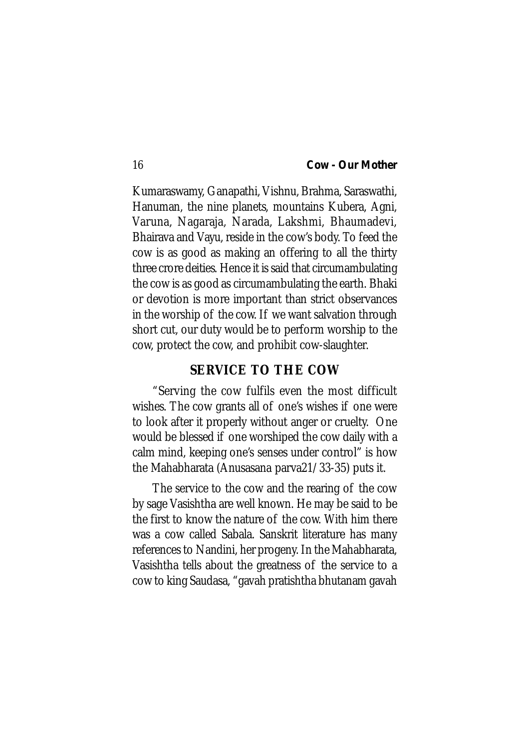Kumaraswamy, Ganapathi, Vishnu, Brahma, Saraswathi, Hanuman, the nine planets, mountains Kubera, Agni, Varuna, Nagaraja, Narada, Lakshmi, Bhaumadevi, Bhairava and Vayu, reside in the cow's body. To feed the cow is as good as making an offering to all the thirty three crore deities. Hence it is said that circumambulating the cow is as good as circumambulating the earth. Bhaki or devotion is more important than strict observances in the worship of the cow. If we want salvation through short cut, our duty would be to perform worship to the cow, protect the cow, and prohibit cow-slaughter.

## **SERVICE TO THE COW**

"Serving the cow fulfils even the most difficult wishes. The cow grants all of one's wishes if one were to look after it properly without anger or cruelty. One would be blessed if one worshiped the cow daily with a calm mind, keeping one's senses under control" is how the Mahabharata (Anusasana parva21/33-35) puts it.

The service to the cow and the rearing of the cow by sage Vasishtha are well known. He may be said to be the first to know the nature of the cow. With him there was a cow called Sabala. Sanskrit literature has many references to Nandini, her progeny. In the Mahabharata, Vasishtha tells about the greatness of the service to a cow to king Saudasa, "gavah pratishtha bhutanam gavah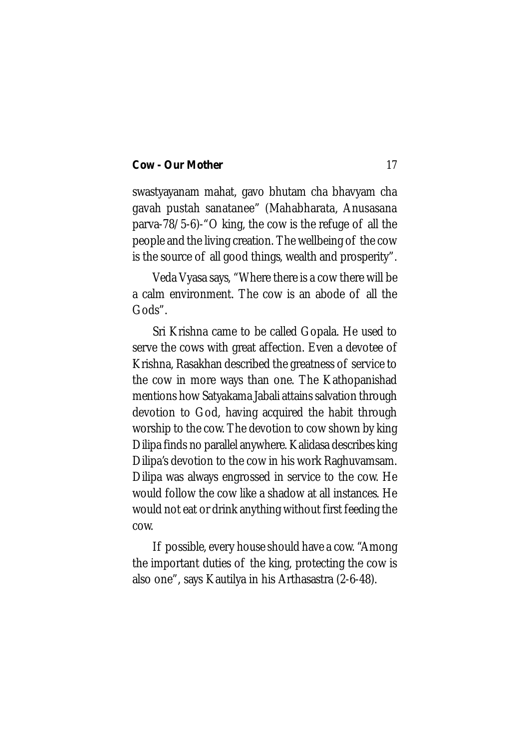swastyayanam mahat, gavo bhutam cha bhavyam cha gavah pustah sanatanee" (Mahabharata, Anusasana parva-78/5-6)-"O king, the cow is the refuge of all the people and the living creation. The wellbeing of the cow is the source of all good things, wealth and prosperity".

Veda Vyasa says, "Where there is a cow there will be a calm environment. The cow is an abode of all the Gods".

Sri Krishna came to be called Gopala. He used to serve the cows with great affection. Even a devotee of Krishna, Rasakhan described the greatness of service to the cow in more ways than one. The Kathopanishad mentions how Satyakama Jabali attains salvation through devotion to God, having acquired the habit through worship to the cow. The devotion to cow shown by king Dilipa finds no parallel anywhere. Kalidasa describes king Dilipa's devotion to the cow in his work Raghuvamsam. Dilipa was always engrossed in service to the cow. He would follow the cow like a shadow at all instances. He would not eat or drink anything without first feeding the cow.

If possible, every house should have a cow. "Among the important duties of the king, protecting the cow is also one", says Kautilya in his Arthasastra (2-6-48).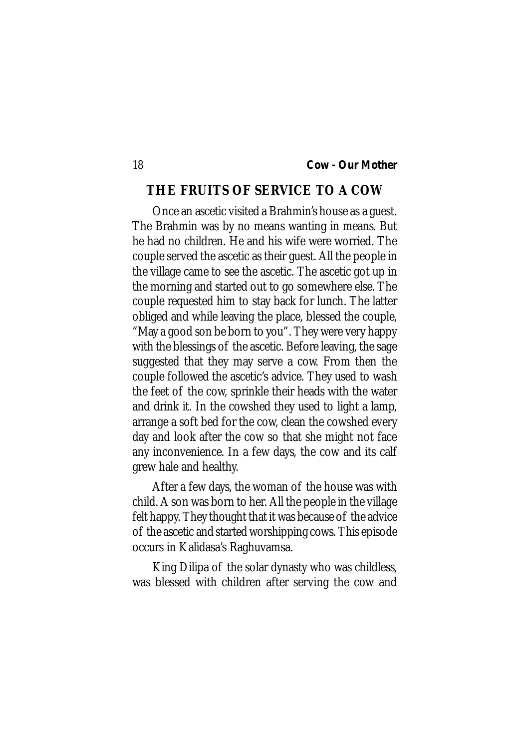## **THE FRUITS OF SERVICE TO A COW**

Once an ascetic visited a Brahmin's house as a guest. The Brahmin was by no means wanting in means. But he had no children. He and his wife were worried. The couple served the ascetic as their guest. All the people in the village came to see the ascetic. The ascetic got up in the morning and started out to go somewhere else. The couple requested him to stay back for lunch. The latter obliged and while leaving the place, blessed the couple, "May a good son be born to you". They were very happy with the blessings of the ascetic. Before leaving, the sage suggested that they may serve a cow. From then the couple followed the ascetic's advice. They used to wash the feet of the cow, sprinkle their heads with the water and drink it. In the cowshed they used to light a lamp, arrange a soft bed for the cow, clean the cowshed every day and look after the cow so that she might not face any inconvenience. In a few days, the cow and its calf grew hale and healthy.

After a few days, the woman of the house was with child. A son was born to her. All the people in the village felt happy. They thought that it was because of the advice of the ascetic and started worshipping cows. This episode occurs in Kalidasa's Raghuvamsa.

King Dilipa of the solar dynasty who was childless, was blessed with children after serving the cow and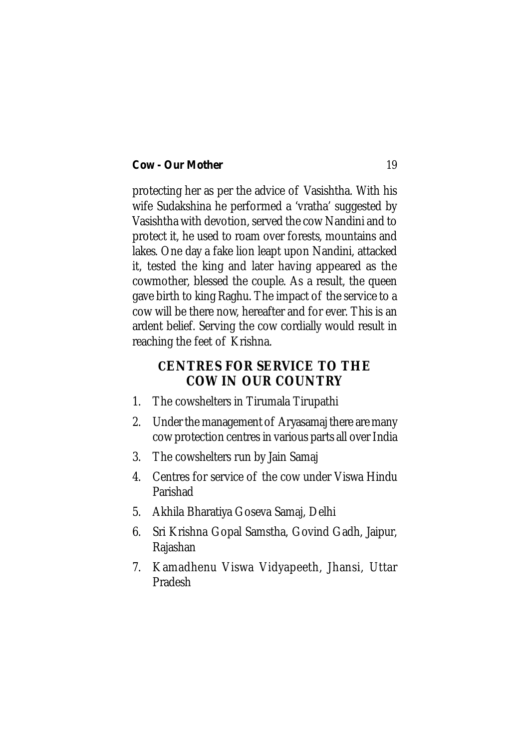protecting her as per the advice of Vasishtha. With his wife Sudakshina he performed a 'vratha' suggested by Vasishtha with devotion, served the cow Nandini and to protect it, he used to roam over forests, mountains and lakes. One day a fake lion leapt upon Nandini, attacked it, tested the king and later having appeared as the cowmother, blessed the couple. As a result, the queen gave birth to king Raghu. The impact of the service to a cow will be there now, hereafter and for ever. This is an ardent belief. Serving the cow cordially would result in reaching the feet of Krishna.

## **CENTRES FOR SERVICE TO THE COW IN OUR COUNTRY**

- 1. The cowshelters in Tirumala Tirupathi
- 2. Under the management of Aryasamaj there are many cow protection centres in various parts all over India
- 3. The cowshelters run by Jain Samaj
- 4. Centres for service of the cow under Viswa Hindu Parishad
- 5. Akhila Bharatiya Goseva Samaj, Delhi
- 6. Sri Krishna Gopal Samstha, Govind Gadh, Jaipur, Rajashan
- 7. Kamadhenu Viswa Vidyapeeth, Jhansi, Uttar Pradesh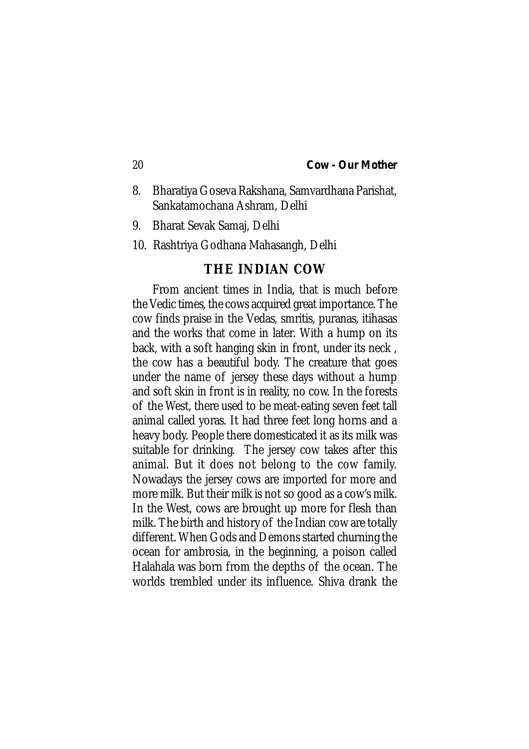- 8. Bharatiya Goseva Rakshana, Samvardhana Parishat, Sankatamochana Ashram, Delhi
- 9. Bharat Sevak Samaj, Delhi
- 10. Rashtriya Godhana Mahasangh, Delhi

## **THE INDIAN COW**

From ancient times in India, that is much before the Vedic times, the cows acquired great importance. The cow finds praise in the Vedas, smritis, puranas, itihasas and the works that come in later. With a hump on its back, with a soft hanging skin in front, under its neck , the cow has a beautiful body. The creature that goes under the name of jersey these days without a hump and soft skin in front is in reality, no cow. In the forests of the West, there used to be meat-eating seven feet tall animal called yoras. It had three feet long horns and a heavy body. People there domesticated it as its milk was suitable for drinking. The jersey cow takes after this animal. But it does not belong to the cow family. Nowadays the jersey cows are imported for more and more milk. But their milk is not so good as a cow's milk. In the West, cows are brought up more for flesh than milk. The birth and history of the Indian cow are totally different. When Gods and Demons started churning the ocean for ambrosia, in the beginning, a poison called Halahala was born from the depths of the ocean. The worlds trembled under its influence. Shiva drank the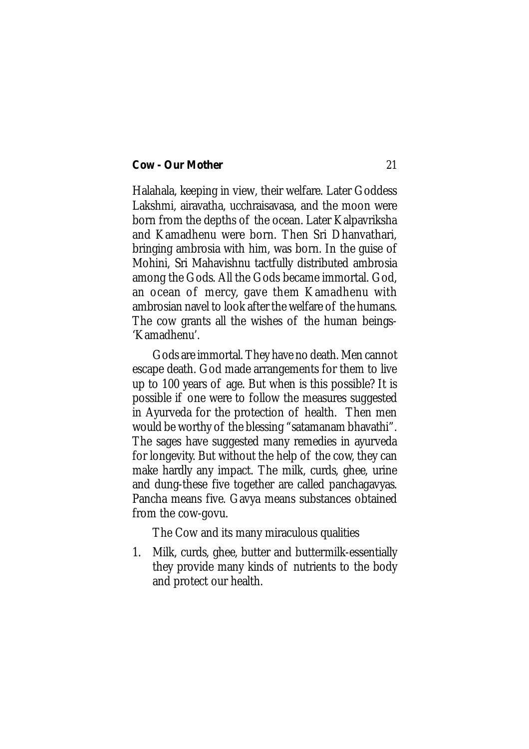Halahala, keeping in view, their welfare. Later Goddess Lakshmi, airavatha, ucchraisavasa, and the moon were born from the depths of the ocean. Later Kalpavriksha and Kamadhenu were born. Then Sri Dhanvathari, bringing ambrosia with him, was born. In the guise of Mohini, Sri Mahavishnu tactfully distributed ambrosia among the Gods. All the Gods became immortal. God, an ocean of mercy, gave them Kamadhenu with ambrosian navel to look after the welfare of the humans. The cow grants all the wishes of the human beings- 'Kamadhenu'.

Gods are immortal. They have no death. Men cannot escape death. God made arrangements for them to live up to 100 years of age. But when is this possible? It is possible if one were to follow the measures suggested in Ayurveda for the protection of health. Then men would be worthy of the blessing "satamanam bhavathi". The sages have suggested many remedies in ayurveda for longevity. But without the help of the cow, they can make hardly any impact. The milk, curds, ghee, urine and dung-these five together are called panchagavyas. Pancha means five. Gavya means substances obtained from the cow-govu.

The Cow and its many miraculous qualities

1. Milk, curds, ghee, butter and buttermilk-essentially they provide many kinds of nutrients to the body and protect our health.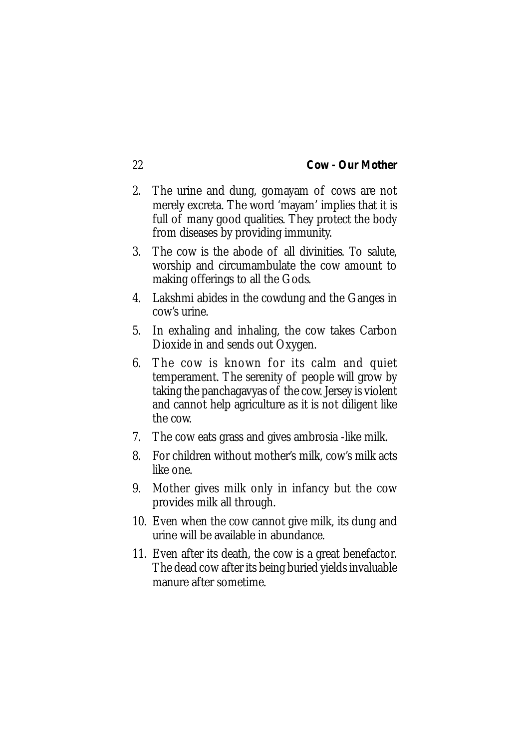- 2. The urine and dung, gomayam of cows are not merely excreta. The word 'mayam' implies that it is full of many good qualities. They protect the body from diseases by providing immunity.
- 3. The cow is the abode of all divinities. To salute, worship and circumambulate the cow amount to making offerings to all the Gods.
- 4. Lakshmi abides in the cowdung and the Ganges in cow's urine.
- 5. In exhaling and inhaling, the cow takes Carbon Dioxide in and sends out Oxygen.
- 6. The cow is known for its calm and quiet temperament. The serenity of people will grow by taking the panchagavyas of the cow. Jersey is violent and cannot help agriculture as it is not diligent like the cow.
- 7. The cow eats grass and gives ambrosia -like milk.
- 8. For children without mother's milk, cow's milk acts like one.
- 9. Mother gives milk only in infancy but the cow provides milk all through.
- 10. Even when the cow cannot give milk, its dung and urine will be available in abundance.
- 11. Even after its death, the cow is a great benefactor. The dead cow after its being buried yields invaluable manure after sometime.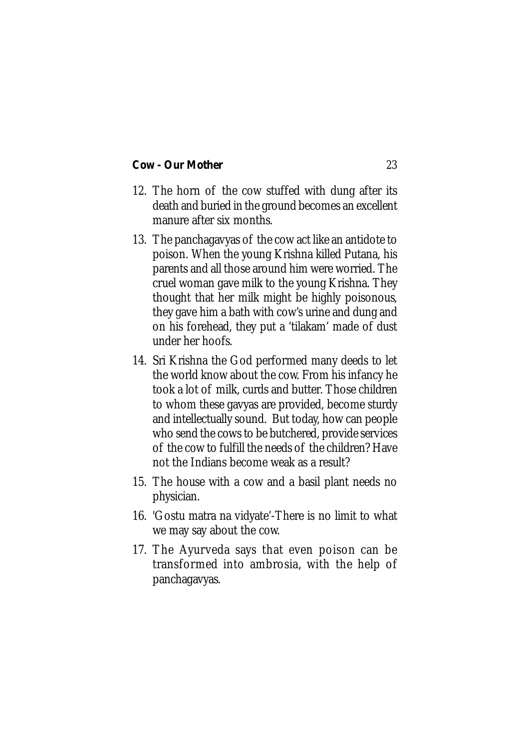- 12. The horn of the cow stuffed with dung after its death and buried in the ground becomes an excellent manure after six months.
- 13. The panchagavyas of the cow act like an antidote to poison. When the young Krishna killed Putana, his parents and all those around him were worried. The cruel woman gave milk to the young Krishna. They thought that her milk might be highly poisonous, they gave him a bath with cow's urine and dung and on his forehead, they put a 'tilakam' made of dust under her hoofs.
- 14. Sri Krishna the God performed many deeds to let the world know about the cow. From his infancy he took a lot of milk, curds and butter. Those children to whom these gavyas are provided, become sturdy and intellectually sound. But today, how can people who send the cows to be butchered, provide services of the cow to fulfill the needs of the children? Have not the Indians become weak as a result?
- 15. The house with a cow and a basil plant needs no physician.
- 16. 'Gostu matra na vidyate'-There is no limit to what we may say about the cow.
- 17. The Ayurveda says that even poison can be transformed into ambrosia, with the help of panchagavyas.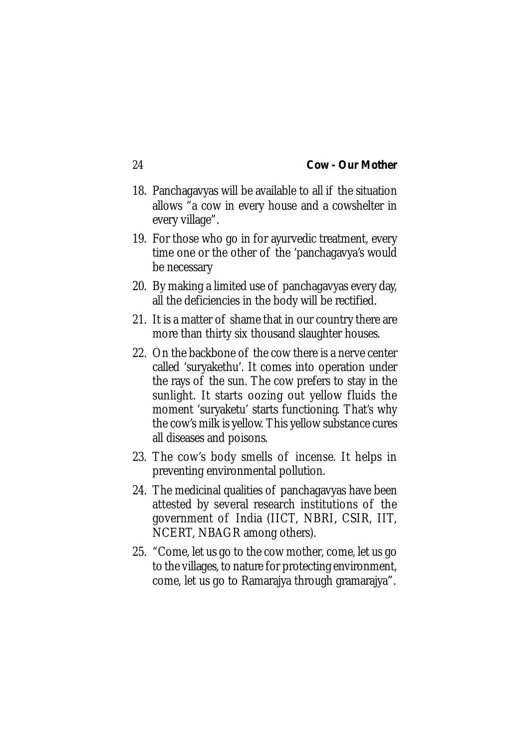- 18. Panchagavyas will be available to all if the situation allows "a cow in every house and a cowshelter in every village".
- 19. For those who go in for ayurvedic treatment, every time one or the other of the 'panchagavya's would be necessary
- 20. By making a limited use of panchagavyas every day, all the deficiencies in the body will be rectified.
- 21. It is a matter of shame that in our country there are more than thirty six thousand slaughter houses.
- 22. On the backbone of the cow there is a nerve center called 'suryakethu'. It comes into operation under the rays of the sun. The cow prefers to stay in the sunlight. It starts oozing out yellow fluids the moment 'suryaketu' starts functioning. That's why the cow's milk is yellow. This yellow substance cures all diseases and poisons.
- 23. The cow's body smells of incense. It helps in preventing environmental pollution.
- 24. The medicinal qualities of panchagavyas have been attested by several research institutions of the government of India (IICT, NBRI, CSIR, IIT, NCERT, NBAGR among others).
- 25. "Come, let us go to the cow mother, come, let us go to the villages, to nature for protecting environment, come, let us go to Ramarajya through gramarajya".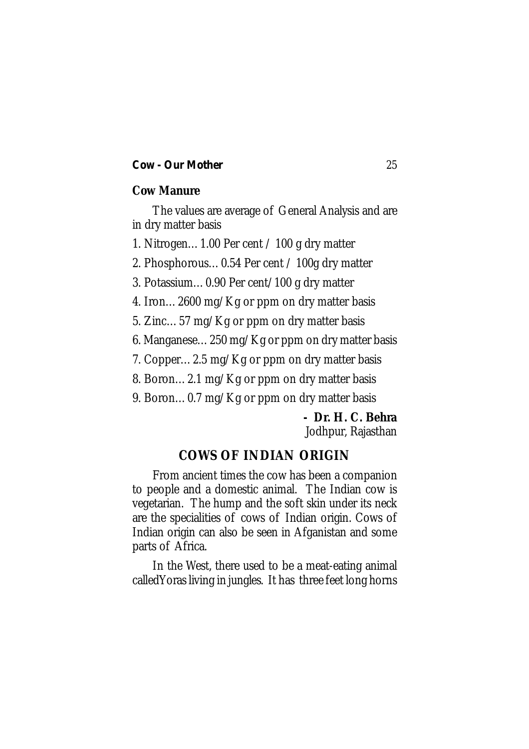### **Cow Manure**

The values are average of General Analysis and are in dry matter basis

1. Nitrogen…1.00 Per cent / 100 g dry matter

2. Phosphorous…0.54 Per cent / 100g dry matter

3. Potassium…0.90 Per cent/100 g dry matter

4. Iron…2600 mg/Kg or ppm on dry matter basis

5. Zinc…57 mg/Kg or ppm on dry matter basis

6. Manganese…250 mg/Kg or ppm on dry matter basis

7. Copper…2.5 mg/Kg or ppm on dry matter basis

8. Boron…2.1 mg/Kg or ppm on dry matter basis

9. Boron…0.7 mg/Kg or ppm on dry matter basis

## **- Dr. H. C. Behra**

Jodhpur, Rajasthan

## **COWS OF INDIAN ORIGIN**

From ancient times the cow has been a companion to people and a domestic animal. The Indian cow is vegetarian. The hump and the soft skin under its neck are the specialities of cows of Indian origin. Cows of Indian origin can also be seen in Afganistan and some parts of Africa.

In the West, there used to be a meat-eating animal calledYoras living in jungles. It has three feet long horns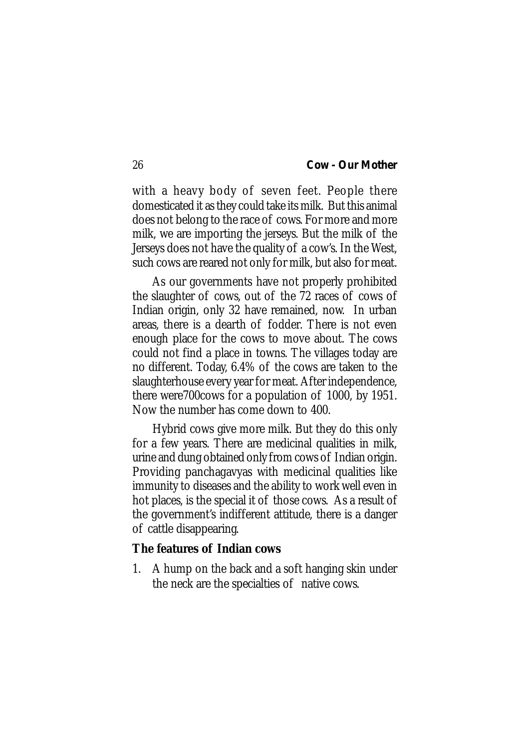with a heavy body of seven feet. People there domesticated it as they could take its milk. But this animal does not belong to the race of cows. For more and more milk, we are importing the jerseys. But the milk of the Jerseys does not have the quality of a cow's. In the West, such cows are reared not only for milk, but also for meat.

As our governments have not properly prohibited the slaughter of cows, out of the 72 races of cows of Indian origin, only 32 have remained, now. In urban areas, there is a dearth of fodder. There is not even enough place for the cows to move about. The cows could not find a place in towns. The villages today are no different. Today, 6.4% of the cows are taken to the slaughterhouse every year for meat. After independence, there were700cows for a population of 1000, by 1951. Now the number has come down to 400.

Hybrid cows give more milk. But they do this only for a few years. There are medicinal qualities in milk, urine and dung obtained only from cows of Indian origin. Providing panchagavyas with medicinal qualities like immunity to diseases and the ability to work well even in hot places, is the special it of those cows. As a result of the government's indifferent attitude, there is a danger of cattle disappearing.

### **The features of Indian cows**

1. A hump on the back and a soft hanging skin under the neck are the specialties of native cows.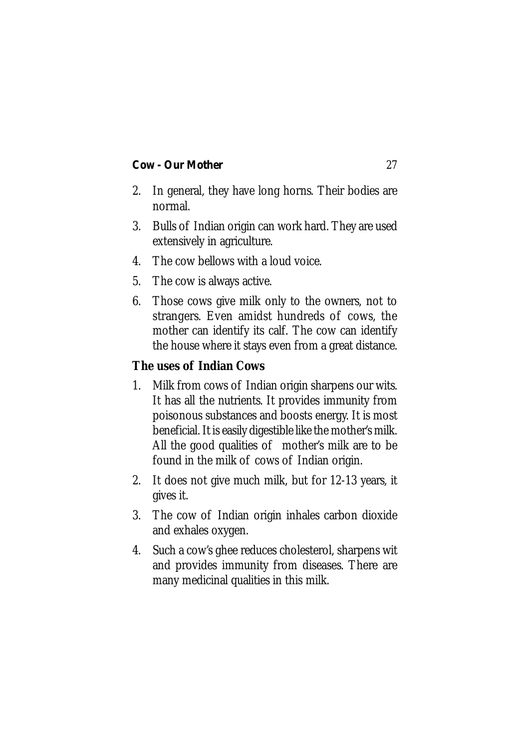- 2. In general, they have long horns. Their bodies are normal.
- 3. Bulls of Indian origin can work hard. They are used extensively in agriculture.
- 4. The cow bellows with a loud voice.
- 5. The cow is always active.
- 6. Those cows give milk only to the owners, not to strangers. Even amidst hundreds of cows, the mother can identify its calf. The cow can identify the house where it stays even from a great distance.

## **The uses of Indian Cows**

- 1. Milk from cows of Indian origin sharpens our wits. It has all the nutrients. It provides immunity from poisonous substances and boosts energy. It is most beneficial. It is easily digestible like the mother's milk. All the good qualities of mother's milk are to be found in the milk of cows of Indian origin.
- 2. It does not give much milk, but for 12-13 years, it gives it.
- 3. The cow of Indian origin inhales carbon dioxide and exhales oxygen.
- 4. Such a cow's ghee reduces cholesterol, sharpens wit and provides immunity from diseases. There are many medicinal qualities in this milk.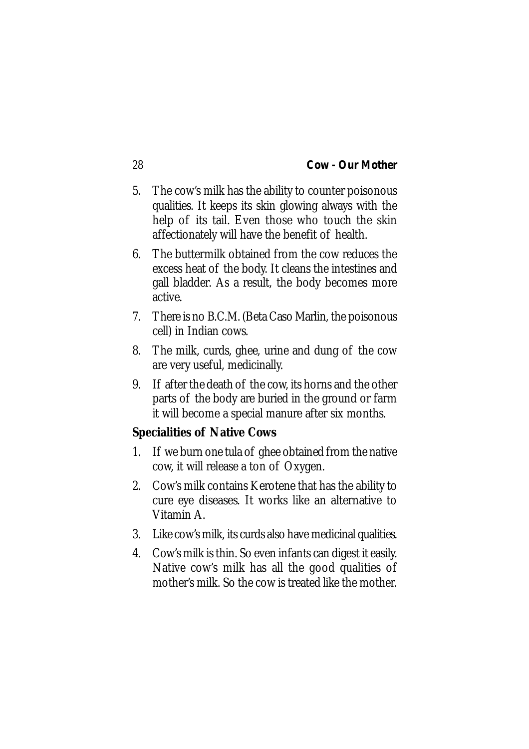- 5. The cow's milk has the ability to counter poisonous qualities. It keeps its skin glowing always with the help of its tail. Even those who touch the skin affectionately will have the benefit of health.
- 6. The buttermilk obtained from the cow reduces the excess heat of the body. It cleans the intestines and gall bladder. As a result, the body becomes more active.
- 7. There is no B.C.M. (Beta Caso Marlin, the poisonous cell) in Indian cows.
- 8. The milk, curds, ghee, urine and dung of the cow are very useful, medicinally.
- 9. If after the death of the cow, its horns and the other parts of the body are buried in the ground or farm it will become a special manure after six months.

### **Specialities of Native Cows**

- 1. If we burn one tula of ghee obtained from the native cow, it will release a ton of Oxygen.
- 2. Cow's milk contains Kerotene that has the ability to cure eye diseases. It works like an alternative to Vitamin A.
- 3. Like cow's milk, its curds also have medicinal qualities.
- 4. Cow's milk is thin. So even infants can digest it easily. Native cow's milk has all the good qualities of mother's milk. So the cow is treated like the mother.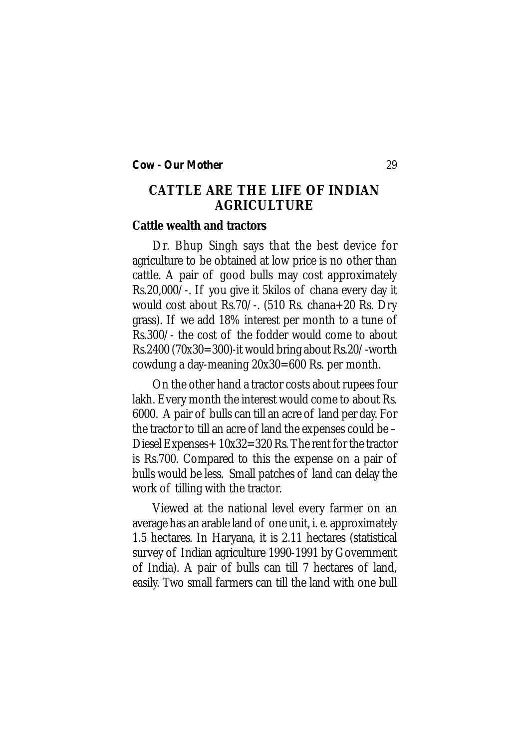# **CATTLE ARE THE LIFE OF INDIAN AGRICULTURE**

# **Cattle wealth and tractors**

Dr. Bhup Singh says that the best device for agriculture to be obtained at low price is no other than cattle. A pair of good bulls may cost approximately Rs.20,000/-. If you give it 5kilos of chana every day it would cost about Rs.70/-. (510 Rs. chana+20 Rs. Dry grass). If we add 18% interest per month to a tune of Rs.300/- the cost of the fodder would come to about Rs.2400 (70x30=300)-it would bring about Rs.20/-worth cowdung a day-meaning 20x30=600 Rs. per month.

On the other hand a tractor costs about rupees four lakh. Every month the interest would come to about Rs. 6000. A pair of bulls can till an acre of land per day. For the tractor to till an acre of land the expenses could be – Diesel Expenses+ 10x32=320 Rs. The rent for the tractor is Rs.700. Compared to this the expense on a pair of bulls would be less. Small patches of land can delay the work of tilling with the tractor.

Viewed at the national level every farmer on an average has an arable land of one unit, i. e. approximately 1.5 hectares. In Haryana, it is 2.11 hectares (statistical survey of Indian agriculture 1990-1991 by Government of India). A pair of bulls can till 7 hectares of land, easily. Two small farmers can till the land with one bull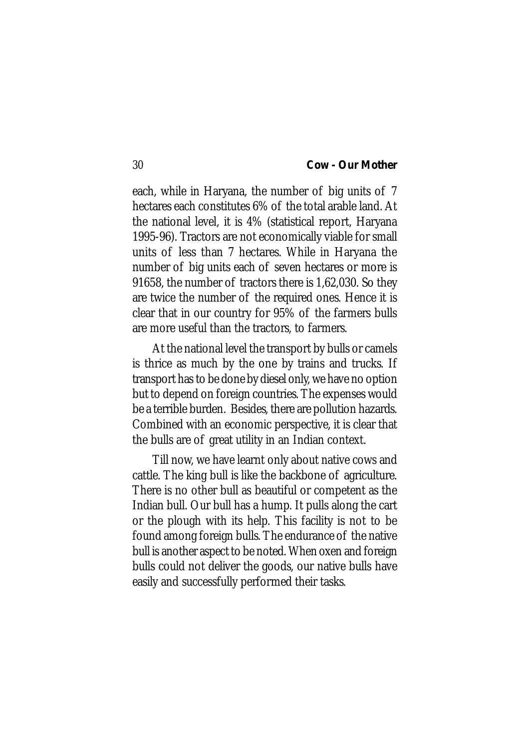each, while in Haryana, the number of big units of 7 hectares each constitutes 6% of the total arable land. At the national level, it is 4% (statistical report, Haryana 1995-96). Tractors are not economically viable for small units of less than 7 hectares. While in Haryana the number of big units each of seven hectares or more is 91658, the number of tractors there is 1,62,030. So they are twice the number of the required ones. Hence it is clear that in our country for 95% of the farmers bulls are more useful than the tractors, to farmers.

At the national level the transport by bulls or camels is thrice as much by the one by trains and trucks. If transport has to be done by diesel only, we have no option but to depend on foreign countries. The expenses would be a terrible burden. Besides, there are pollution hazards. Combined with an economic perspective, it is clear that the bulls are of great utility in an Indian context.

Till now, we have learnt only about native cows and cattle. The king bull is like the backbone of agriculture. There is no other bull as beautiful or competent as the Indian bull. Our bull has a hump. It pulls along the cart or the plough with its help. This facility is not to be found among foreign bulls. The endurance of the native bull is another aspect to be noted. When oxen and foreign bulls could not deliver the goods, our native bulls have easily and successfully performed their tasks.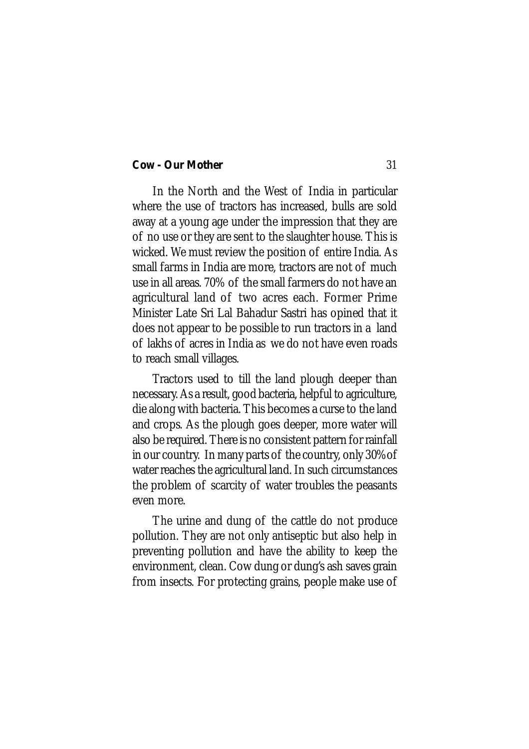In the North and the West of India in particular where the use of tractors has increased, bulls are sold away at a young age under the impression that they are of no use or they are sent to the slaughter house. This is wicked. We must review the position of entire India. As small farms in India are more, tractors are not of much use in all areas. 70% of the small farmers do not have an agricultural land of two acres each. Former Prime Minister Late Sri Lal Bahadur Sastri has opined that it does not appear to be possible to run tractors in a land of lakhs of acres in India as we do not have even roads to reach small villages.

Tractors used to till the land plough deeper than necessary. As a result, good bacteria, helpful to agriculture, die along with bacteria. This becomes a curse to the land and crops. As the plough goes deeper, more water will also be required. There is no consistent pattern for rainfall in our country. In many parts of the country, only 30%of water reaches the agricultural land. In such circumstances the problem of scarcity of water troubles the peasants even more.

The urine and dung of the cattle do not produce pollution. They are not only antiseptic but also help in preventing pollution and have the ability to keep the environment, clean. Cow dung or dung's ash saves grain from insects. For protecting grains, people make use of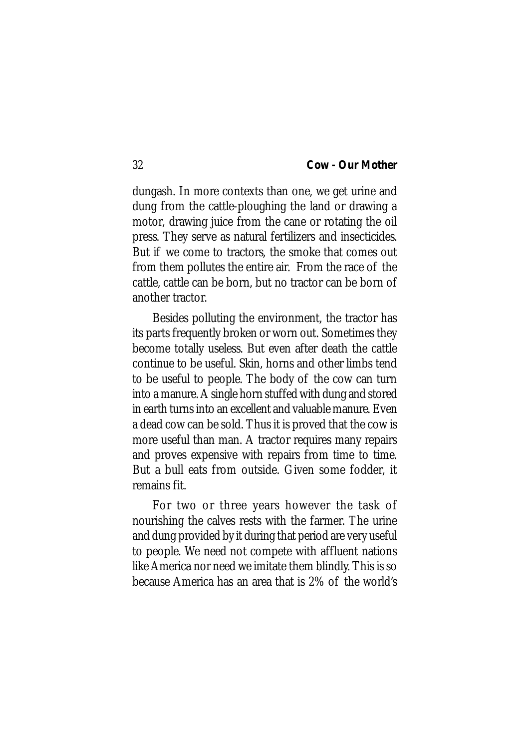dungash. In more contexts than one, we get urine and dung from the cattle-ploughing the land or drawing a motor, drawing juice from the cane or rotating the oil press. They serve as natural fertilizers and insecticides. But if we come to tractors, the smoke that comes out from them pollutes the entire air. From the race of the cattle, cattle can be born, but no tractor can be born of another tractor.

Besides polluting the environment, the tractor has its parts frequently broken or worn out. Sometimes they become totally useless. But even after death the cattle continue to be useful. Skin, horns and other limbs tend to be useful to people. The body of the cow can turn into a manure. A single horn stuffed with dung and stored in earth turns into an excellent and valuable manure. Even a dead cow can be sold. Thus it is proved that the cow is more useful than man. A tractor requires many repairs and proves expensive with repairs from time to time. But a bull eats from outside. Given some fodder, it remains fit.

For two or three years however the task of nourishing the calves rests with the farmer. The urine and dung provided by it during that period are very useful to people. We need not compete with affluent nations like America nor need we imitate them blindly. This is so because America has an area that is 2% of the world's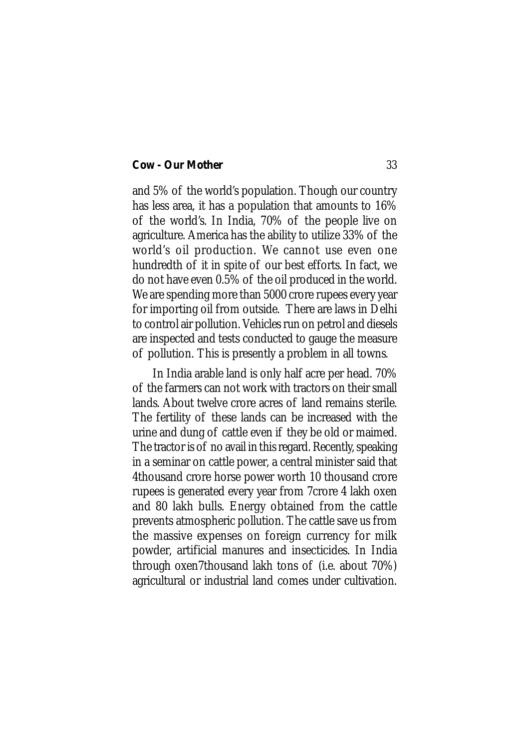and 5% of the world's population. Though our country has less area, it has a population that amounts to 16% of the world's. In India, 70% of the people live on agriculture. America has the ability to utilize 33% of the world's oil production. We cannot use even one hundredth of it in spite of our best efforts. In fact, we do not have even 0.5% of the oil produced in the world. We are spending more than 5000 crore rupees every year for importing oil from outside. There are laws in Delhi to control air pollution. Vehicles run on petrol and diesels are inspected and tests conducted to gauge the measure of pollution. This is presently a problem in all towns.

In India arable land is only half acre per head. 70% of the farmers can not work with tractors on their small lands. About twelve crore acres of land remains sterile. The fertility of these lands can be increased with the urine and dung of cattle even if they be old or maimed. The tractor is of no avail in this regard. Recently, speaking in a seminar on cattle power, a central minister said that 4thousand crore horse power worth 10 thousand crore rupees is generated every year from 7crore 4 lakh oxen and 80 lakh bulls. Energy obtained from the cattle prevents atmospheric pollution. The cattle save us from the massive expenses on foreign currency for milk powder, artificial manures and insecticides. In India through oxen7thousand lakh tons of (i.e. about 70%) agricultural or industrial land comes under cultivation.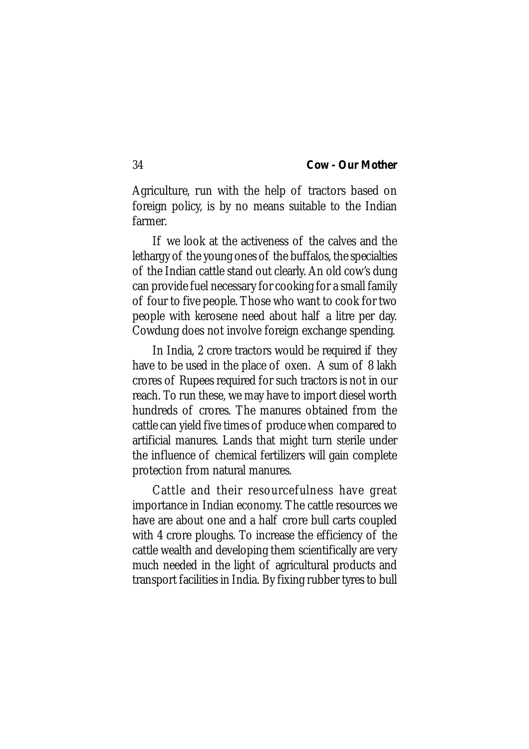Agriculture, run with the help of tractors based on foreign policy, is by no means suitable to the Indian farmer.

If we look at the activeness of the calves and the lethargy of the young ones of the buffalos, the specialties of the Indian cattle stand out clearly. An old cow's dung can provide fuel necessary for cooking for a small family of four to five people. Those who want to cook for two people with kerosene need about half a litre per day. Cowdung does not involve foreign exchange spending.

In India, 2 crore tractors would be required if they have to be used in the place of oxen. A sum of 8 lakh crores of Rupees required for such tractors is not in our reach. To run these, we may have to import diesel worth hundreds of crores. The manures obtained from the cattle can yield five times of produce when compared to artificial manures. Lands that might turn sterile under the influence of chemical fertilizers will gain complete protection from natural manures.

Cattle and their resourcefulness have great importance in Indian economy. The cattle resources we have are about one and a half crore bull carts coupled with 4 crore ploughs. To increase the efficiency of the cattle wealth and developing them scientifically are very much needed in the light of agricultural products and transport facilities in India. By fixing rubber tyres to bull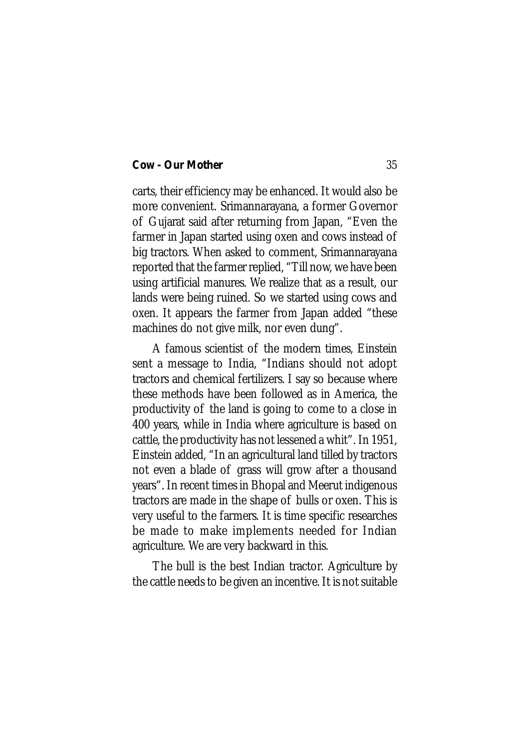carts, their efficiency may be enhanced. It would also be more convenient. Srimannarayana, a former Governor of Gujarat said after returning from Japan, "Even the farmer in Japan started using oxen and cows instead of big tractors. When asked to comment, Srimannarayana reported that the farmer replied, "Till now, we have been using artificial manures. We realize that as a result, our lands were being ruined. So we started using cows and oxen. It appears the farmer from Japan added "these machines do not give milk, nor even dung".

A famous scientist of the modern times, Einstein sent a message to India, "Indians should not adopt tractors and chemical fertilizers. I say so because where these methods have been followed as in America, the productivity of the land is going to come to a close in 400 years, while in India where agriculture is based on cattle, the productivity has not lessened a whit". In 1951, Einstein added, "In an agricultural land tilled by tractors not even a blade of grass will grow after a thousand years". In recent times in Bhopal and Meerut indigenous tractors are made in the shape of bulls or oxen. This is very useful to the farmers. It is time specific researches be made to make implements needed for Indian agriculture. We are very backward in this.

The bull is the best Indian tractor. Agriculture by the cattle needs to be given an incentive. It is not suitable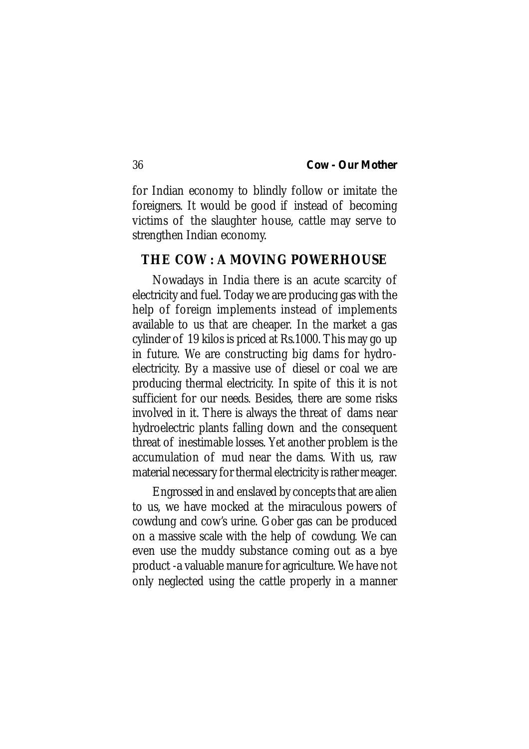for Indian economy to blindly follow or imitate the foreigners. It would be good if instead of becoming victims of the slaughter house, cattle may serve to strengthen Indian economy.

# **THE COW : A MOVING POWERHOUSE**

Nowadays in India there is an acute scarcity of electricity and fuel. Today we are producing gas with the help of foreign implements instead of implements available to us that are cheaper. In the market a gas cylinder of 19 kilos is priced at Rs.1000. This may go up in future. We are constructing big dams for hydroelectricity. By a massive use of diesel or coal we are producing thermal electricity. In spite of this it is not sufficient for our needs. Besides, there are some risks involved in it. There is always the threat of dams near hydroelectric plants falling down and the consequent threat of inestimable losses. Yet another problem is the accumulation of mud near the dams. With us, raw material necessary for thermal electricity is rather meager.

Engrossed in and enslaved by concepts that are alien to us, we have mocked at the miraculous powers of cowdung and cow's urine. Gober gas can be produced on a massive scale with the help of cowdung. We can even use the muddy substance coming out as a bye product -a valuable manure for agriculture. We have not only neglected using the cattle properly in a manner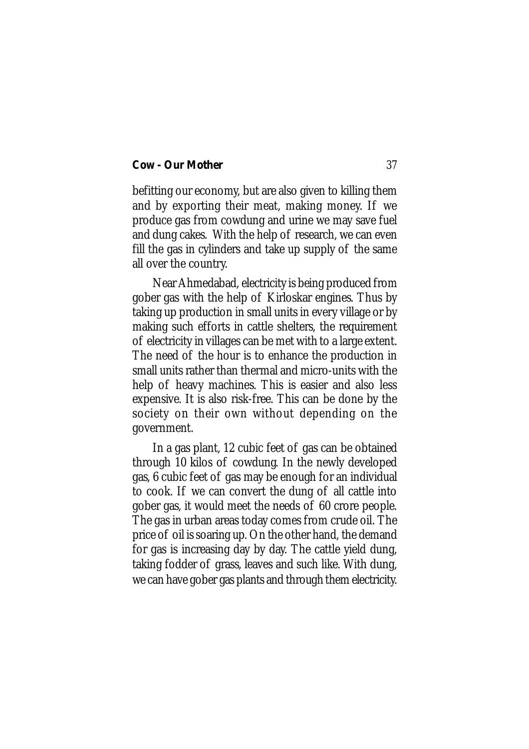befitting our economy, but are also given to killing them and by exporting their meat, making money. If we produce gas from cowdung and urine we may save fuel and dung cakes. With the help of research, we can even fill the gas in cylinders and take up supply of the same all over the country.

Near Ahmedabad, electricity is being produced from gober gas with the help of Kirloskar engines. Thus by taking up production in small units in every village or by making such efforts in cattle shelters, the requirement of electricity in villages can be met with to a large extent. The need of the hour is to enhance the production in small units rather than thermal and micro-units with the help of heavy machines. This is easier and also less expensive. It is also risk-free. This can be done by the society on their own without depending on the government.

In a gas plant, 12 cubic feet of gas can be obtained through 10 kilos of cowdung. In the newly developed gas, 6 cubic feet of gas may be enough for an individual to cook. If we can convert the dung of all cattle into gober gas, it would meet the needs of 60 crore people. The gas in urban areas today comes from crude oil. The price of oil is soaring up. On the other hand, the demand for gas is increasing day by day. The cattle yield dung, taking fodder of grass, leaves and such like. With dung, we can have gober gas plants and through them electricity.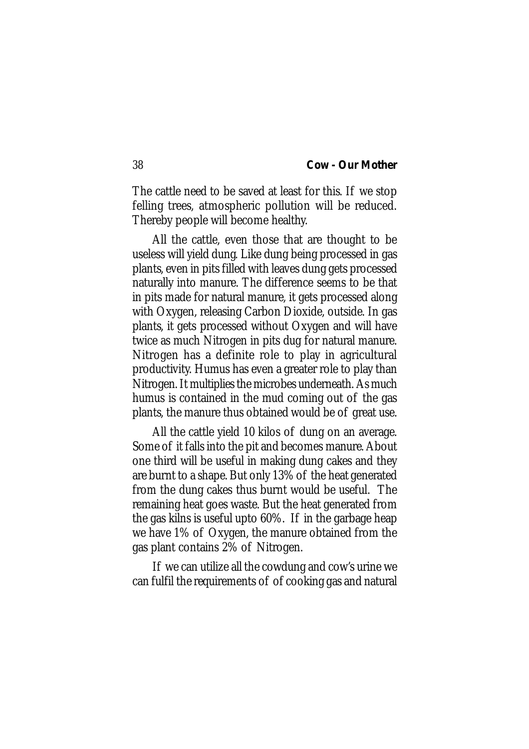The cattle need to be saved at least for this. If we stop felling trees, atmospheric pollution will be reduced. Thereby people will become healthy.

All the cattle, even those that are thought to be useless will yield dung. Like dung being processed in gas plants, even in pits filled with leaves dung gets processed naturally into manure. The difference seems to be that in pits made for natural manure, it gets processed along with Oxygen, releasing Carbon Dioxide, outside. In gas plants, it gets processed without Oxygen and will have twice as much Nitrogen in pits dug for natural manure. Nitrogen has a definite role to play in agricultural productivity. Humus has even a greater role to play than Nitrogen. It multiplies the microbes underneath. As much humus is contained in the mud coming out of the gas plants, the manure thus obtained would be of great use.

All the cattle yield 10 kilos of dung on an average. Some of it falls into the pit and becomes manure. About one third will be useful in making dung cakes and they are burnt to a shape. But only 13% of the heat generated from the dung cakes thus burnt would be useful. The remaining heat goes waste. But the heat generated from the gas kilns is useful upto 60%. If in the garbage heap we have 1% of Oxygen, the manure obtained from the gas plant contains 2% of Nitrogen.

If we can utilize all the cowdung and cow's urine we can fulfil the requirements of of cooking gas and natural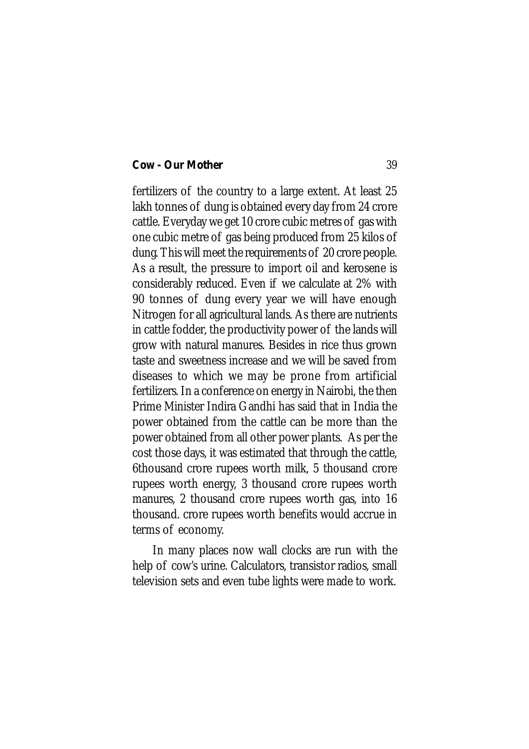fertilizers of the country to a large extent. At least 25 lakh tonnes of dung is obtained every day from 24 crore cattle. Everyday we get 10 crore cubic metres of gas with one cubic metre of gas being produced from 25 kilos of dung. This will meet the requirements of 20 crore people. As a result, the pressure to import oil and kerosene is considerably reduced. Even if we calculate at 2% with 90 tonnes of dung every year we will have enough Nitrogen for all agricultural lands. As there are nutrients in cattle fodder, the productivity power of the lands will grow with natural manures. Besides in rice thus grown taste and sweetness increase and we will be saved from diseases to which we may be prone from artificial fertilizers. In a conference on energy in Nairobi, the then Prime Minister Indira Gandhi has said that in India the power obtained from the cattle can be more than the power obtained from all other power plants. As per the cost those days, it was estimated that through the cattle, 6thousand crore rupees worth milk, 5 thousand crore rupees worth energy, 3 thousand crore rupees worth manures, 2 thousand crore rupees worth gas, into 16 thousand. crore rupees worth benefits would accrue in terms of economy.

In many places now wall clocks are run with the help of cow's urine. Calculators, transistor radios, small television sets and even tube lights were made to work.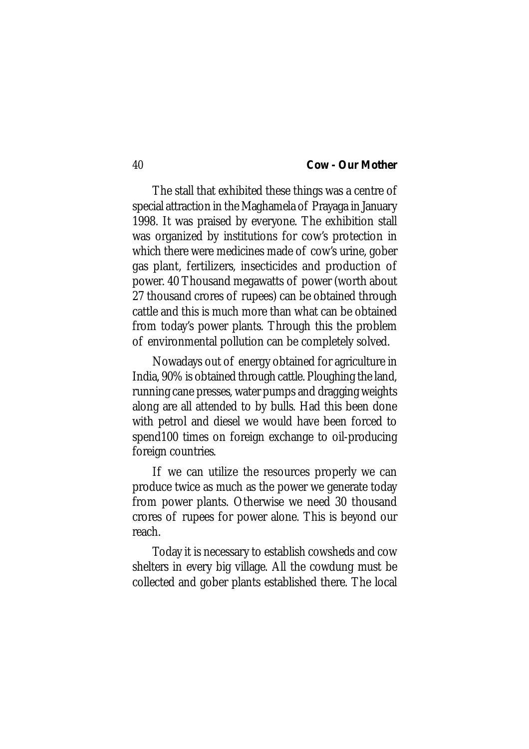The stall that exhibited these things was a centre of special attraction in the Maghamela of Prayaga in January 1998. It was praised by everyone. The exhibition stall was organized by institutions for cow's protection in which there were medicines made of cow's urine, gober gas plant, fertilizers, insecticides and production of power. 40 Thousand megawatts of power (worth about 27 thousand crores of rupees) can be obtained through cattle and this is much more than what can be obtained from today's power plants. Through this the problem of environmental pollution can be completely solved.

Nowadays out of energy obtained for agriculture in India, 90% is obtained through cattle. Ploughing the land, running cane presses, water pumps and dragging weights along are all attended to by bulls. Had this been done with petrol and diesel we would have been forced to spend100 times on foreign exchange to oil-producing foreign countries.

If we can utilize the resources properly we can produce twice as much as the power we generate today from power plants. Otherwise we need 30 thousand crores of rupees for power alone. This is beyond our reach.

Today it is necessary to establish cowsheds and cow shelters in every big village. All the cowdung must be collected and gober plants established there. The local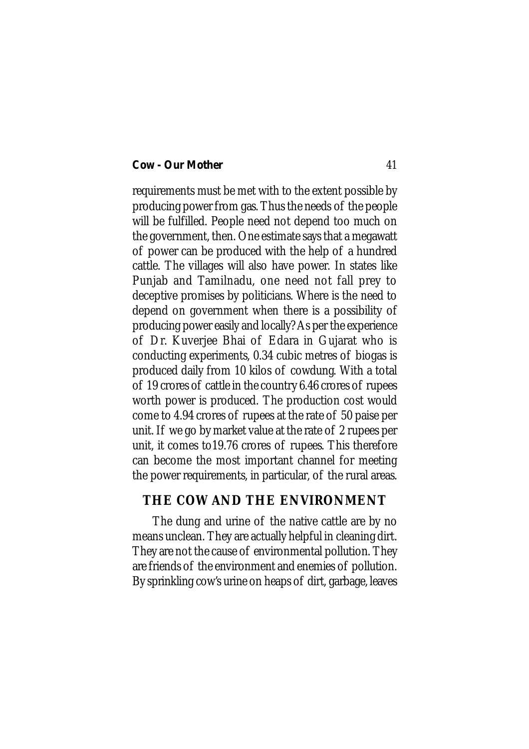requirements must be met with to the extent possible by producing power from gas. Thus the needs of the people will be fulfilled. People need not depend too much on the government, then. One estimate says that a megawatt of power can be produced with the help of a hundred cattle. The villages will also have power. In states like Punjab and Tamilnadu, one need not fall prey to deceptive promises by politicians. Where is the need to depend on government when there is a possibility of producing power easily and locally? As per the experience of Dr. Kuverjee Bhai of Edara in Gujarat who is conducting experiments, 0.34 cubic metres of biogas is produced daily from 10 kilos of cowdung. With a total of 19 crores of cattle in the country 6.46 crores of rupees worth power is produced. The production cost would come to 4.94 crores of rupees at the rate of 50 paise per unit. If we go by market value at the rate of 2 rupees per unit, it comes to19.76 crores of rupees. This therefore can become the most important channel for meeting the power requirements, in particular, of the rural areas.

# **THE COW AND THE ENVIRONMENT**

The dung and urine of the native cattle are by no means unclean. They are actually helpful in cleaning dirt. They are not the cause of environmental pollution. They are friends of the environment and enemies of pollution. By sprinkling cow's urine on heaps of dirt, garbage, leaves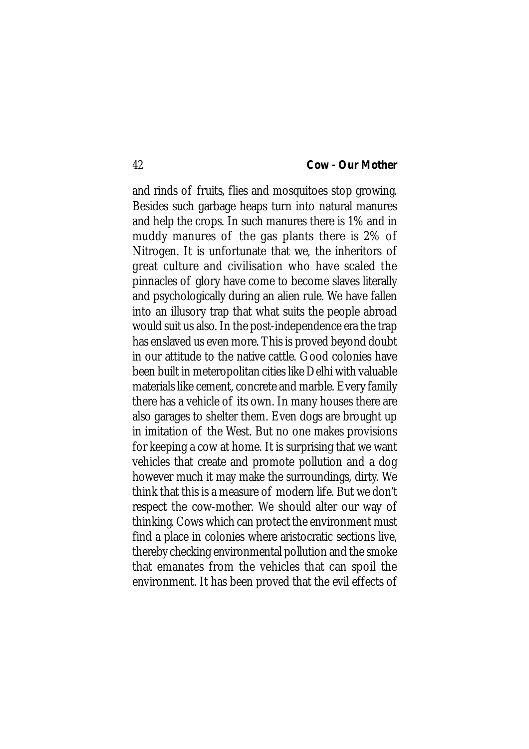and rinds of fruits, flies and mosquitoes stop growing. Besides such garbage heaps turn into natural manures and help the crops. In such manures there is 1% and in muddy manures of the gas plants there is 2% of Nitrogen. It is unfortunate that we, the inheritors of great culture and civilisation who have scaled the pinnacles of glory have come to become slaves literally and psychologically during an alien rule. We have fallen into an illusory trap that what suits the people abroad would suit us also. In the post-independence era the trap has enslaved us even more. This is proved beyond doubt in our attitude to the native cattle. Good colonies have been built in meteropolitan cities like Delhi with valuable materials like cement, concrete and marble. Every family there has a vehicle of its own. In many houses there are also garages to shelter them. Even dogs are brought up in imitation of the West. But no one makes provisions for keeping a cow at home. It is surprising that we want vehicles that create and promote pollution and a dog however much it may make the surroundings, dirty. We think that this is a measure of modern life. But we don't respect the cow-mother. We should alter our way of thinking. Cows which can protect the environment must find a place in colonies where aristocratic sections live, thereby checking environmental pollution and the smoke that emanates from the vehicles that can spoil the environment. It has been proved that the evil effects of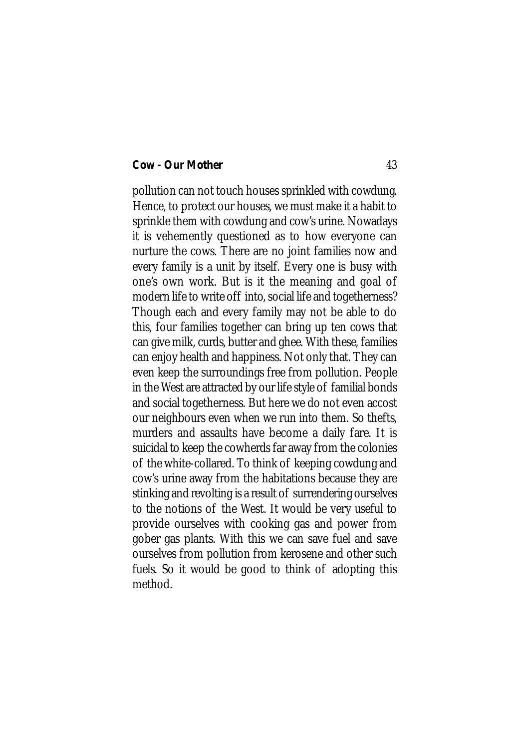pollution can not touch houses sprinkled with cowdung. Hence, to protect our houses, we must make it a habit to sprinkle them with cowdung and cow's urine. Nowadays it is vehemently questioned as to how everyone can nurture the cows. There are no joint families now and every family is a unit by itself. Every one is busy with one's own work. But is it the meaning and goal of modern life to write off into, social life and togetherness? Though each and every family may not be able to do this, four families together can bring up ten cows that can give milk, curds, butter and ghee. With these, families can enjoy health and happiness. Not only that. They can even keep the surroundings free from pollution. People in the West are attracted by our life style of familial bonds and social togetherness. But here we do not even accost our neighbours even when we run into them. So thefts, murders and assaults have become a daily fare. It is suicidal to keep the cowherds far away from the colonies of the white-collared. To think of keeping cowdung and cow's urine away from the habitations because they are stinking and revolting is a result of surrendering ourselves to the notions of the West. It would be very useful to provide ourselves with cooking gas and power from gober gas plants. With this we can save fuel and save ourselves from pollution from kerosene and other such fuels. So it would be good to think of adopting this method.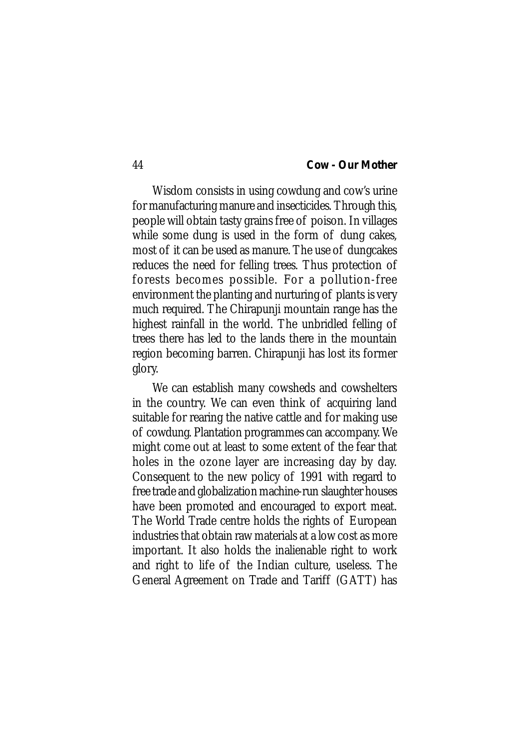Wisdom consists in using cowdung and cow's urine for manufacturing manure and insecticides. Through this, people will obtain tasty grains free of poison. In villages while some dung is used in the form of dung cakes, most of it can be used as manure. The use of dungcakes reduces the need for felling trees. Thus protection of forests becomes possible. For a pollution-free environment the planting and nurturing of plants is very much required. The Chirapunji mountain range has the highest rainfall in the world. The unbridled felling of trees there has led to the lands there in the mountain region becoming barren. Chirapunji has lost its former glory.

We can establish many cowsheds and cowshelters in the country. We can even think of acquiring land suitable for rearing the native cattle and for making use of cowdung. Plantation programmes can accompany. We might come out at least to some extent of the fear that holes in the ozone layer are increasing day by day. Consequent to the new policy of 1991 with regard to free trade and globalization machine-run slaughter houses have been promoted and encouraged to export meat. The World Trade centre holds the rights of European industries that obtain raw materials at a low cost as more important. It also holds the inalienable right to work and right to life of the Indian culture, useless. The General Agreement on Trade and Tariff (GATT) has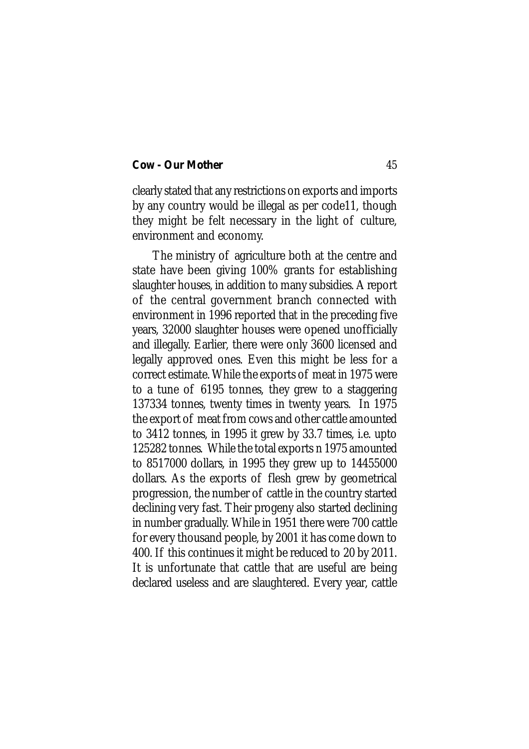clearly stated that any restrictions on exports and imports by any country would be illegal as per code11, though they might be felt necessary in the light of culture, environment and economy.

The ministry of agriculture both at the centre and state have been giving 100% grants for establishing slaughter houses, in addition to many subsidies. A report of the central government branch connected with environment in 1996 reported that in the preceding five years, 32000 slaughter houses were opened unofficially and illegally. Earlier, there were only 3600 licensed and legally approved ones. Even this might be less for a correct estimate. While the exports of meat in 1975 were to a tune of 6195 tonnes, they grew to a staggering 137334 tonnes, twenty times in twenty years. In 1975 the export of meat from cows and other cattle amounted to 3412 tonnes, in 1995 it grew by 33.7 times, i.e. upto 125282 tonnes. While the total exports n 1975 amounted to 8517000 dollars, in 1995 they grew up to 14455000 dollars. As the exports of flesh grew by geometrical progression, the number of cattle in the country started declining very fast. Their progeny also started declining in number gradually. While in 1951 there were 700 cattle for every thousand people, by 2001 it has come down to 400. If this continues it might be reduced to 20 by 2011. It is unfortunate that cattle that are useful are being declared useless and are slaughtered. Every year, cattle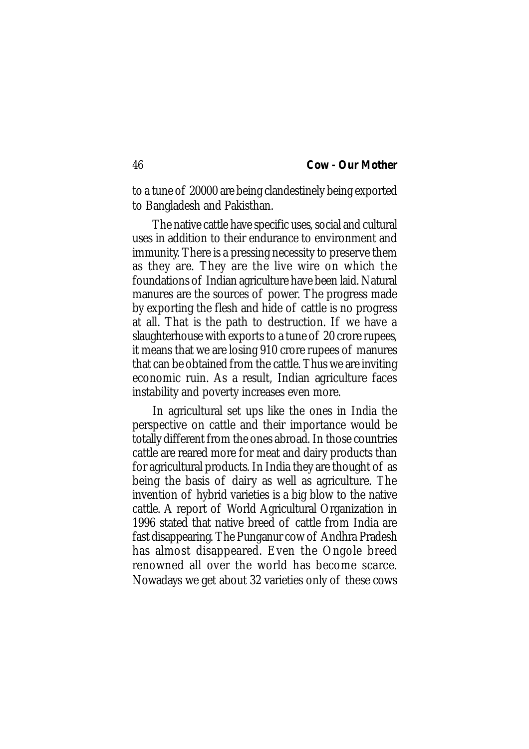to a tune of 20000 are being clandestinely being exported to Bangladesh and Pakisthan.

The native cattle have specific uses, social and cultural uses in addition to their endurance to environment and immunity. There is a pressing necessity to preserve them as they are. They are the live wire on which the foundations of Indian agriculture have been laid. Natural manures are the sources of power. The progress made by exporting the flesh and hide of cattle is no progress at all. That is the path to destruction. If we have a slaughterhouse with exports to a tune of 20 crore rupees, it means that we are losing 910 crore rupees of manures that can be obtained from the cattle. Thus we are inviting economic ruin. As a result, Indian agriculture faces instability and poverty increases even more.

In agricultural set ups like the ones in India the perspective on cattle and their importance would be totally different from the ones abroad. In those countries cattle are reared more for meat and dairy products than for agricultural products. In India they are thought of as being the basis of dairy as well as agriculture. The invention of hybrid varieties is a big blow to the native cattle. A report of World Agricultural Organization in 1996 stated that native breed of cattle from India are fast disappearing. The Punganur cow of Andhra Pradesh has almost disappeared. Even the Ongole breed renowned all over the world has become scarce. Nowadays we get about 32 varieties only of these cows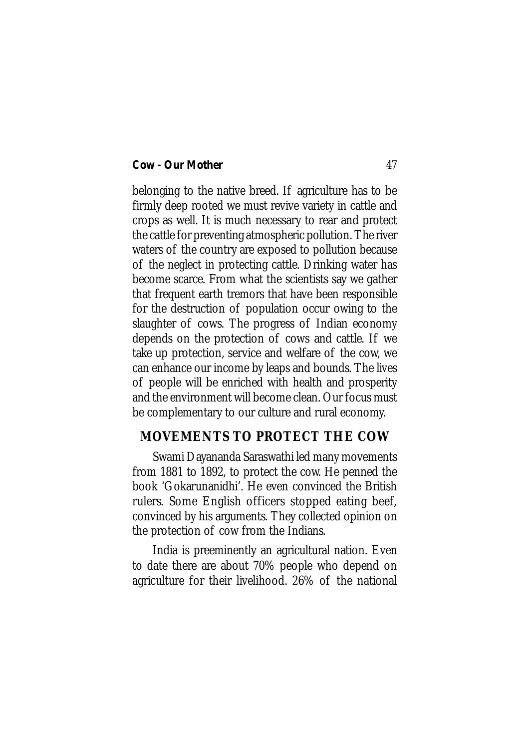belonging to the native breed. If agriculture has to be firmly deep rooted we must revive variety in cattle and crops as well. It is much necessary to rear and protect the cattle for preventing atmospheric pollution. The river waters of the country are exposed to pollution because of the neglect in protecting cattle. Drinking water has become scarce. From what the scientists say we gather that frequent earth tremors that have been responsible for the destruction of population occur owing to the slaughter of cows. The progress of Indian economy depends on the protection of cows and cattle. If we take up protection, service and welfare of the cow, we can enhance our income by leaps and bounds. The lives of people will be enriched with health and prosperity and the environment will become clean. Our focus must be complementary to our culture and rural economy.

# **MOVEMENTS TO PROTECT THE COW**

Swami Dayananda Saraswathi led many movements from 1881 to 1892, to protect the cow. He penned the book 'Gokarunanidhi'. He even convinced the British rulers. Some English officers stopped eating beef, convinced by his arguments. They collected opinion on the protection of cow from the Indians.

India is preeminently an agricultural nation. Even to date there are about 70% people who depend on agriculture for their livelihood. 26% of the national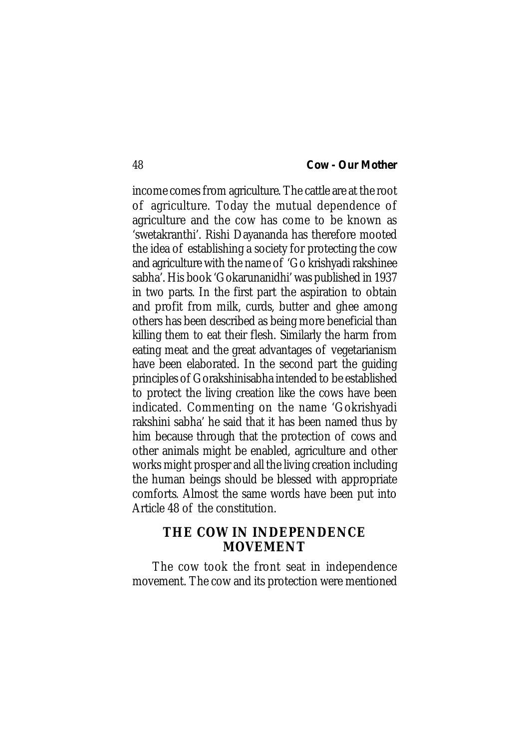income comes from agriculture. The cattle are at the root of agriculture. Today the mutual dependence of agriculture and the cow has come to be known as 'swetakranthi'. Rishi Dayananda has therefore mooted the idea of establishing a society for protecting the cow and agriculture with the name of 'Go krishyadi rakshinee sabha'. His book 'Gokarunanidhi' was published in 1937 in two parts. In the first part the aspiration to obtain and profit from milk, curds, butter and ghee among others has been described as being more beneficial than killing them to eat their flesh. Similarly the harm from eating meat and the great advantages of vegetarianism have been elaborated. In the second part the guiding principles of Gorakshinisabha intended to be established to protect the living creation like the cows have been indicated. Commenting on the name 'Gokrishyadi rakshini sabha' he said that it has been named thus by him because through that the protection of cows and other animals might be enabled, agriculture and other works might prosper and all the living creation including the human beings should be blessed with appropriate comforts. Almost the same words have been put into Article 48 of the constitution.

# **THE COW IN INDEPENDENCE MOVEMENT**

The cow took the front seat in independence movement. The cow and its protection were mentioned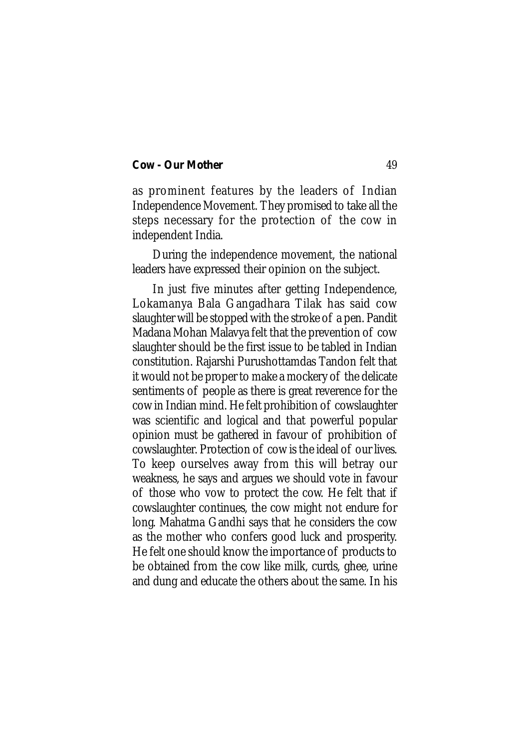as prominent features by the leaders of Indian Independence Movement. They promised to take all the steps necessary for the protection of the cow in independent India.

During the independence movement, the national leaders have expressed their opinion on the subject.

In just five minutes after getting Independence, Lokamanya Bala Gangadhara Tilak has said cow slaughter will be stopped with the stroke of a pen. Pandit Madana Mohan Malavya felt that the prevention of cow slaughter should be the first issue to be tabled in Indian constitution. Rajarshi Purushottamdas Tandon felt that it would not be proper to make a mockery of the delicate sentiments of people as there is great reverence for the cow in Indian mind. He felt prohibition of cowslaughter was scientific and logical and that powerful popular opinion must be gathered in favour of prohibition of cowslaughter. Protection of cow is the ideal of our lives. To keep ourselves away from this will betray our weakness, he says and argues we should vote in favour of those who vow to protect the cow. He felt that if cowslaughter continues, the cow might not endure for long. Mahatma Gandhi says that he considers the cow as the mother who confers good luck and prosperity. He felt one should know the importance of products to be obtained from the cow like milk, curds, ghee, urine and dung and educate the others about the same. In his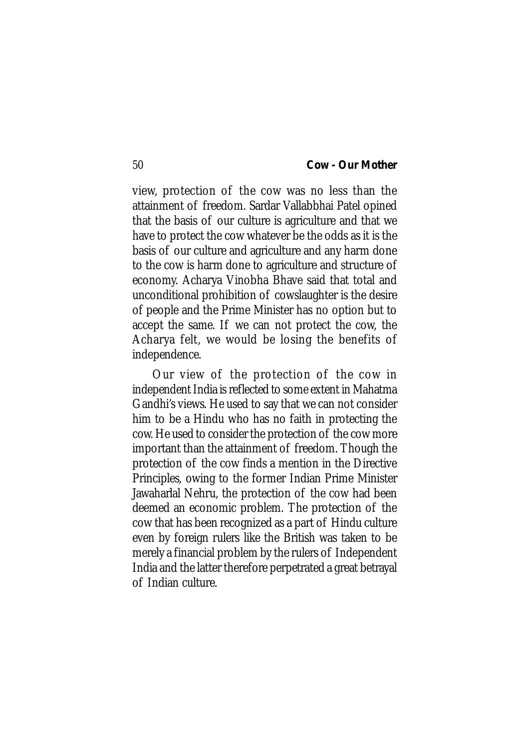view, protection of the cow was no less than the attainment of freedom. Sardar Vallabbhai Patel opined that the basis of our culture is agriculture and that we have to protect the cow whatever be the odds as it is the basis of our culture and agriculture and any harm done to the cow is harm done to agriculture and structure of economy. Acharya Vinobha Bhave said that total and unconditional prohibition of cowslaughter is the desire of people and the Prime Minister has no option but to accept the same. If we can not protect the cow, the Acharya felt, we would be losing the benefits of independence.

Our view of the protection of the cow in independent India is reflected to some extent in Mahatma Gandhi's views. He used to say that we can not consider him to be a Hindu who has no faith in protecting the cow. He used to consider the protection of the cow more important than the attainment of freedom. Though the protection of the cow finds a mention in the Directive Principles, owing to the former Indian Prime Minister Jawaharlal Nehru, the protection of the cow had been deemed an economic problem. The protection of the cow that has been recognized as a part of Hindu culture even by foreign rulers like the British was taken to be merely a financial problem by the rulers of Independent India and the latter therefore perpetrated a great betrayal of Indian culture.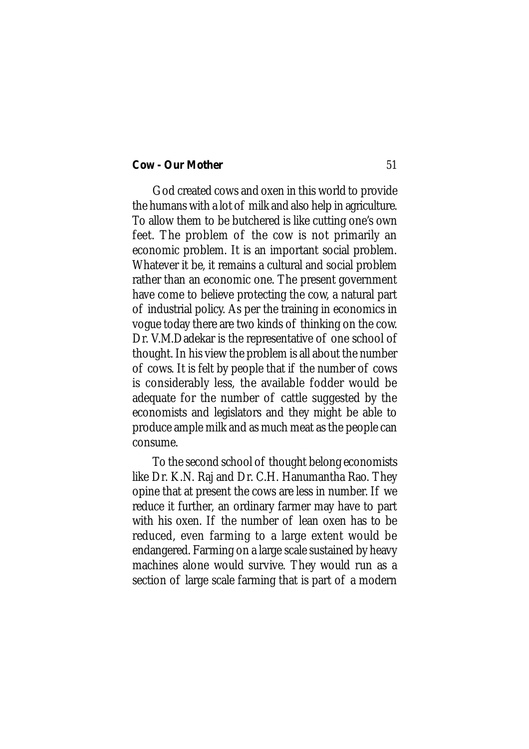God created cows and oxen in this world to provide the humans with a lot of milk and also help in agriculture. To allow them to be butchered is like cutting one's own feet. The problem of the cow is not primarily an economic problem. It is an important social problem. Whatever it be, it remains a cultural and social problem rather than an economic one. The present government have come to believe protecting the cow, a natural part of industrial policy. As per the training in economics in vogue today there are two kinds of thinking on the cow. Dr. V.M.Dadekar is the representative of one school of thought. In his view the problem is all about the number of cows. It is felt by people that if the number of cows is considerably less, the available fodder would be adequate for the number of cattle suggested by the economists and legislators and they might be able to produce ample milk and as much meat as the people can consume.

To the second school of thought belong economists like Dr. K.N. Raj and Dr. C.H. Hanumantha Rao. They opine that at present the cows are less in number. If we reduce it further, an ordinary farmer may have to part with his oxen. If the number of lean oxen has to be reduced, even farming to a large extent would be endangered. Farming on a large scale sustained by heavy machines alone would survive. They would run as a section of large scale farming that is part of a modern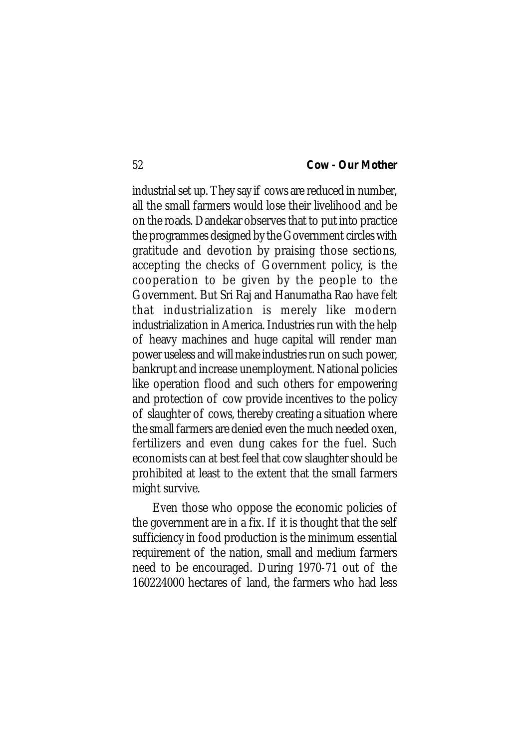industrial set up. They say if cows are reduced in number, all the small farmers would lose their livelihood and be on the roads. Dandekar observes that to put into practice the programmes designed by the Government circles with gratitude and devotion by praising those sections, accepting the checks of Government policy, is the cooperation to be given by the people to the Government. But Sri Raj and Hanumatha Rao have felt that industrialization is merely like modern industrialization in America. Industries run with the help of heavy machines and huge capital will render man power useless and will make industries run on such power, bankrupt and increase unemployment. National policies like operation flood and such others for empowering and protection of cow provide incentives to the policy of slaughter of cows, thereby creating a situation where the small farmers are denied even the much needed oxen, fertilizers and even dung cakes for the fuel. Such economists can at best feel that cow slaughter should be prohibited at least to the extent that the small farmers might survive.

Even those who oppose the economic policies of the government are in a fix. If it is thought that the self sufficiency in food production is the minimum essential requirement of the nation, small and medium farmers need to be encouraged. During 1970-71 out of the 160224000 hectares of land, the farmers who had less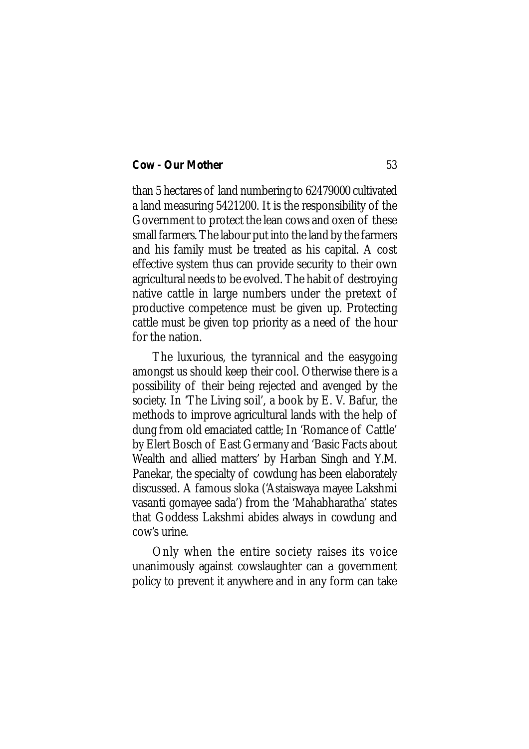than 5 hectares of land numbering to 62479000 cultivated a land measuring 5421200. It is the responsibility of the Government to protect the lean cows and oxen of these small farmers. The labour put into the land by the farmers and his family must be treated as his capital. A cost effective system thus can provide security to their own agricultural needs to be evolved. The habit of destroying native cattle in large numbers under the pretext of productive competence must be given up. Protecting cattle must be given top priority as a need of the hour for the nation.

The luxurious, the tyrannical and the easygoing amongst us should keep their cool. Otherwise there is a possibility of their being rejected and avenged by the society. In 'The Living soil', a book by E. V. Bafur, the methods to improve agricultural lands with the help of dung from old emaciated cattle; In 'Romance of Cattle' by Elert Bosch of East Germany and 'Basic Facts about Wealth and allied matters' by Harban Singh and Y.M. Panekar, the specialty of cowdung has been elaborately discussed. A famous sloka ('Astaiswaya mayee Lakshmi vasanti gomayee sada') from the 'Mahabharatha' states that Goddess Lakshmi abides always in cowdung and cow's urine.

Only when the entire society raises its voice unanimously against cowslaughter can a government policy to prevent it anywhere and in any form can take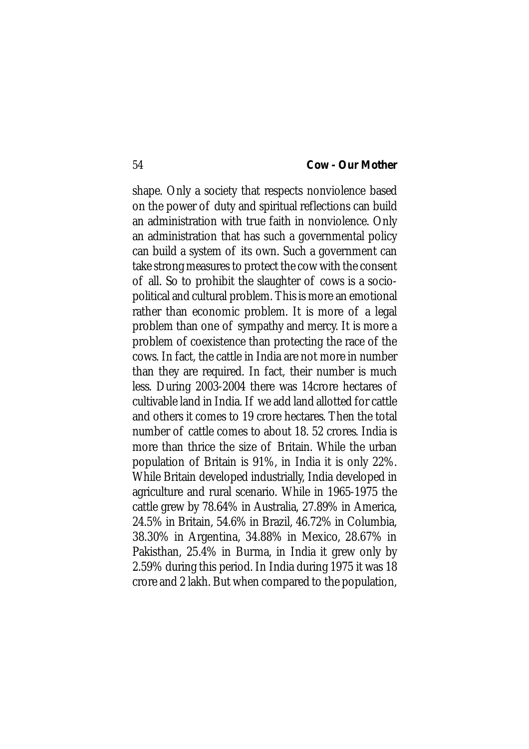shape. Only a society that respects nonviolence based on the power of duty and spiritual reflections can build an administration with true faith in nonviolence. Only an administration that has such a governmental policy can build a system of its own. Such a government can take strong measures to protect the cow with the consent of all. So to prohibit the slaughter of cows is a sociopolitical and cultural problem. This is more an emotional rather than economic problem. It is more of a legal problem than one of sympathy and mercy. It is more a problem of coexistence than protecting the race of the cows. In fact, the cattle in India are not more in number than they are required. In fact, their number is much less. During 2003-2004 there was 14crore hectares of cultivable land in India. If we add land allotted for cattle and others it comes to 19 crore hectares. Then the total number of cattle comes to about 18. 52 crores. India is more than thrice the size of Britain. While the urban population of Britain is 91%, in India it is only 22%. While Britain developed industrially, India developed in agriculture and rural scenario. While in 1965-1975 the cattle grew by 78.64% in Australia, 27.89% in America, 24.5% in Britain, 54.6% in Brazil, 46.72% in Columbia, 38.30% in Argentina, 34.88% in Mexico, 28.67% in Pakisthan, 25.4% in Burma, in India it grew only by 2.59% during this period. In India during 1975 it was 18 crore and 2 lakh. But when compared to the population,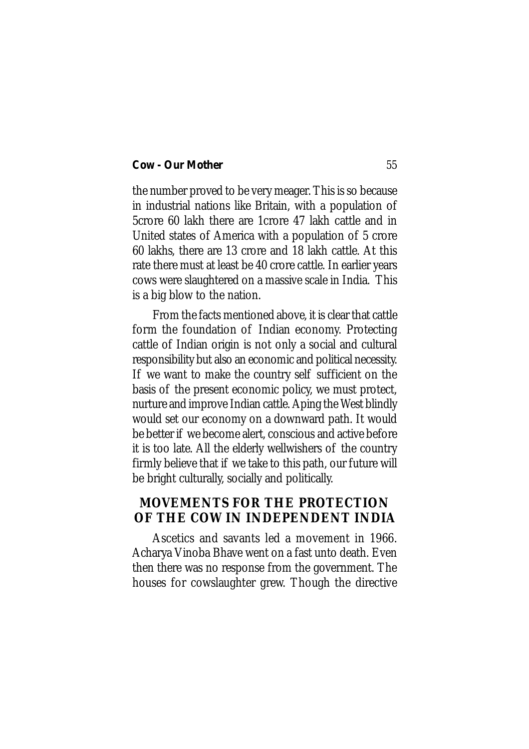the number proved to be very meager. This is so because in industrial nations like Britain, with a population of 5crore 60 lakh there are 1crore 47 lakh cattle and in United states of America with a population of 5 crore 60 lakhs, there are 13 crore and 18 lakh cattle. At this rate there must at least be 40 crore cattle. In earlier years cows were slaughtered on a massive scale in India. This is a big blow to the nation.

From the facts mentioned above, it is clear that cattle form the foundation of Indian economy. Protecting cattle of Indian origin is not only a social and cultural responsibility but also an economic and political necessity. If we want to make the country self sufficient on the basis of the present economic policy, we must protect, nurture and improve Indian cattle. Aping the West blindly would set our economy on a downward path. It would be better if we become alert, conscious and active before it is too late. All the elderly wellwishers of the country firmly believe that if we take to this path, our future will be bright culturally, socially and politically.

# **MOVEMENTS FOR THE PROTECTION OF THE COW IN INDEPENDENT INDIA**

Ascetics and savants led a movement in 1966. Acharya Vinoba Bhave went on a fast unto death. Even then there was no response from the government. The houses for cowslaughter grew. Though the directive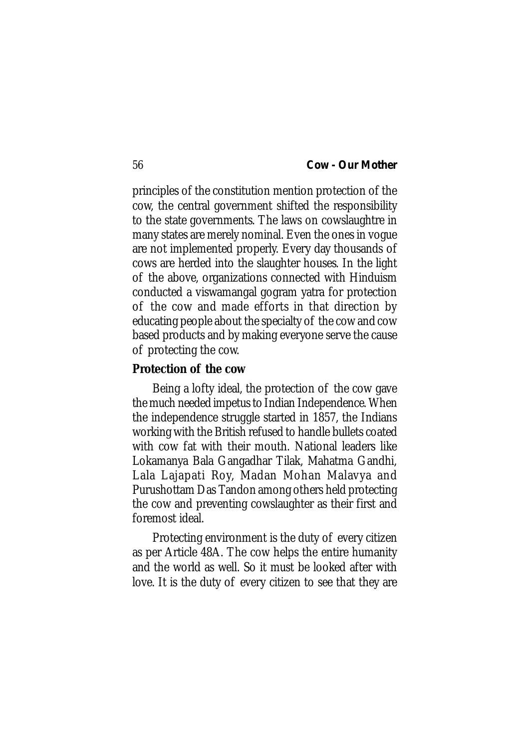principles of the constitution mention protection of the cow, the central government shifted the responsibility to the state governments. The laws on cowslaughtre in many states are merely nominal. Even the ones in vogue are not implemented properly. Every day thousands of cows are herded into the slaughter houses. In the light of the above, organizations connected with Hinduism conducted a viswamangal gogram yatra for protection of the cow and made efforts in that direction by educating people about the specialty of the cow and cow based products and by making everyone serve the cause of protecting the cow.

### **Protection of the cow**

Being a lofty ideal, the protection of the cow gave the much needed impetus to Indian Independence. When the independence struggle started in 1857, the Indians working with the British refused to handle bullets coated with cow fat with their mouth. National leaders like Lokamanya Bala Gangadhar Tilak, Mahatma Gandhi, Lala Lajapati Roy, Madan Mohan Malavya and Purushottam Das Tandon among others held protecting the cow and preventing cowslaughter as their first and foremost ideal.

Protecting environment is the duty of every citizen as per Article 48A. The cow helps the entire humanity and the world as well. So it must be looked after with love. It is the duty of every citizen to see that they are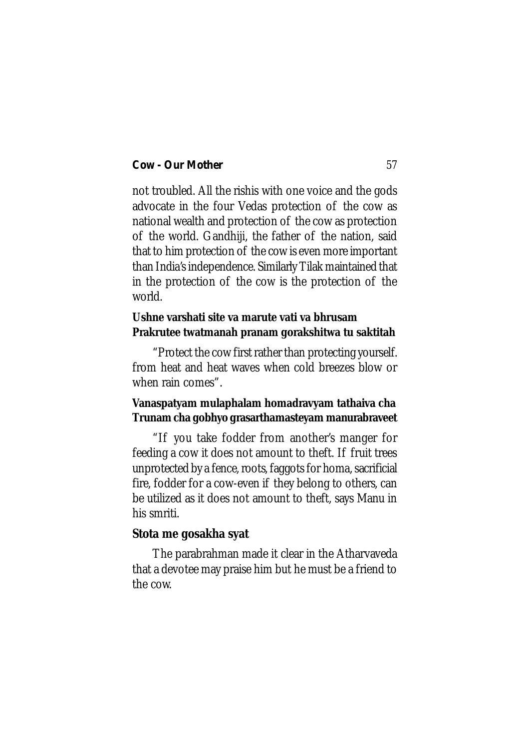not troubled. All the rishis with one voice and the gods advocate in the four Vedas protection of the cow as national wealth and protection of the cow as protection of the world. Gandhiji, the father of the nation, said that to him protection of the cow is even more important than India's independence. Similarly Tilak maintained that in the protection of the cow is the protection of the world.

# **Ushne varshati site va marute vati va bhrusam Prakrutee twatmanah pranam gorakshitwa tu saktitah**

"Protect the cow first rather than protecting yourself. from heat and heat waves when cold breezes blow or when rain comes".

# **Vanaspatyam mulaphalam homadravyam tathaiva cha Trunam cha gobhyo grasarthamasteyam manurabraveet**

"If you take fodder from another's manger for feeding a cow it does not amount to theft. If fruit trees unprotected by a fence, roots, faggots for homa, sacrificial fire, fodder for a cow-even if they belong to others, can be utilized as it does not amount to theft, says Manu in his smriti.

## **Stota me gosakha syat**

The parabrahman made it clear in the Atharvaveda that a devotee may praise him but he must be a friend to the cow.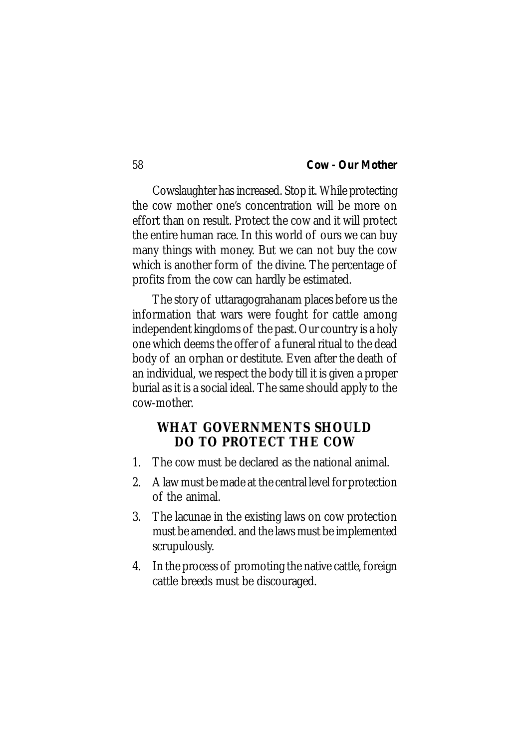Cowslaughter has increased. Stop it. While protecting the cow mother one's concentration will be more on effort than on result. Protect the cow and it will protect the entire human race. In this world of ours we can buy many things with money. But we can not buy the cow which is another form of the divine. The percentage of profits from the cow can hardly be estimated.

The story of uttaragograhanam places before us the information that wars were fought for cattle among independent kingdoms of the past. Our country is a holy one which deems the offer of a funeral ritual to the dead body of an orphan or destitute. Even after the death of an individual, we respect the body till it is given a proper burial as it is a social ideal. The same should apply to the cow-mother.

# **WHAT GOVERNMENTS SHOULD DO TO PROTECT THE COW**

- 1. The cow must be declared as the national animal.
- 2. A law must be made at the central level for protection of the animal.
- 3. The lacunae in the existing laws on cow protection must be amended. and the laws must be implemented scrupulously.
- 4. In the process of promoting the native cattle, foreign cattle breeds must be discouraged.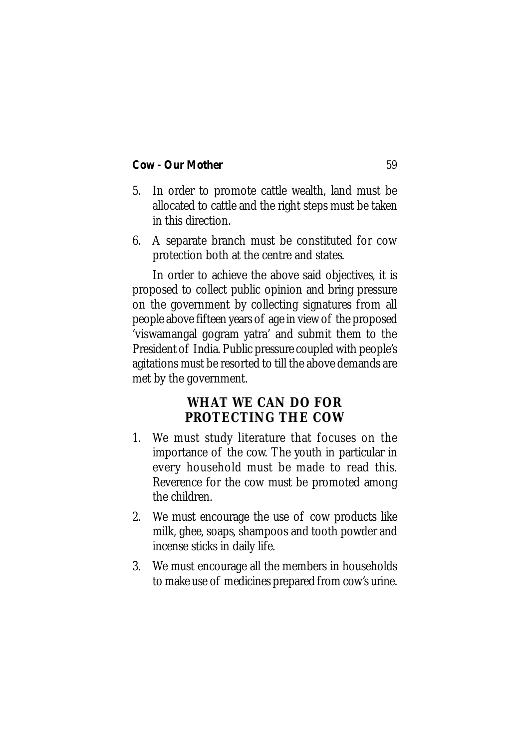- 5. In order to promote cattle wealth, land must be allocated to cattle and the right steps must be taken in this direction.
- 6. A separate branch must be constituted for cow protection both at the centre and states.

In order to achieve the above said objectives, it is proposed to collect public opinion and bring pressure on the government by collecting signatures from all people above fifteen years of age in view of the proposed 'viswamangal gogram yatra' and submit them to the President of India. Public pressure coupled with people's agitations must be resorted to till the above demands are met by the government.

# **WHAT WE CAN DO FOR PROTECTING THE COW**

- 1. We must study literature that focuses on the importance of the cow. The youth in particular in every household must be made to read this. Reverence for the cow must be promoted among the children.
- 2. We must encourage the use of cow products like milk, ghee, soaps, shampoos and tooth powder and incense sticks in daily life.
- 3. We must encourage all the members in households to make use of medicines prepared from cow's urine.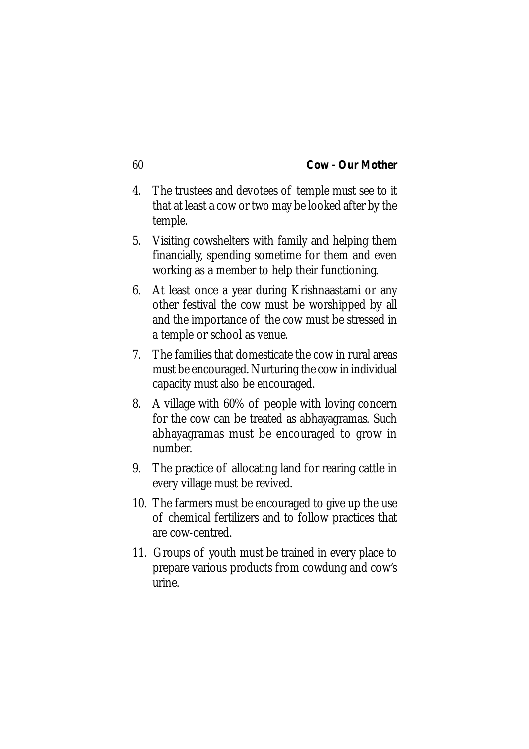- 4. The trustees and devotees of temple must see to it that at least a cow or two may be looked after by the temple.
- 5. Visiting cowshelters with family and helping them financially, spending sometime for them and even working as a member to help their functioning.
- 6. At least once a year during Krishnaastami or any other festival the cow must be worshipped by all and the importance of the cow must be stressed in a temple or school as venue.
- 7. The families that domesticate the cow in rural areas must be encouraged. Nurturing the cow in individual capacity must also be encouraged.
- 8. A village with 60% of people with loving concern for the cow can be treated as abhayagramas. Such abhayagramas must be encouraged to grow in number.
- 9. The practice of allocating land for rearing cattle in every village must be revived.
- 10. The farmers must be encouraged to give up the use of chemical fertilizers and to follow practices that are cow-centred.
- 11. Groups of youth must be trained in every place to prepare various products from cowdung and cow's urine.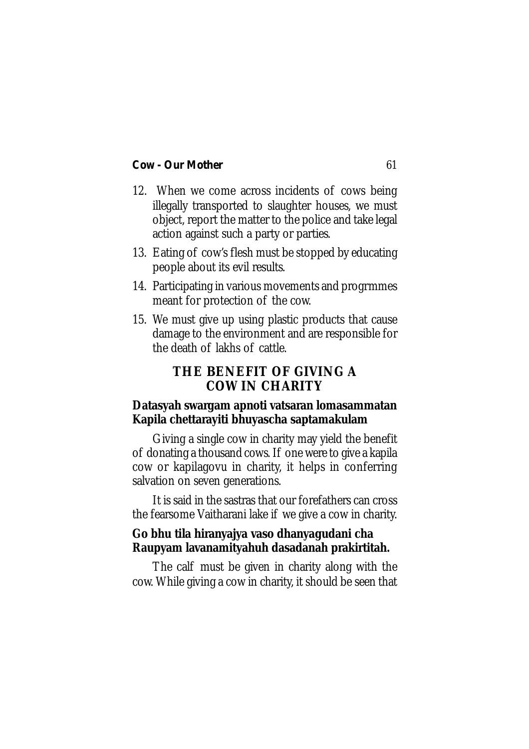- 12. When we come across incidents of cows being illegally transported to slaughter houses, we must object, report the matter to the police and take legal action against such a party or parties.
- 13. Eating of cow's flesh must be stopped by educating people about its evil results.
- 14. Participating in various movements and progrmmes meant for protection of the cow.
- 15. We must give up using plastic products that cause damage to the environment and are responsible for the death of lakhs of cattle.

# **THE BENEFIT OF GIVING A COW IN CHARITY**

# **Datasyah swargam apnoti vatsaran lomasammatan Kapila chettarayiti bhuyascha saptamakulam**

Giving a single cow in charity may yield the benefit of donating a thousand cows. If one were to give a kapila cow or kapilagovu in charity, it helps in conferring salvation on seven generations.

It is said in the sastras that our forefathers can cross the fearsome Vaitharani lake if we give a cow in charity.

# **Go bhu tila hiranyajya vaso dhanyagudani cha Raupyam lavanamityahuh dasadanah prakirtitah.**

The calf must be given in charity along with the cow. While giving a cow in charity, it should be seen that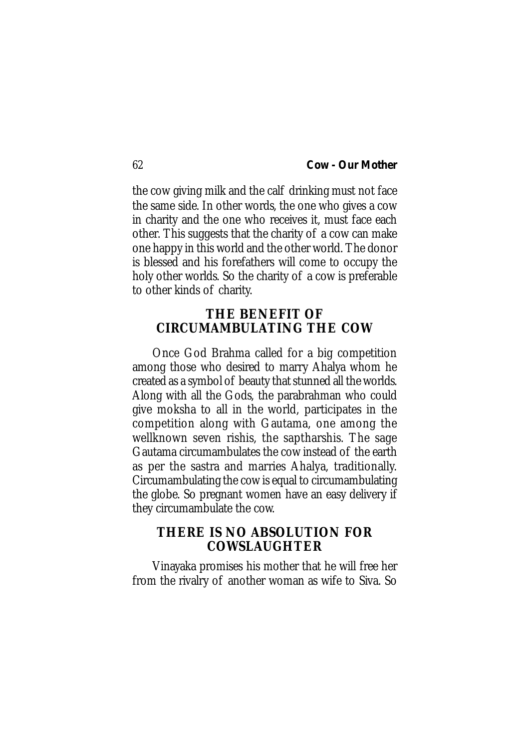the cow giving milk and the calf drinking must not face the same side. In other words, the one who gives a cow in charity and the one who receives it, must face each other. This suggests that the charity of a cow can make one happy in this world and the other world. The donor is blessed and his forefathers will come to occupy the holy other worlds. So the charity of a cow is preferable to other kinds of charity.

# **THE BENEFIT OF CIRCUMAMBULATING THE COW**

Once God Brahma called for a big competition among those who desired to marry Ahalya whom he created as a symbol of beauty that stunned all the worlds. Along with all the Gods, the parabrahman who could give moksha to all in the world, participates in the competition along with Gautama, one among the wellknown seven rishis, the saptharshis. The sage Gautama circumambulates the cow instead of the earth as per the sastra and marries Ahalya, traditionally. Circumambulating the cow is equal to circumambulating the globe. So pregnant women have an easy delivery if they circumambulate the cow.

# **THERE IS NO ABSOLUTION FOR COWSLAUGHTER**

Vinayaka promises his mother that he will free her from the rivalry of another woman as wife to Siva. So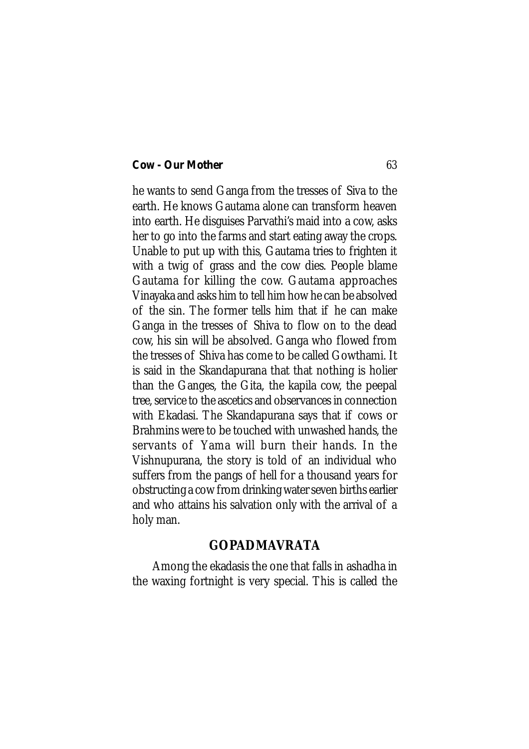he wants to send Ganga from the tresses of Siva to the earth. He knows Gautama alone can transform heaven into earth. He disguises Parvathi's maid into a cow, asks her to go into the farms and start eating away the crops. Unable to put up with this, Gautama tries to frighten it with a twig of grass and the cow dies. People blame Gautama for killing the cow. Gautama approaches Vinayaka and asks him to tell him how he can be absolved of the sin. The former tells him that if he can make Ganga in the tresses of Shiva to flow on to the dead cow, his sin will be absolved. Ganga who flowed from the tresses of Shiva has come to be called Gowthami. It is said in the Skandapurana that that nothing is holier than the Ganges, the Gita, the kapila cow, the peepal tree, service to the ascetics and observances in connection with Ekadasi. The Skandapurana says that if cows or Brahmins were to be touched with unwashed hands, the servants of Yama will burn their hands. In the Vishnupurana, the story is told of an individual who suffers from the pangs of hell for a thousand years for obstructing a cow from drinking water seven births earlier and who attains his salvation only with the arrival of a holy man.

# **GOPADMAVRATA**

Among the ekadasis the one that falls in ashadha in the waxing fortnight is very special. This is called the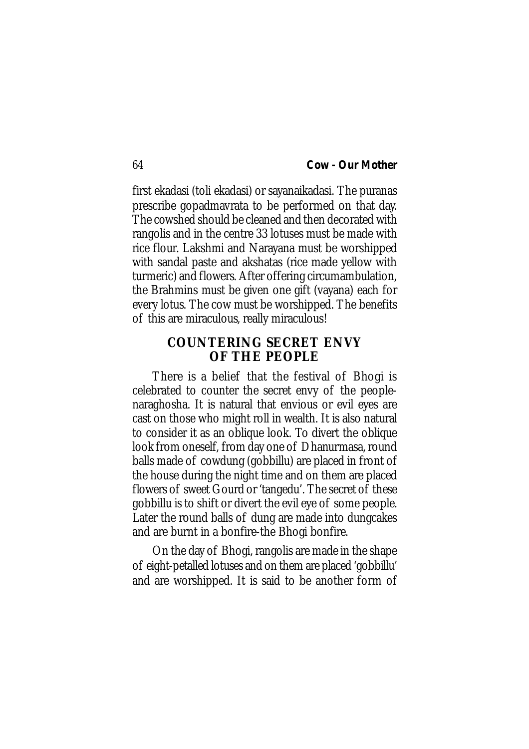first ekadasi (toli ekadasi) or sayanaikadasi. The puranas prescribe gopadmavrata to be performed on that day. The cowshed should be cleaned and then decorated with rangolis and in the centre 33 lotuses must be made with rice flour. Lakshmi and Narayana must be worshipped with sandal paste and akshatas (rice made yellow with turmeric) and flowers. After offering circumambulation, the Brahmins must be given one gift (vayana) each for every lotus. The cow must be worshipped. The benefits of this are miraculous, really miraculous!

# **COUNTERING SECRET ENVY OF THE PEOPLE**

There is a belief that the festival of Bhogi is celebrated to counter the secret envy of the peoplenaraghosha. It is natural that envious or evil eyes are cast on those who might roll in wealth. It is also natural to consider it as an oblique look. To divert the oblique look from oneself, from day one of Dhanurmasa, round balls made of cowdung (gobbillu) are placed in front of the house during the night time and on them are placed flowers of sweet Gourd or 'tangedu'. The secret of these gobbillu is to shift or divert the evil eye of some people. Later the round balls of dung are made into dungcakes and are burnt in a bonfire-the Bhogi bonfire.

On the day of Bhogi, rangolis are made in the shape of eight-petalled lotuses and on them are placed 'gobbillu' and are worshipped. It is said to be another form of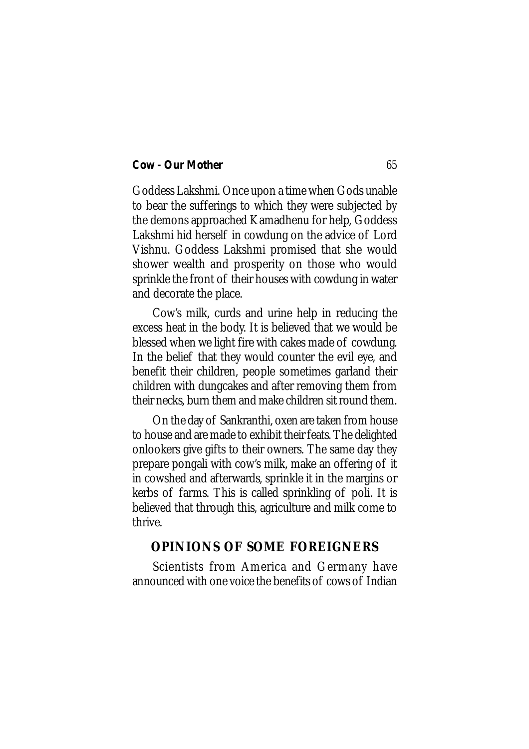Goddess Lakshmi. Once upon a time when Gods unable to bear the sufferings to which they were subjected by the demons approached Kamadhenu for help, Goddess Lakshmi hid herself in cowdung on the advice of Lord Vishnu. Goddess Lakshmi promised that she would shower wealth and prosperity on those who would sprinkle the front of their houses with cowdung in water and decorate the place.

Cow's milk, curds and urine help in reducing the excess heat in the body. It is believed that we would be blessed when we light fire with cakes made of cowdung. In the belief that they would counter the evil eye, and benefit their children, people sometimes garland their children with dungcakes and after removing them from their necks, burn them and make children sit round them.

On the day of Sankranthi, oxen are taken from house to house and are made to exhibit their feats. The delighted onlookers give gifts to their owners. The same day they prepare pongali with cow's milk, make an offering of it in cowshed and afterwards, sprinkle it in the margins or kerbs of farms. This is called sprinkling of poli. It is believed that through this, agriculture and milk come to thrive.

# **OPINIONS OF SOME FOREIGNERS**

Scientists from America and Germany have announced with one voice the benefits of cows of Indian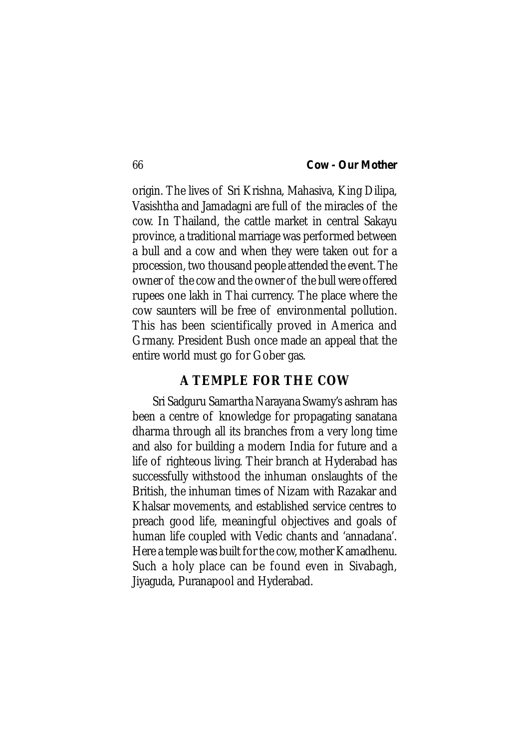origin. The lives of Sri Krishna, Mahasiva, King Dilipa, Vasishtha and Jamadagni are full of the miracles of the cow. In Thailand, the cattle market in central Sakayu province, a traditional marriage was performed between a bull and a cow and when they were taken out for a procession, two thousand people attended the event. The owner of the cow and the owner of the bull were offered rupees one lakh in Thai currency. The place where the cow saunters will be free of environmental pollution. This has been scientifically proved in America and Grmany. President Bush once made an appeal that the entire world must go for Gober gas.

# **A TEMPLE FOR THE COW**

Sri Sadguru Samartha Narayana Swamy's ashram has been a centre of knowledge for propagating sanatana dharma through all its branches from a very long time and also for building a modern India for future and a life of righteous living. Their branch at Hyderabad has successfully withstood the inhuman onslaughts of the British, the inhuman times of Nizam with Razakar and Khalsar movements, and established service centres to preach good life, meaningful objectives and goals of human life coupled with Vedic chants and 'annadana'. Here a temple was built for the cow, mother Kamadhenu. Such a holy place can be found even in Sivabagh, Jiyaguda, Puranapool and Hyderabad.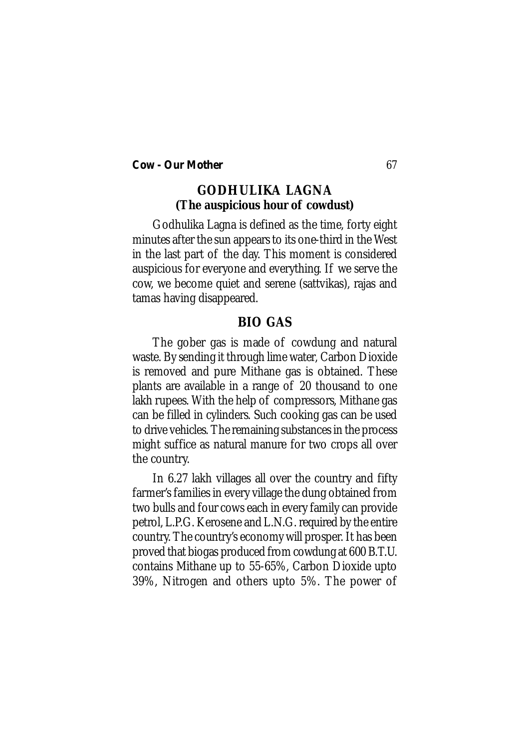# **GODHULIKA LAGNA (The auspicious hour of cowdust)**

Godhulika Lagna is defined as the time, forty eight minutes after the sun appears to its one-third in the West in the last part of the day. This moment is considered auspicious for everyone and everything. If we serve the cow, we become quiet and serene (sattvikas), rajas and tamas having disappeared.

# **BIO GAS**

The gober gas is made of cowdung and natural waste. By sending it through lime water, Carbon Dioxide is removed and pure Mithane gas is obtained. These plants are available in a range of 20 thousand to one lakh rupees. With the help of compressors, Mithane gas can be filled in cylinders. Such cooking gas can be used to drive vehicles. The remaining substances in the process might suffice as natural manure for two crops all over the country.

In 6.27 lakh villages all over the country and fifty farmer's families in every village the dung obtained from two bulls and four cows each in every family can provide petrol, L.P.G. Kerosene and L.N.G. required by the entire country. The country's economy will prosper. It has been proved that biogas produced from cowdung at 600 B.T.U. contains Mithane up to 55-65%, Carbon Dioxide upto 39%, Nitrogen and others upto 5%. The power of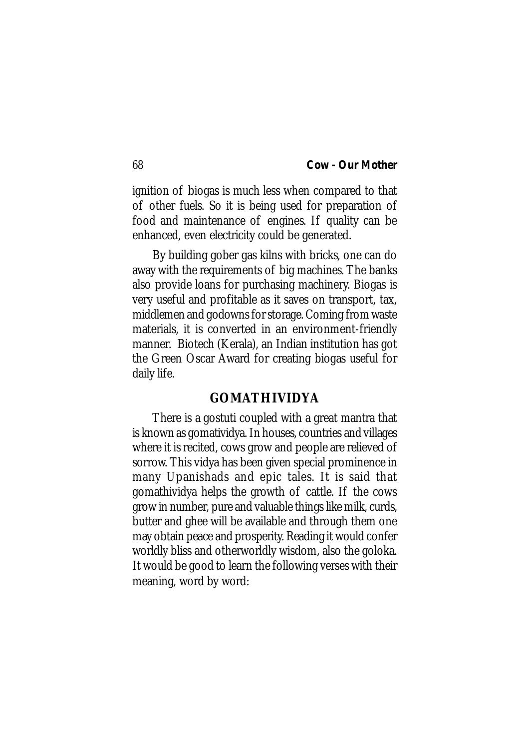ignition of biogas is much less when compared to that of other fuels. So it is being used for preparation of food and maintenance of engines. If quality can be enhanced, even electricity could be generated.

By building gober gas kilns with bricks, one can do away with the requirements of big machines. The banks also provide loans for purchasing machinery. Biogas is very useful and profitable as it saves on transport, tax, middlemen and godowns for storage. Coming from waste materials, it is converted in an environment-friendly manner. Biotech (Kerala), an Indian institution has got the Green Oscar Award for creating biogas useful for daily life.

## **GOMATHIVIDYA**

There is a gostuti coupled with a great mantra that is known as gomatividya. In houses, countries and villages where it is recited, cows grow and people are relieved of sorrow. This vidya has been given special prominence in many Upanishads and epic tales. It is said that gomathividya helps the growth of cattle. If the cows grow in number, pure and valuable things like milk, curds, butter and ghee will be available and through them one may obtain peace and prosperity. Reading it would confer worldly bliss and otherworldly wisdom, also the goloka. It would be good to learn the following verses with their meaning, word by word: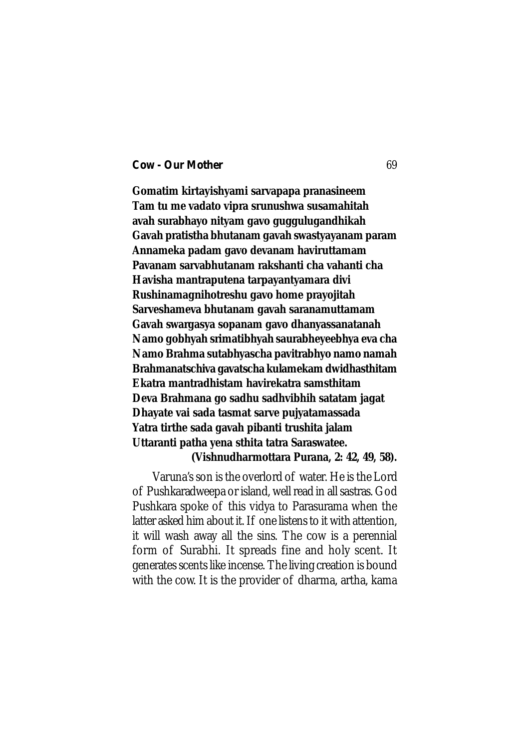**Gomatim kirtayishyami sarvapapa pranasineem Tam tu me vadato vipra srunushwa susamahitah avah surabhayo nityam gavo guggulugandhikah Gavah pratistha bhutanam gavah swastyayanam param Annameka padam gavo devanam haviruttamam Pavanam sarvabhutanam rakshanti cha vahanti cha Havisha mantraputena tarpayantyamara divi Rushinamagnihotreshu gavo home prayojitah Sarveshameva bhutanam gavah saranamuttamam Gavah swargasya sopanam gavo dhanyassanatanah Namo gobhyah srimatibhyah saurabheyeebhya eva cha Namo Brahma sutabhyascha pavitrabhyo namo namah Brahmanatschiva gavatscha kulamekam dwidhasthitam Ekatra mantradhistam havirekatra samsthitam Deva Brahmana go sadhu sadhvibhih satatam jagat Dhayate vai sada tasmat sarve pujyatamassada Yatra tirthe sada gavah pibanti trushita jalam Uttaranti patha yena sthita tatra Saraswatee.**

#### **(Vishnudharmottara Purana, 2: 42, 49, 58).**

Varuna's son is the overlord of water. He is the Lord of Pushkaradweepa or island, well read in all sastras. God Pushkara spoke of this vidya to Parasurama when the latter asked him about it. If one listens to it with attention, it will wash away all the sins. The cow is a perennial form of Surabhi. It spreads fine and holy scent. It generates scents like incense. The living creation is bound with the cow. It is the provider of dharma, artha, kama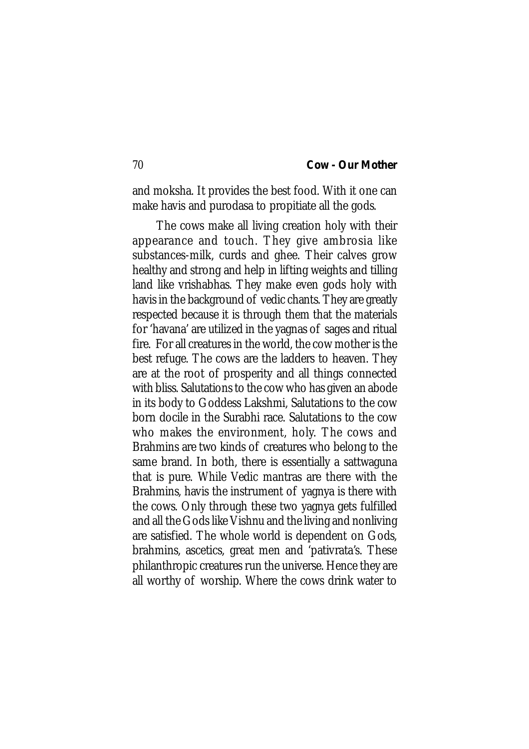and moksha. It provides the best food. With it one can make havis and purodasa to propitiate all the gods.

 The cows make all living creation holy with their appearance and touch. They give ambrosia like substances-milk, curds and ghee. Their calves grow healthy and strong and help in lifting weights and tilling land like vrishabhas. They make even gods holy with havis in the background of vedic chants. They are greatly respected because it is through them that the materials for 'havana' are utilized in the yagnas of sages and ritual fire. For all creatures in the world, the cow mother is the best refuge. The cows are the ladders to heaven. They are at the root of prosperity and all things connected with bliss. Salutations to the cow who has given an abode in its body to Goddess Lakshmi, Salutations to the cow born docile in the Surabhi race. Salutations to the cow who makes the environment, holy. The cows and Brahmins are two kinds of creatures who belong to the same brand. In both, there is essentially a sattwaguna that is pure. While Vedic mantras are there with the Brahmins, havis the instrument of yagnya is there with the cows. Only through these two yagnya gets fulfilled and all the Gods like Vishnu and the living and nonliving are satisfied. The whole world is dependent on Gods, brahmins, ascetics, great men and 'pativrata's. These philanthropic creatures run the universe. Hence they are all worthy of worship. Where the cows drink water to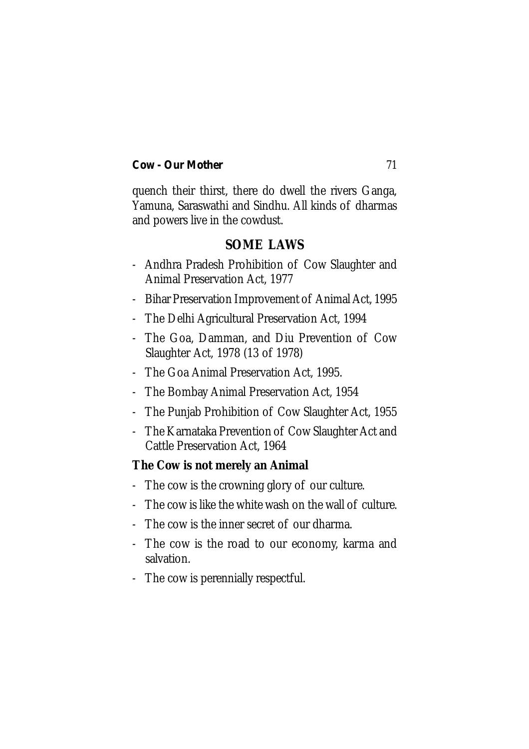quench their thirst, there do dwell the rivers Ganga, Yamuna, Saraswathi and Sindhu. All kinds of dharmas and powers live in the cowdust.

# **SOME LAWS**

- Andhra Pradesh Prohibition of Cow Slaughter and Animal Preservation Act, 1977
- Bihar Preservation Improvement of Animal Act, 1995
- The Delhi Agricultural Preservation Act, 1994
- The Goa, Damman, and Diu Prevention of Cow Slaughter Act, 1978 (13 of 1978)
- The Goa Animal Preservation Act, 1995.
- The Bombay Animal Preservation Act, 1954
- The Punjab Prohibition of Cow Slaughter Act, 1955
- The Karnataka Prevention of Cow Slaughter Act and Cattle Preservation Act, 1964

# **The Cow is not merely an Animal**

- The cow is the crowning glory of our culture.
- The cow is like the white wash on the wall of culture.
- The cow is the inner secret of our dharma.
- The cow is the road to our economy, karma and salvation.
- The cow is perennially respectful.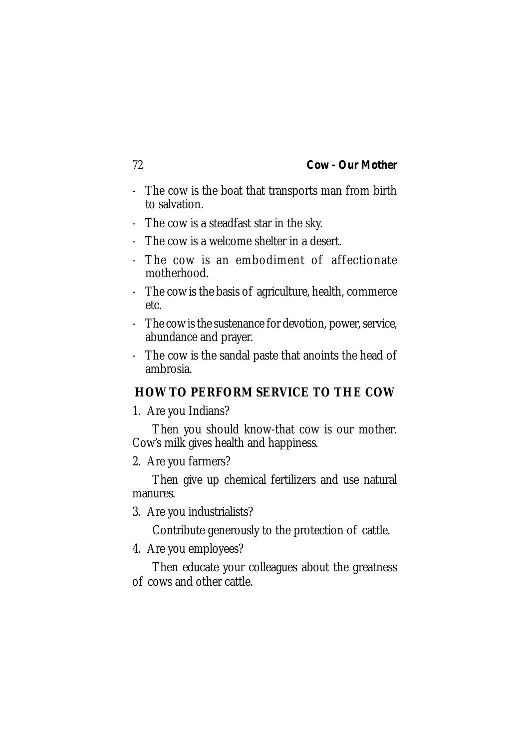- The cow is the boat that transports man from birth to salvation.
- The cow is a steadfast star in the sky.
- The cow is a welcome shelter in a desert.
- The cow is an embodiment of affectionate motherhood.
- The cow is the basis of agriculture, health, commerce etc.
- The cow is the sustenance for devotion, power, service, abundance and prayer.
- The cow is the sandal paste that anoints the head of ambrosia.

# **HOW TO PERFORM SERVICE TO THE COW**

1. Are you Indians?

Then you should know-that cow is our mother. Cow's milk gives health and happiness.

2. Are you farmers?

Then give up chemical fertilizers and use natural manures.

3. Are you industrialists?

Contribute generously to the protection of cattle.

4. Are you employees?

Then educate your colleagues about the greatness of cows and other cattle.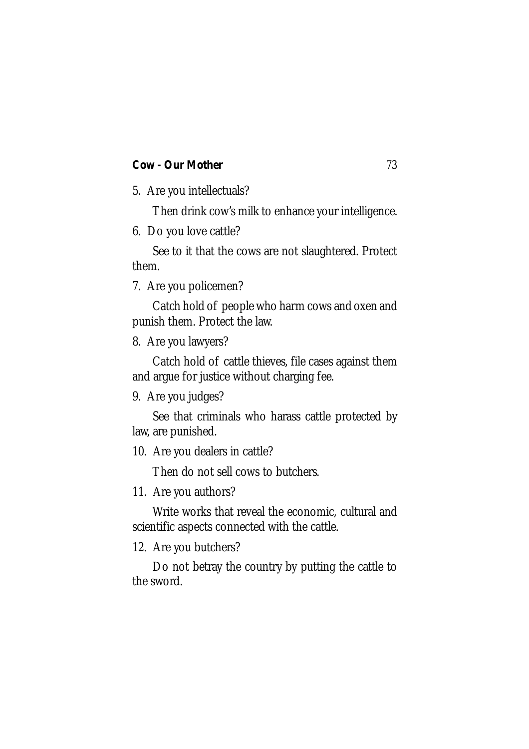5. Are you intellectuals?

Then drink cow's milk to enhance your intelligence.

6. Do you love cattle?

See to it that the cows are not slaughtered. Protect them.

7. Are you policemen?

Catch hold of people who harm cows and oxen and punish them. Protect the law.

8. Are you lawyers?

Catch hold of cattle thieves, file cases against them and argue for justice without charging fee.

9. Are you judges?

See that criminals who harass cattle protected by law, are punished.

10. Are you dealers in cattle?

Then do not sell cows to butchers.

11. Are you authors?

Write works that reveal the economic, cultural and scientific aspects connected with the cattle.

12. Are you butchers?

Do not betray the country by putting the cattle to the sword.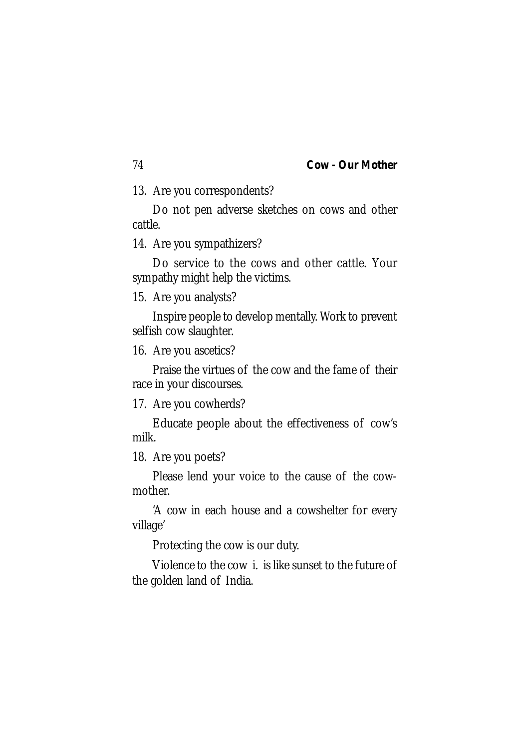13. Are you correspondents?

Do not pen adverse sketches on cows and other cattle.

14. Are you sympathizers?

Do service to the cows and other cattle. Your sympathy might help the victims.

15. Are you analysts?

Inspire people to develop mentally. Work to prevent selfish cow slaughter.

16. Are you ascetics?

Praise the virtues of the cow and the fame of their race in your discourses.

17. Are you cowherds?

Educate people about the effectiveness of cow's milk.

18. Are you poets?

Please lend your voice to the cause of the cowmother.

'A cow in each house and a cowshelter for every village'

Protecting the cow is our duty.

Violence to the cow i. is like sunset to the future of the golden land of India.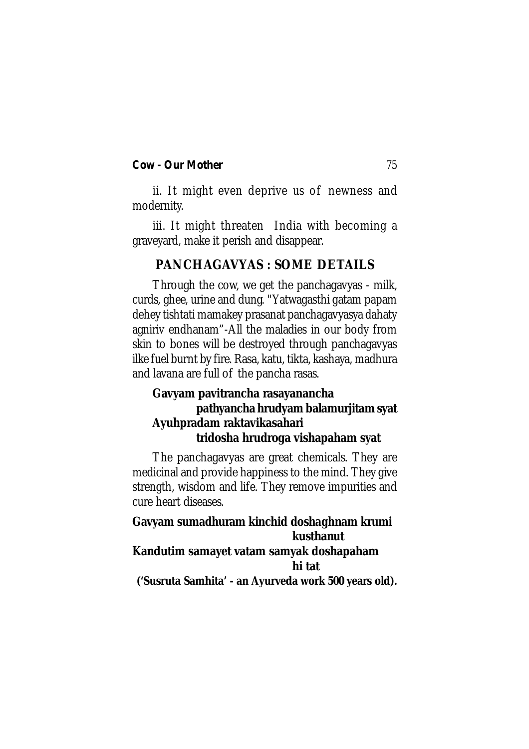ii. It might even deprive us of newness and modernity.

iii. It might threaten India with becoming a graveyard, make it perish and disappear.

# **PANCHAGAVYAS : SOME DETAILS**

Through the cow, we get the panchagavyas - milk, curds, ghee, urine and dung. "Yatwagasthi gatam papam dehey tishtati mamakey prasanat panchagavyasya dahaty agniriv endhanam"-All the maladies in our body from skin to bones will be destroyed through panchagavyas ilke fuel burnt by fire. Rasa, katu, tikta, kashaya, madhura and lavana are full of the pancha rasas.

# **Gavyam pavitrancha rasayanancha pathyancha hrudyam balamurjitam syat Ayuhpradam raktavikasahari tridosha hrudroga vishapaham syat**

The panchagavyas are great chemicals. They are medicinal and provide happiness to the mind. They give strength, wisdom and life. They remove impurities and cure heart diseases.

# **Gavyam sumadhuram kinchid doshaghnam krumi kusthanut Kandutim samayet vatam samyak doshapaham hi tat**

**('Susruta Samhita' - an Ayurveda work 500 years old).**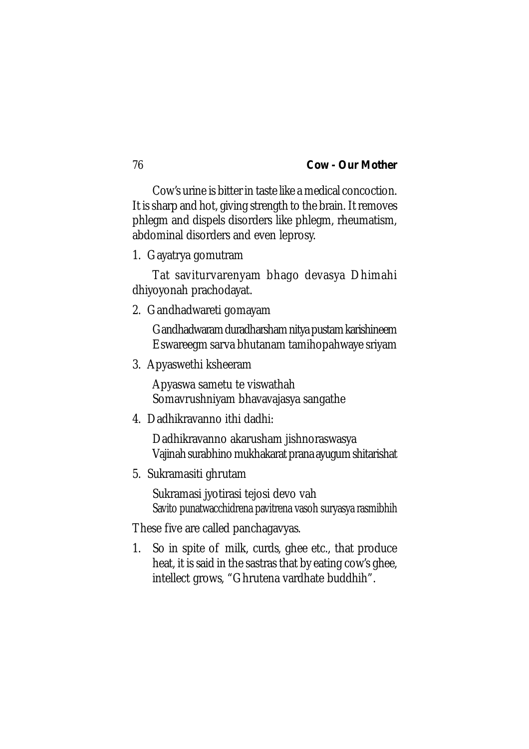Cow's urine is bitter in taste like a medical concoction. It is sharp and hot, giving strength to the brain. It removes phlegm and dispels disorders like phlegm, rheumatism, abdominal disorders and even leprosy.

1. Gayatrya gomutram

Tat saviturvarenyam bhago devasya Dhimahi dhiyoyonah prachodayat.

2. Gandhadwareti gomayam

Gandhadwaram duradharsham nitya pustam karishineem Eswareegm sarva bhutanam tamihopahwaye sriyam

3. Apyaswethi ksheeram

Apyaswa sametu te viswathah Somavrushniyam bhavavajasya sangathe

4. Dadhikravanno ithi dadhi:

Dadhikravanno akarusham jishnoraswasya Vajinah surabhino mukhakarat prana ayugum shitarishat

5. Sukramasiti ghrutam

Sukramasi jyotirasi tejosi devo vah Savito punatwacchidrena pavitrena vasoh suryasya rasmibhih

These five are called panchagavyas.

1. So in spite of milk, curds, ghee etc., that produce heat, it is said in the sastras that by eating cow's ghee, intellect grows, "Ghrutena vardhate buddhih".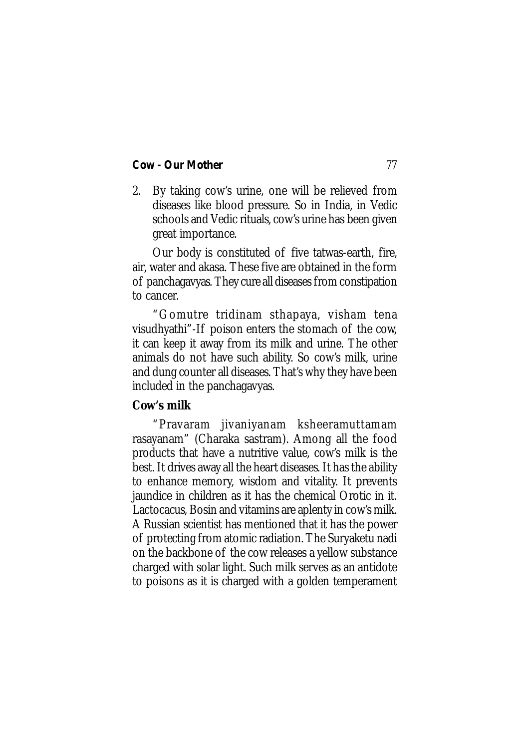2. By taking cow's urine, one will be relieved from diseases like blood pressure. So in India, in Vedic schools and Vedic rituals, cow's urine has been given great importance.

Our body is constituted of five tatwas-earth, fire, air, water and akasa. These five are obtained in the form of panchagavyas. They cure all diseases from constipation to cancer.

"Gomutre tridinam sthapaya, visham tena visudhyathi"-If poison enters the stomach of the cow, it can keep it away from its milk and urine. The other animals do not have such ability. So cow's milk, urine and dung counter all diseases. That's why they have been included in the panchagavyas.

# **Cow's milk**

"Pravaram jivaniyanam ksheeramuttamam rasayanam" (Charaka sastram). Among all the food products that have a nutritive value, cow's milk is the best. It drives away all the heart diseases. It has the ability to enhance memory, wisdom and vitality. It prevents jaundice in children as it has the chemical Orotic in it. Lactocacus, Bosin and vitamins are aplenty in cow's milk. A Russian scientist has mentioned that it has the power of protecting from atomic radiation. The Suryaketu nadi on the backbone of the cow releases a yellow substance charged with solar light. Such milk serves as an antidote to poisons as it is charged with a golden temperament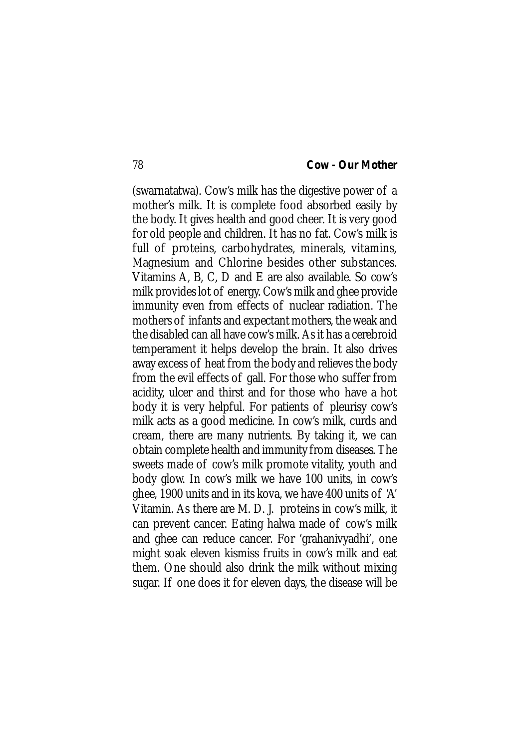(swarnatatwa). Cow's milk has the digestive power of a mother's milk. It is complete food absorbed easily by the body. It gives health and good cheer. It is very good for old people and children. It has no fat. Cow's milk is full of proteins, carbohydrates, minerals, vitamins, Magnesium and Chlorine besides other substances. Vitamins A, B, C, D and E are also available. So cow's milk provides lot of energy. Cow's milk and ghee provide immunity even from effects of nuclear radiation. The mothers of infants and expectant mothers, the weak and the disabled can all have cow's milk. As it has a cerebroid temperament it helps develop the brain. It also drives away excess of heat from the body and relieves the body from the evil effects of gall. For those who suffer from acidity, ulcer and thirst and for those who have a hot body it is very helpful. For patients of pleurisy cow's milk acts as a good medicine. In cow's milk, curds and cream, there are many nutrients. By taking it, we can obtain complete health and immunity from diseases. The sweets made of cow's milk promote vitality, youth and body glow. In cow's milk we have 100 units, in cow's ghee, 1900 units and in its kova, we have 400 units of 'A' Vitamin. As there are M. D. J. proteins in cow's milk, it can prevent cancer. Eating halwa made of cow's milk and ghee can reduce cancer. For 'grahanivyadhi', one might soak eleven kismiss fruits in cow's milk and eat them. One should also drink the milk without mixing sugar. If one does it for eleven days, the disease will be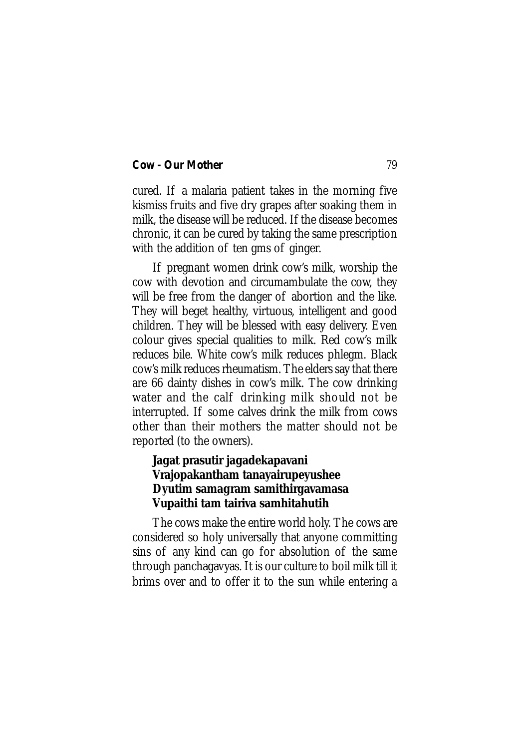cured. If a malaria patient takes in the morning five kismiss fruits and five dry grapes after soaking them in milk, the disease will be reduced. If the disease becomes chronic, it can be cured by taking the same prescription with the addition of ten gms of ginger.

If pregnant women drink cow's milk, worship the cow with devotion and circumambulate the cow, they will be free from the danger of abortion and the like. They will beget healthy, virtuous, intelligent and good children. They will be blessed with easy delivery. Even colour gives special qualities to milk. Red cow's milk reduces bile. White cow's milk reduces phlegm. Black cow's milk reduces rheumatism. The elders say that there are 66 dainty dishes in cow's milk. The cow drinking water and the calf drinking milk should not be interrupted. If some calves drink the milk from cows other than their mothers the matter should not be reported (to the owners).

# **Jagat prasutir jagadekapavani Vrajopakantham tanayairupeyushee Dyutim samagram samithirgavamasa Vupaithi tam tairiva samhitahutih**

The cows make the entire world holy. The cows are considered so holy universally that anyone committing sins of any kind can go for absolution of the same through panchagavyas. It is our culture to boil milk till it brims over and to offer it to the sun while entering a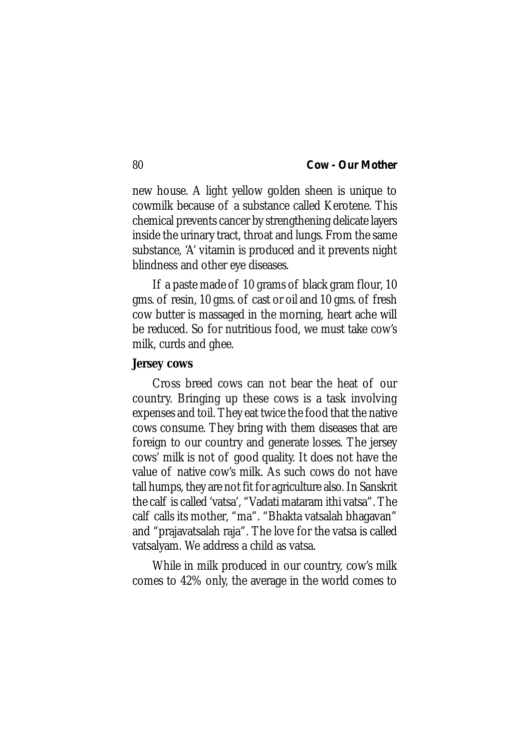new house. A light yellow golden sheen is unique to cowmilk because of a substance called Kerotene. This chemical prevents cancer by strengthening delicate layers inside the urinary tract, throat and lungs. From the same substance, 'A' vitamin is produced and it prevents night blindness and other eye diseases.

If a paste made of 10 grams of black gram flour, 10 gms. of resin, 10 gms. of cast or oil and 10 gms. of fresh cow butter is massaged in the morning, heart ache will be reduced. So for nutritious food, we must take cow's milk, curds and ghee.

#### **Jersey cows**

Cross breed cows can not bear the heat of our country. Bringing up these cows is a task involving expenses and toil. They eat twice the food that the native cows consume. They bring with them diseases that are foreign to our country and generate losses. The jersey cows' milk is not of good quality. It does not have the value of native cow's milk. As such cows do not have tall humps, they are not fit for agriculture also. In Sanskrit the calf is called 'vatsa', "Vadati mataram ithi vatsa". The calf calls its mother, "ma". "Bhakta vatsalah bhagavan" and "prajavatsalah raja". The love for the vatsa is called vatsalyam. We address a child as vatsa.

While in milk produced in our country, cow's milk comes to 42% only, the average in the world comes to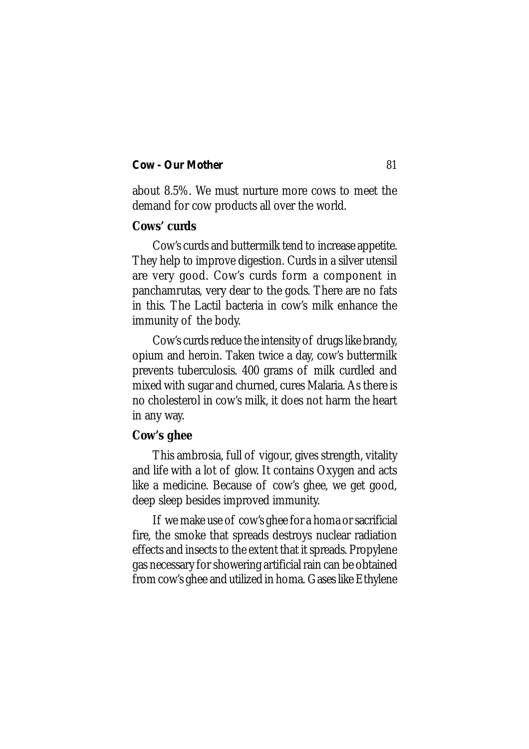about 8.5%. We must nurture more cows to meet the demand for cow products all over the world.

# **Cows' curds**

Cow's curds and buttermilk tend to increase appetite. They help to improve digestion. Curds in a silver utensil are very good. Cow's curds form a component in panchamrutas, very dear to the gods. There are no fats in this. The Lactil bacteria in cow's milk enhance the immunity of the body.

Cow's curds reduce the intensity of drugs like brandy, opium and heroin. Taken twice a day, cow's buttermilk prevents tuberculosis. 400 grams of milk curdled and mixed with sugar and churned, cures Malaria. As there is no cholesterol in cow's milk, it does not harm the heart in any way.

## **Cow's ghee**

This ambrosia, full of vigour, gives strength, vitality and life with a lot of glow. It contains Oxygen and acts like a medicine. Because of cow's ghee, we get good, deep sleep besides improved immunity.

If we make use of cow's ghee for a homa or sacrificial fire, the smoke that spreads destroys nuclear radiation effects and insects to the extent that it spreads. Propylene gas necessary for showering artificial rain can be obtained from cow's ghee and utilized in homa. Gases like Ethylene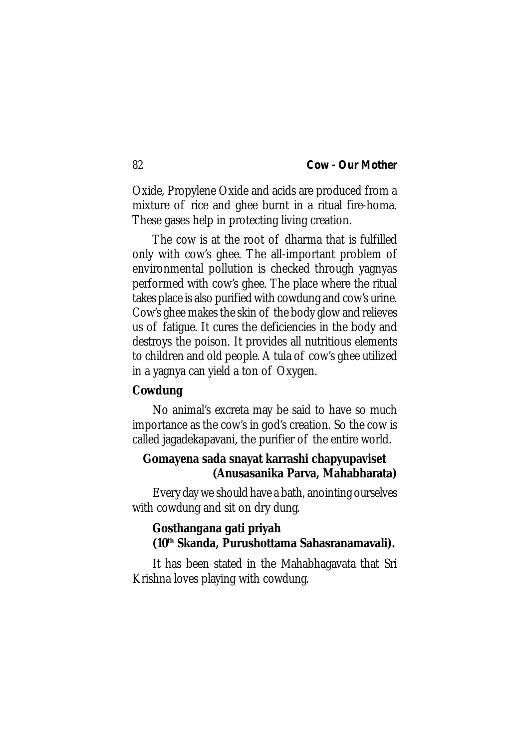Oxide, Propylene Oxide and acids are produced from a mixture of rice and ghee burnt in a ritual fire-homa. These gases help in protecting living creation.

The cow is at the root of dharma that is fulfilled only with cow's ghee. The all-important problem of environmental pollution is checked through yagnyas performed with cow's ghee. The place where the ritual takes place is also purified with cowdung and cow's urine. Cow's ghee makes the skin of the body glow and relieves us of fatigue. It cures the deficiencies in the body and destroys the poison. It provides all nutritious elements to children and old people. A tula of cow's ghee utilized in a yagnya can yield a ton of Oxygen.

# **Cowdung**

No animal's excreta may be said to have so much importance as the cow's in god's creation. So the cow is called jagadekapavani, the purifier of the entire world.

# **Gomayena sada snayat karrashi chapyupaviset (Anusasanika Parva, Mahabharata)**

Every day we should have a bath, anointing ourselves with cowdung and sit on dry dung.

# **Gosthangana gati priyah (10th Skanda, Purushottama Sahasranamavali).**

It has been stated in the Mahabhagavata that Sri Krishna loves playing with cowdung.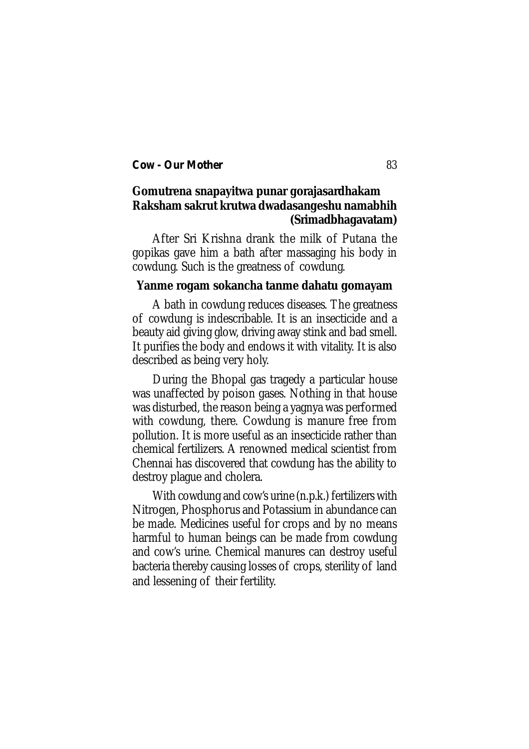# **Gomutrena snapayitwa punar gorajasardhakam Raksham sakrut krutwa dwadasangeshu namabhih (Srimadbhagavatam)**

After Sri Krishna drank the milk of Putana the gopikas gave him a bath after massaging his body in cowdung. Such is the greatness of cowdung.

#### **Yanme rogam sokancha tanme dahatu gomayam**

A bath in cowdung reduces diseases. The greatness of cowdung is indescribable. It is an insecticide and a beauty aid giving glow, driving away stink and bad smell. It purifies the body and endows it with vitality. It is also described as being very holy.

During the Bhopal gas tragedy a particular house was unaffected by poison gases. Nothing in that house was disturbed, the reason being a yagnya was performed with cowdung, there. Cowdung is manure free from pollution. It is more useful as an insecticide rather than chemical fertilizers. A renowned medical scientist from Chennai has discovered that cowdung has the ability to destroy plague and cholera.

With cowdung and cow's urine (n.p.k.) fertilizers with Nitrogen, Phosphorus and Potassium in abundance can be made. Medicines useful for crops and by no means harmful to human beings can be made from cowdung and cow's urine. Chemical manures can destroy useful bacteria thereby causing losses of crops, sterility of land and lessening of their fertility.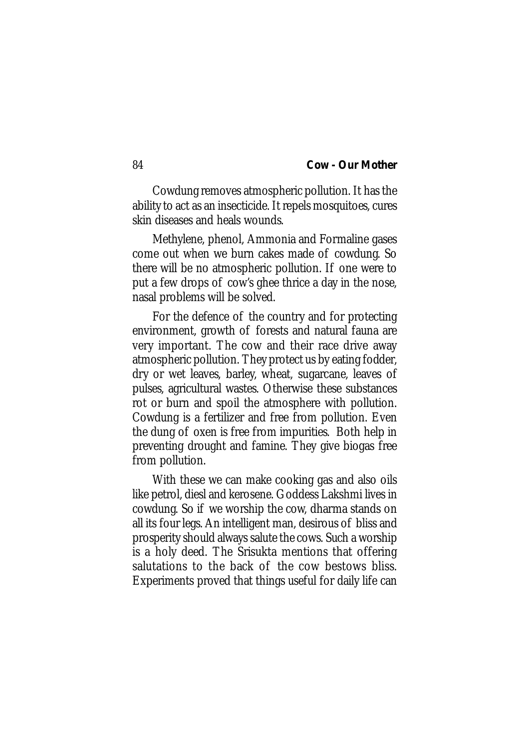Cowdung removes atmospheric pollution. It has the ability to act as an insecticide. It repels mosquitoes, cures skin diseases and heals wounds.

Methylene, phenol, Ammonia and Formaline gases come out when we burn cakes made of cowdung. So there will be no atmospheric pollution. If one were to put a few drops of cow's ghee thrice a day in the nose, nasal problems will be solved.

For the defence of the country and for protecting environment, growth of forests and natural fauna are very important. The cow and their race drive away atmospheric pollution. They protect us by eating fodder, dry or wet leaves, barley, wheat, sugarcane, leaves of pulses, agricultural wastes. Otherwise these substances rot or burn and spoil the atmosphere with pollution. Cowdung is a fertilizer and free from pollution. Even the dung of oxen is free from impurities. Both help in preventing drought and famine. They give biogas free from pollution.

With these we can make cooking gas and also oils like petrol, diesl and kerosene. Goddess Lakshmi lives in cowdung. So if we worship the cow, dharma stands on all its four legs. An intelligent man, desirous of bliss and prosperity should always salute the cows. Such a worship is a holy deed. The Srisukta mentions that offering salutations to the back of the cow bestows bliss. Experiments proved that things useful for daily life can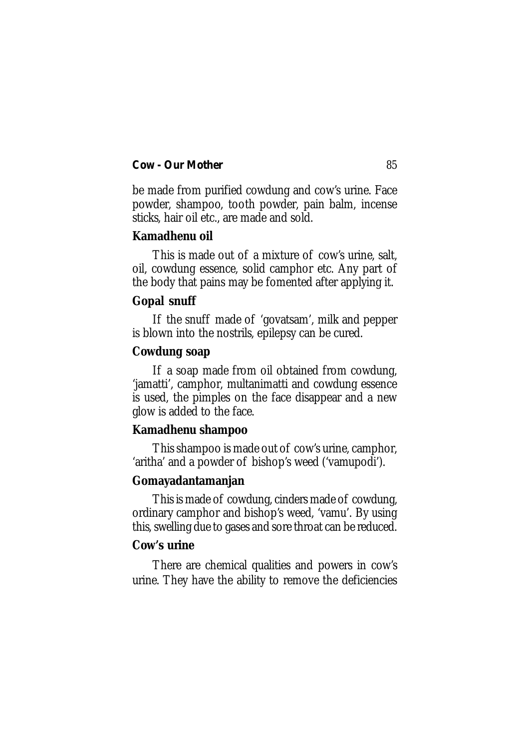be made from purified cowdung and cow's urine. Face powder, shampoo, tooth powder, pain balm, incense sticks, hair oil etc., are made and sold.

## **Kamadhenu oil**

This is made out of a mixture of cow's urine, salt, oil, cowdung essence, solid camphor etc. Any part of the body that pains may be fomented after applying it.

#### **Gopal snuff**

If the snuff made of 'govatsam', milk and pepper is blown into the nostrils, epilepsy can be cured.

### **Cowdung soap**

If a soap made from oil obtained from cowdung, 'jamatti', camphor, multanimatti and cowdung essence is used, the pimples on the face disappear and a new glow is added to the face.

## **Kamadhenu shampoo**

This shampoo is made out of cow's urine, camphor, 'aritha' and a powder of bishop's weed ('vamupodi').

## **Gomayadantamanjan**

This is made of cowdung, cinders made of cowdung, ordinary camphor and bishop's weed, 'vamu'. By using this, swelling due to gases and sore throat can be reduced.

#### **Cow's urine**

There are chemical qualities and powers in cow's urine. They have the ability to remove the deficiencies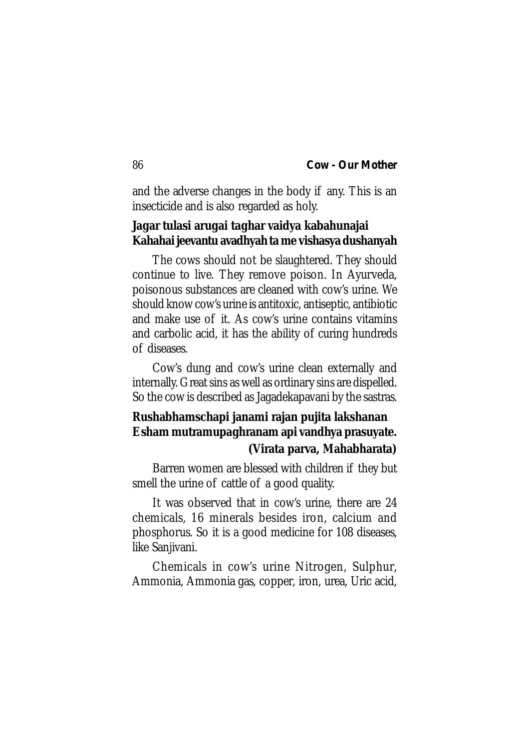and the adverse changes in the body if any. This is an insecticide and is also regarded as holy.

# **Jagar tulasi arugai taghar vaidya kabahunajai Kahahai jeevantu avadhyah ta me vishasya dushanyah**

The cows should not be slaughtered. They should continue to live. They remove poison. In Ayurveda, poisonous substances are cleaned with cow's urine. We should know cow's urine is antitoxic, antiseptic, antibiotic and make use of it. As cow's urine contains vitamins and carbolic acid, it has the ability of curing hundreds of diseases.

Cow's dung and cow's urine clean externally and internally. Great sins as well as ordinary sins are dispelled. So the cow is described as Jagadekapavani by the sastras.

# **Rushabhamschapi janami rajan pujita lakshanan Esham mutramupaghranam api vandhya prasuyate. (Virata parva, Mahabharata)**

Barren women are blessed with children if they but smell the urine of cattle of a good quality.

It was observed that in cow's urine, there are 24 chemicals, 16 minerals besides iron, calcium and phosphorus. So it is a good medicine for 108 diseases, like Sanjivani.

Chemicals in cow's urine Nitrogen, Sulphur, Ammonia, Ammonia gas, copper, iron, urea, Uric acid,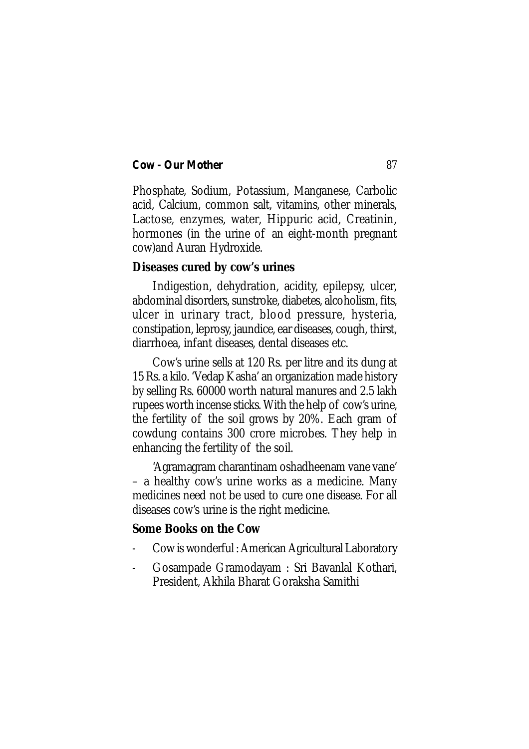Phosphate, Sodium, Potassium, Manganese, Carbolic acid, Calcium, common salt, vitamins, other minerals, Lactose, enzymes, water, Hippuric acid, Creatinin, hormones (in the urine of an eight-month pregnant cow)and Auran Hydroxide.

#### **Diseases cured by cow's urines**

Indigestion, dehydration, acidity, epilepsy, ulcer, abdominal disorders, sunstroke, diabetes, alcoholism, fits, ulcer in urinary tract, blood pressure, hysteria, constipation, leprosy, jaundice, ear diseases, cough, thirst, diarrhoea, infant diseases, dental diseases etc.

Cow's urine sells at 120 Rs. per litre and its dung at 15 Rs. a kilo. 'Vedap Kasha' an organization made history by selling Rs. 60000 worth natural manures and 2.5 lakh rupees worth incense sticks. With the help of cow's urine, the fertility of the soil grows by 20%. Each gram of cowdung contains 300 crore microbes. They help in enhancing the fertility of the soil.

'Agramagram charantinam oshadheenam vane vane' – a healthy cow's urine works as a medicine. Many medicines need not be used to cure one disease. For all diseases cow's urine is the right medicine.

#### **Some Books on the Cow**

- Cow is wonderful : American Agricultural Laboratory
- Gosampade Gramodayam : Sri Bavanlal Kothari, President, Akhila Bharat Goraksha Samithi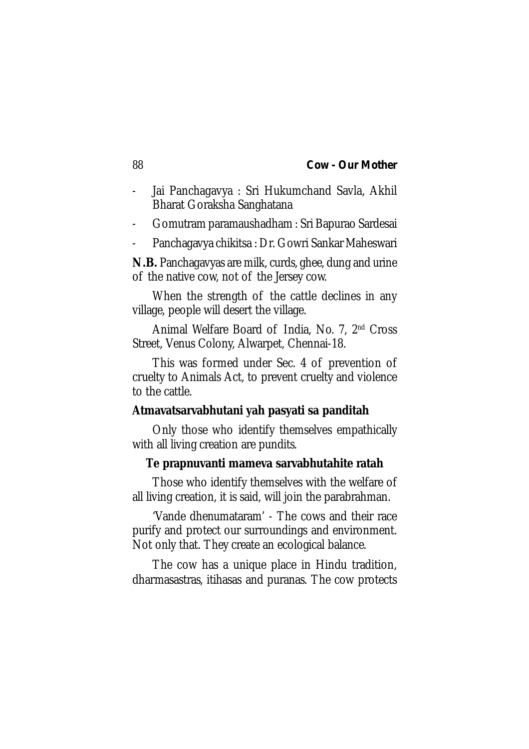- Jai Panchagavya : Sri Hukumchand Savla, Akhil Bharat Goraksha Sanghatana
- Gomutram paramaushadham : Sri Bapurao Sardesai
- Panchagavya chikitsa : Dr. Gowri Sankar Maheswari

**N.B.** Panchagavyas are milk, curds, ghee, dung and urine of the native cow, not of the Jersey cow.

When the strength of the cattle declines in any village, people will desert the village.

Animal Welfare Board of India, No. 7, 2nd Cross Street, Venus Colony, Alwarpet, Chennai-18.

This was formed under Sec. 4 of prevention of cruelty to Animals Act, to prevent cruelty and violence to the cattle.

#### **Atmavatsarvabhutani yah pasyati sa panditah**

Only those who identify themselves empathically with all living creation are pundits.

#### **Te prapnuvanti mameva sarvabhutahite ratah**

Those who identify themselves with the welfare of all living creation, it is said, will join the parabrahman.

'Vande dhenumataram' - The cows and their race purify and protect our surroundings and environment. Not only that. They create an ecological balance.

The cow has a unique place in Hindu tradition, dharmasastras, itihasas and puranas. The cow protects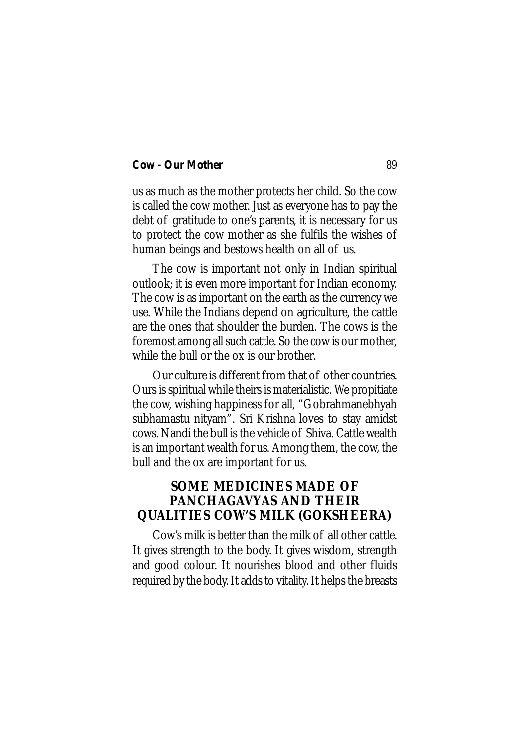us as much as the mother protects her child. So the cow is called the cow mother. Just as everyone has to pay the debt of gratitude to one's parents, it is necessary for us to protect the cow mother as she fulfils the wishes of human beings and bestows health on all of us.

The cow is important not only in Indian spiritual outlook; it is even more important for Indian economy. The cow is as important on the earth as the currency we use. While the Indians depend on agriculture, the cattle are the ones that shoulder the burden. The cows is the foremost among all such cattle. So the cow is our mother, while the bull or the ox is our brother.

Our culture is different from that of other countries. Ours is spiritual while theirs is materialistic. We propitiate the cow, wishing happiness for all, "Gobrahmanebhyah subhamastu nityam". Sri Krishna loves to stay amidst cows. Nandi the bull is the vehicle of Shiva. Cattle wealth is an important wealth for us. Among them, the cow, the bull and the ox are important for us.

# **SOME MEDICINES MADE OF PANCHAGAVYAS AND THEIR QUALITIES COW'S MILK (GOKSHEERA)**

Cow's milk is better than the milk of all other cattle. It gives strength to the body. It gives wisdom, strength and good colour. It nourishes blood and other fluids required by the body. It adds to vitality. It helps the breasts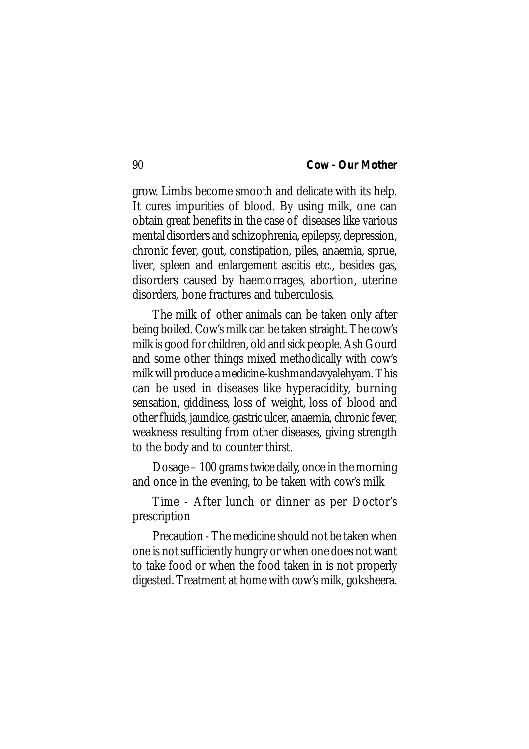grow. Limbs become smooth and delicate with its help. It cures impurities of blood. By using milk, one can obtain great benefits in the case of diseases like various mental disorders and schizophrenia, epilepsy, depression, chronic fever, gout, constipation, piles, anaemia, sprue, liver, spleen and enlargement ascitis etc., besides gas, disorders caused by haemorrages, abortion, uterine disorders, bone fractures and tuberculosis.

The milk of other animals can be taken only after being boiled. Cow's milk can be taken straight. The cow's milk is good for children, old and sick people. Ash Gourd and some other things mixed methodically with cow's milk will produce a medicine-kushmandavyalehyam. This can be used in diseases like hyperacidity, burning sensation, giddiness, loss of weight, loss of blood and other fluids, jaundice, gastric ulcer, anaemia, chronic fever, weakness resulting from other diseases, giving strength to the body and to counter thirst.

Dosage – 100 grams twice daily, once in the morning and once in the evening, to be taken with cow's milk

Time - After lunch or dinner as per Doctor's prescription

Precaution - The medicine should not be taken when one is not sufficiently hungry or when one does not want to take food or when the food taken in is not properly digested. Treatment at home with cow's milk, goksheera.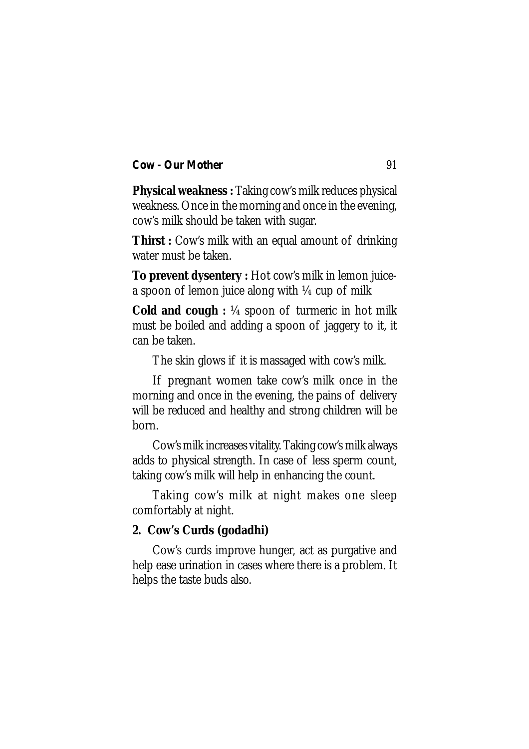**Physical weakness :** Taking cow's milk reduces physical weakness. Once in the morning and once in the evening, cow's milk should be taken with sugar.

**Thirst :** Cow's milk with an equal amount of drinking water must be taken.

**To prevent dysentery :** Hot cow's milk in lemon juicea spoon of lemon juice along with ¼ cup of milk

**Cold and cough :** ¼ spoon of turmeric in hot milk must be boiled and adding a spoon of jaggery to it, it can be taken.

The skin glows if it is massaged with cow's milk.

If pregnant women take cow's milk once in the morning and once in the evening, the pains of delivery will be reduced and healthy and strong children will be born.

Cow's milk increases vitality. Taking cow's milk always adds to physical strength. In case of less sperm count, taking cow's milk will help in enhancing the count.

Taking cow's milk at night makes one sleep comfortably at night.

# **2. Cow's Curds (godadhi)**

Cow's curds improve hunger, act as purgative and help ease urination in cases where there is a problem. It helps the taste buds also.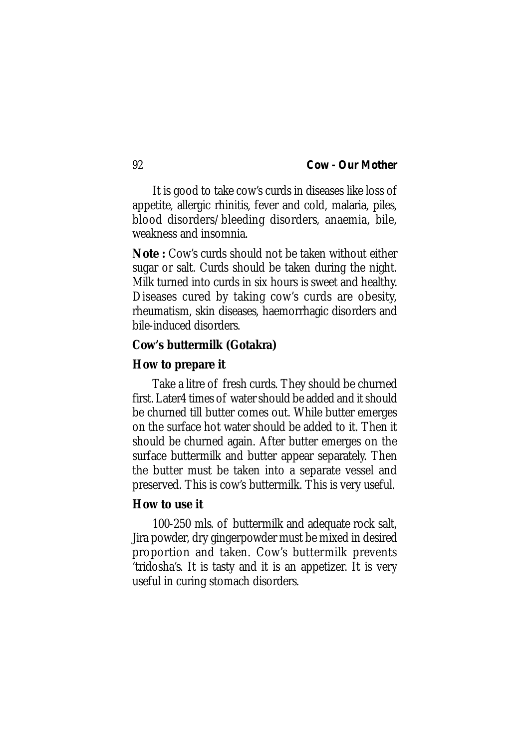It is good to take cow's curds in diseases like loss of appetite, allergic rhinitis, fever and cold, malaria, piles, blood disorders/bleeding disorders, anaemia, bile, weakness and insomnia.

**Note :** Cow's curds should not be taken without either sugar or salt. Curds should be taken during the night. Milk turned into curds in six hours is sweet and healthy. Diseases cured by taking cow's curds are obesity, rheumatism, skin diseases, haemorrhagic disorders and bile-induced disorders.

#### **Cow's buttermilk (Gotakra)**

#### **How to prepare it**

Take a litre of fresh curds. They should be churned first. Later4 times of water should be added and it should be churned till butter comes out. While butter emerges on the surface hot water should be added to it. Then it should be churned again. After butter emerges on the surface buttermilk and butter appear separately. Then the butter must be taken into a separate vessel and preserved. This is cow's buttermilk. This is very useful.

### **How to use it**

100-250 mls. of buttermilk and adequate rock salt, Jira powder, dry gingerpowder must be mixed in desired proportion and taken. Cow's buttermilk prevents 'tridosha's. It is tasty and it is an appetizer. It is very useful in curing stomach disorders.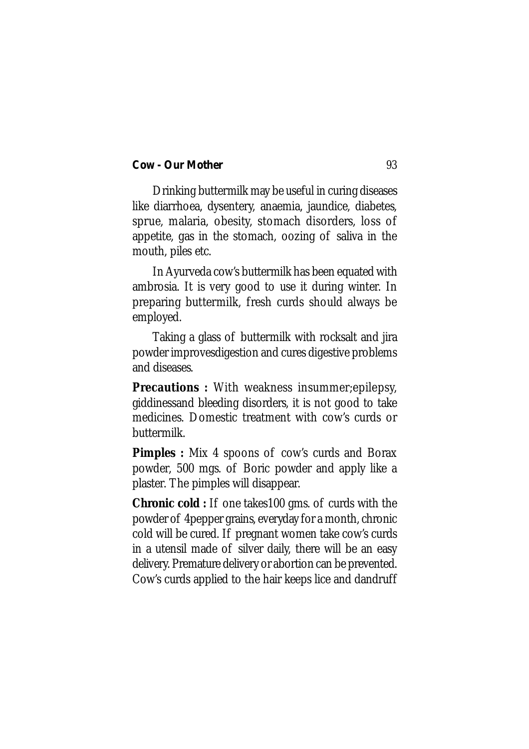Drinking buttermilk may be useful in curing diseases like diarrhoea, dysentery, anaemia, jaundice, diabetes, sprue, malaria, obesity, stomach disorders, loss of appetite, gas in the stomach, oozing of saliva in the mouth, piles etc.

In Ayurveda cow's buttermilk has been equated with ambrosia. It is very good to use it during winter. In preparing buttermilk, fresh curds should always be employed.

Taking a glass of buttermilk with rocksalt and jira powder improvesdigestion and cures digestive problems and diseases.

**Precautions :** With weakness insummer;epilepsy, giddinessand bleeding disorders, it is not good to take medicines. Domestic treatment with cow's curds or buttermilk.

**Pimples :** Mix 4 spoons of cow's curds and Borax powder, 500 mgs. of Boric powder and apply like a plaster. The pimples will disappear.

**Chronic cold :** If one takes100 gms. of curds with the powder of 4pepper grains, everyday for a month, chronic cold will be cured. If pregnant women take cow's curds in a utensil made of silver daily, there will be an easy delivery. Premature delivery or abortion can be prevented. Cow's curds applied to the hair keeps lice and dandruff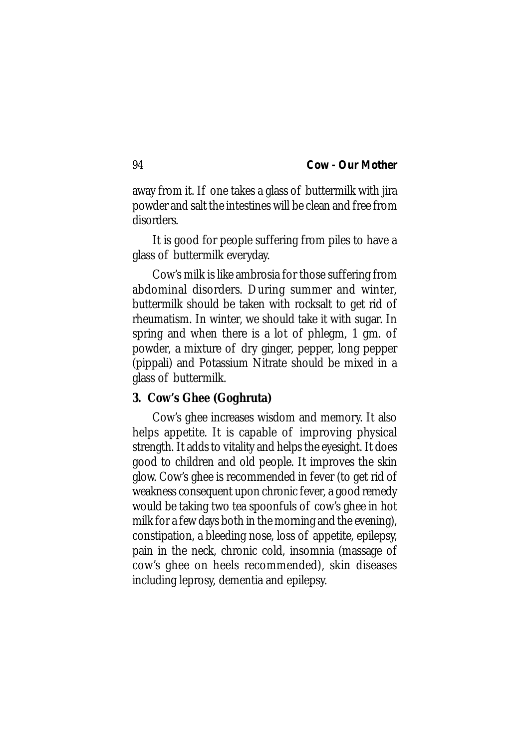away from it. If one takes a glass of buttermilk with jira powder and salt the intestines will be clean and free from disorders.

It is good for people suffering from piles to have a glass of buttermilk everyday.

Cow's milk is like ambrosia for those suffering from abdominal disorders. During summer and winter, buttermilk should be taken with rocksalt to get rid of rheumatism. In winter, we should take it with sugar. In spring and when there is a lot of phlegm, 1 gm. of powder, a mixture of dry ginger, pepper, long pepper (pippali) and Potassium Nitrate should be mixed in a glass of buttermilk.

### **3. Cow's Ghee (Goghruta)**

Cow's ghee increases wisdom and memory. It also helps appetite. It is capable of improving physical strength. It adds to vitality and helps the eyesight. It does good to children and old people. It improves the skin glow. Cow's ghee is recommended in fever (to get rid of weakness consequent upon chronic fever, a good remedy would be taking two tea spoonfuls of cow's ghee in hot milk for a few days both in the morning and the evening), constipation, a bleeding nose, loss of appetite, epilepsy, pain in the neck, chronic cold, insomnia (massage of cow's ghee on heels recommended), skin diseases including leprosy, dementia and epilepsy.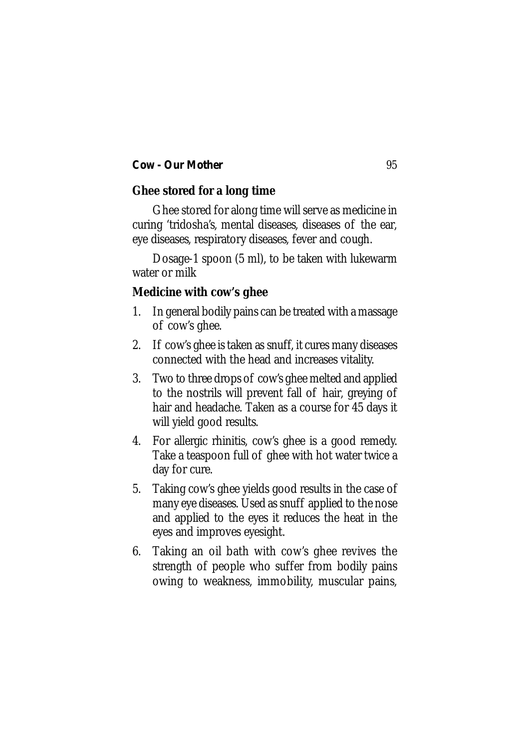# **Ghee stored for a long time**

Ghee stored for along time will serve as medicine in curing 'tridosha's, mental diseases, diseases of the ear, eye diseases, respiratory diseases, fever and cough.

Dosage-1 spoon (5 ml), to be taken with lukewarm water or milk

# **Medicine with cow's ghee**

- 1. In general bodily pains can be treated with a massage of cow's ghee.
- 2. If cow's ghee is taken as snuff, it cures many diseases connected with the head and increases vitality.
- 3. Two to three drops of cow's ghee melted and applied to the nostrils will prevent fall of hair, greying of hair and headache. Taken as a course for 45 days it will yield good results.
- 4. For allergic rhinitis, cow's ghee is a good remedy. Take a teaspoon full of ghee with hot water twice a day for cure.
- 5. Taking cow's ghee yields good results in the case of many eye diseases. Used as snuff applied to the nose and applied to the eyes it reduces the heat in the eyes and improves eyesight.
- 6. Taking an oil bath with cow's ghee revives the strength of people who suffer from bodily pains owing to weakness, immobility, muscular pains,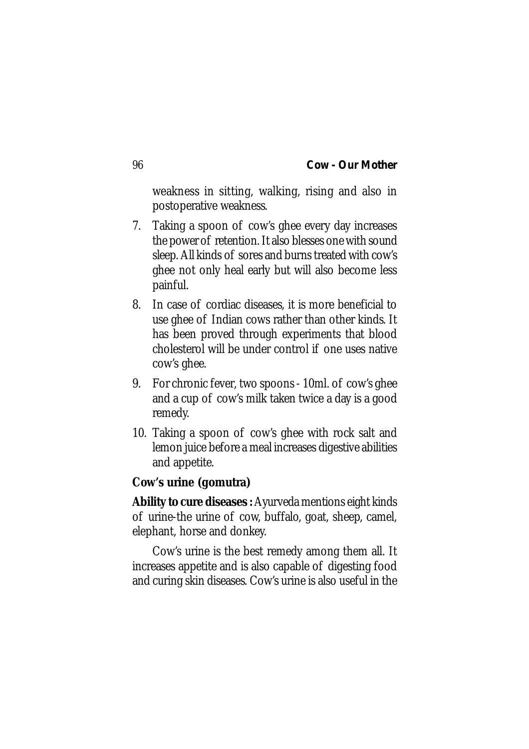weakness in sitting, walking, rising and also in postoperative weakness.

- 7. Taking a spoon of cow's ghee every day increases the power of retention. It also blesses one with sound sleep. All kinds of sores and burns treated with cow's ghee not only heal early but will also become less painful.
- 8. In case of cordiac diseases, it is more beneficial to use ghee of Indian cows rather than other kinds. It has been proved through experiments that blood cholesterol will be under control if one uses native cow's ghee.
- 9. For chronic fever, two spoons 10ml. of cow's ghee and a cup of cow's milk taken twice a day is a good remedy.
- 10. Taking a spoon of cow's ghee with rock salt and lemon juice before a meal increases digestive abilities and appetite.

# **Cow's urine (gomutra)**

**Ability to cure diseases :** Ayurveda mentions eight kinds of urine-the urine of cow, buffalo, goat, sheep, camel, elephant, horse and donkey.

Cow's urine is the best remedy among them all. It increases appetite and is also capable of digesting food and curing skin diseases. Cow's urine is also useful in the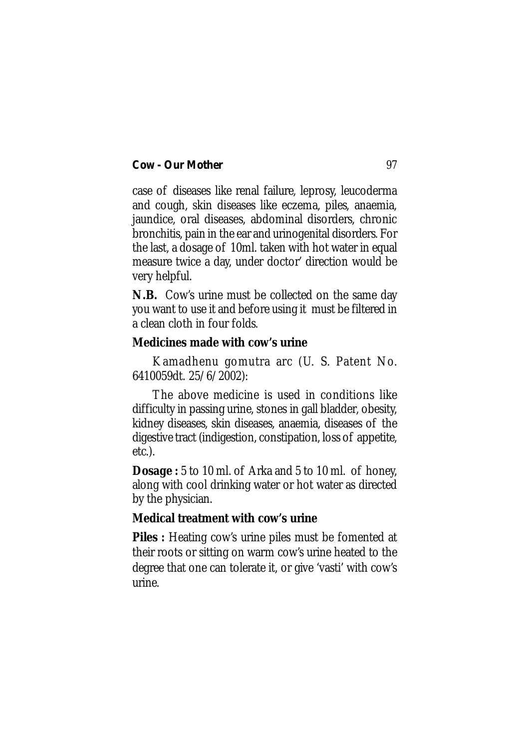case of diseases like renal failure, leprosy, leucoderma and cough, skin diseases like eczema, piles, anaemia, jaundice, oral diseases, abdominal disorders, chronic bronchitis, pain in the ear and urinogenital disorders. For the last, a dosage of 10ml. taken with hot water in equal measure twice a day, under doctor' direction would be very helpful.

**N.B.** Cow's urine must be collected on the same day you want to use it and before using it must be filtered in a clean cloth in four folds.

## **Medicines made with cow's urine**

Kamadhenu gomutra arc (U. S. Patent No. 6410059dt. 25/6/2002):

The above medicine is used in conditions like difficulty in passing urine, stones in gall bladder, obesity, kidney diseases, skin diseases, anaemia, diseases of the digestive tract (indigestion, constipation, loss of appetite, etc.).

**Dosage :** 5 to 10 ml. of Arka and 5 to 10 ml. of honey, along with cool drinking water or hot water as directed by the physician.

# **Medical treatment with cow's urine**

**Piles :** Heating cow's urine piles must be fomented at their roots or sitting on warm cow's urine heated to the degree that one can tolerate it, or give 'vasti' with cow's urine.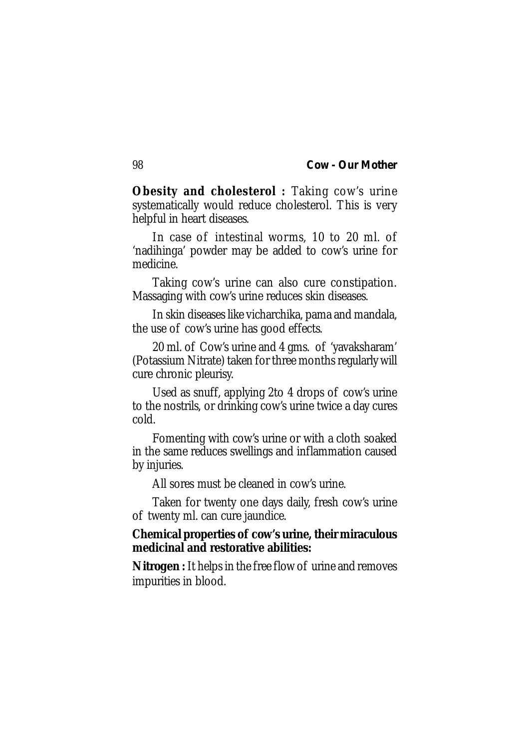**Obesity and cholesterol :** Taking cow's urine systematically would reduce cholesterol. This is very helpful in heart diseases.

In case of intestinal worms, 10 to 20 ml. of 'nadihinga' powder may be added to cow's urine for medicine.

Taking cow's urine can also cure constipation. Massaging with cow's urine reduces skin diseases.

In skin diseases like vicharchika, pama and mandala, the use of cow's urine has good effects.

20 ml. of Cow's urine and 4 gms. of 'yavaksharam' (Potassium Nitrate) taken for three months regularly will cure chronic pleurisy.

Used as snuff, applying 2to 4 drops of cow's urine to the nostrils, or drinking cow's urine twice a day cures cold.

Fomenting with cow's urine or with a cloth soaked in the same reduces swellings and inflammation caused by injuries.

All sores must be cleaned in cow's urine.

Taken for twenty one days daily, fresh cow's urine of twenty ml. can cure jaundice.

# **Chemical properties of cow's urine, their miraculous medicinal and restorative abilities:**

**Nitrogen :** It helps in the free flow of urine and removes impurities in blood.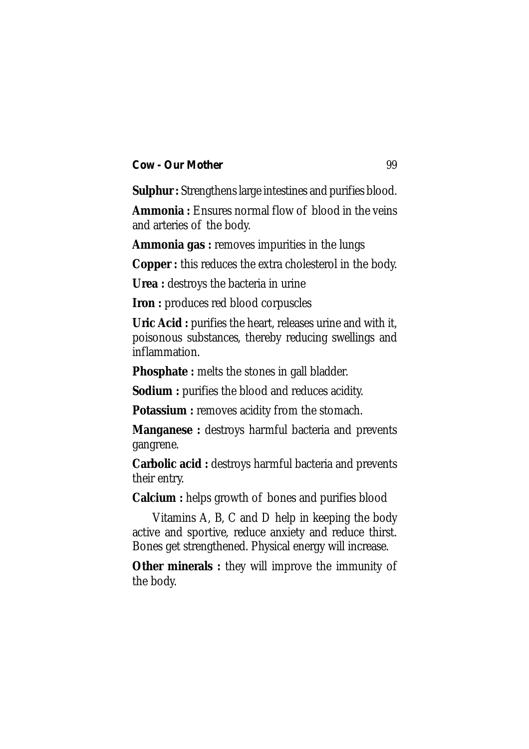**Sulphur :** Strengthens large intestines and purifies blood.

**Ammonia :** Ensures normal flow of blood in the veins and arteries of the body.

**Ammonia gas :** removes impurities in the lungs

**Copper :** this reduces the extra cholesterol in the body.

**Urea :** destroys the bacteria in urine

**Iron :** produces red blood corpuscles

**Uric Acid :** purifies the heart, releases urine and with it, poisonous substances, thereby reducing swellings and inflammation.

**Phosphate :** melts the stones in gall bladder.

**Sodium :** purifies the blood and reduces acidity.

**Potassium :** removes acidity from the stomach.

**Manganese :** destroys harmful bacteria and prevents gangrene.

**Carbolic acid :** destroys harmful bacteria and prevents their entry.

**Calcium :** helps growth of bones and purifies blood

Vitamins A, B, C and D help in keeping the body active and sportive, reduce anxiety and reduce thirst. Bones get strengthened. Physical energy will increase.

**Other minerals :** they will improve the immunity of the body.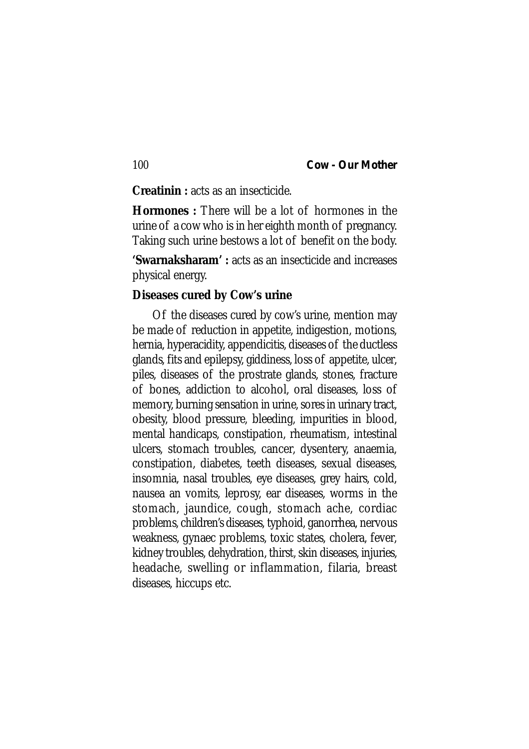**Creatinin :** acts as an insecticide.

**Hormones :** There will be a lot of hormones in the urine of a cow who is in her eighth month of pregnancy. Taking such urine bestows a lot of benefit on the body.

**'Swarnaksharam' :** acts as an insecticide and increases physical energy.

#### **Diseases cured by Cow's urine**

Of the diseases cured by cow's urine, mention may be made of reduction in appetite, indigestion, motions, hernia, hyperacidity, appendicitis, diseases of the ductless glands, fits and epilepsy, giddiness, loss of appetite, ulcer, piles, diseases of the prostrate glands, stones, fracture of bones, addiction to alcohol, oral diseases, loss of memory, burning sensation in urine, sores in urinary tract, obesity, blood pressure, bleeding, impurities in blood, mental handicaps, constipation, rheumatism, intestinal ulcers, stomach troubles, cancer, dysentery, anaemia, constipation, diabetes, teeth diseases, sexual diseases, insomnia, nasal troubles, eye diseases, grey hairs, cold, nausea an vomits, leprosy, ear diseases, worms in the stomach, jaundice, cough, stomach ache, cordiac problems, children's diseases, typhoid, ganorrhea, nervous weakness, gynaec problems, toxic states, cholera, fever, kidney troubles, dehydration, thirst, skin diseases, injuries, headache, swelling or inflammation, filaria, breast diseases, hiccups etc.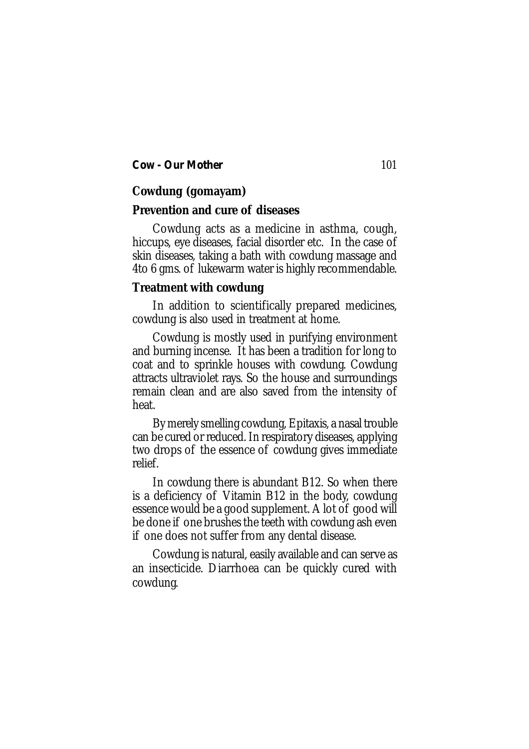# **Cowdung (gomayam)**

## **Prevention and cure of diseases**

Cowdung acts as a medicine in asthma, cough, hiccups, eye diseases, facial disorder etc. In the case of skin diseases, taking a bath with cowdung massage and 4to 6 gms. of lukewarm water is highly recommendable.

# **Treatment with cowdung**

In addition to scientifically prepared medicines, cowdung is also used in treatment at home.

Cowdung is mostly used in purifying environment and burning incense. It has been a tradition for long to coat and to sprinkle houses with cowdung. Cowdung attracts ultraviolet rays. So the house and surroundings remain clean and are also saved from the intensity of heat.

By merely smelling cowdung, Epitaxis, a nasal trouble can be cured or reduced. In respiratory diseases, applying two drops of the essence of cowdung gives immediate relief.

In cowdung there is abundant B12. So when there is a deficiency of Vitamin B12 in the body, cowdung essence would be a good supplement. A lot of good will be done if one brushes the teeth with cowdung ash even if one does not suffer from any dental disease.

Cowdung is natural, easily available and can serve as an insecticide. Diarrhoea can be quickly cured with cowdung.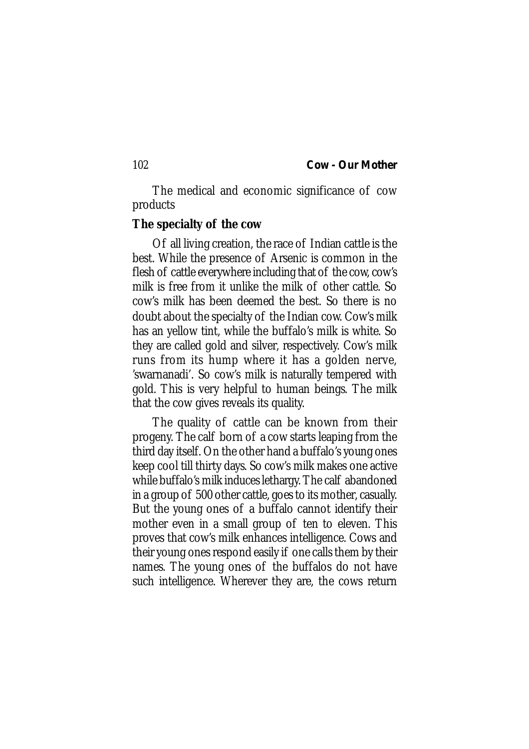The medical and economic significance of cow products

## **The specialty of the cow**

Of all living creation, the race of Indian cattle is the best. While the presence of Arsenic is common in the flesh of cattle everywhere including that of the cow, cow's milk is free from it unlike the milk of other cattle. So cow's milk has been deemed the best. So there is no doubt about the specialty of the Indian cow. Cow's milk has an yellow tint, while the buffalo's milk is white. So they are called gold and silver, respectively. Cow's milk runs from its hump where it has a golden nerve, 'swarnanadi'. So cow's milk is naturally tempered with gold. This is very helpful to human beings. The milk that the cow gives reveals its quality.

The quality of cattle can be known from their progeny. The calf born of a cow starts leaping from the third day itself. On the other hand a buffalo's young ones keep cool till thirty days. So cow's milk makes one active while buffalo's milk induces lethargy. The calf abandoned in a group of 500 other cattle, goes to its mother, casually. But the young ones of a buffalo cannot identify their mother even in a small group of ten to eleven. This proves that cow's milk enhances intelligence. Cows and their young ones respond easily if one calls them by their names. The young ones of the buffalos do not have such intelligence. Wherever they are, the cows return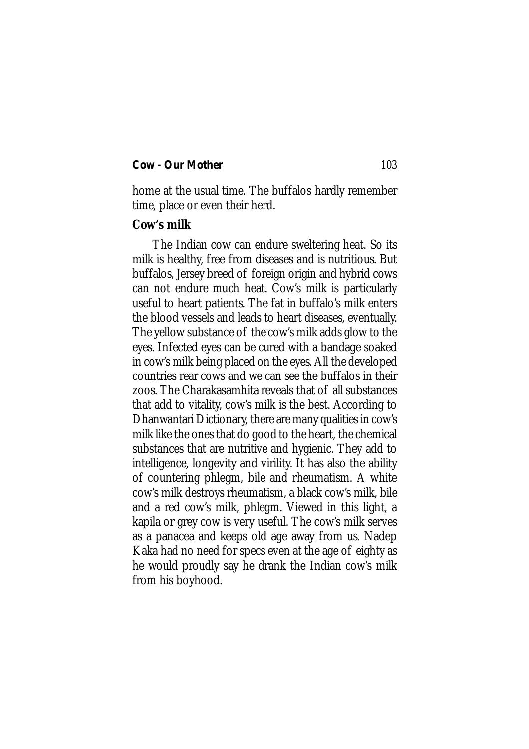home at the usual time. The buffalos hardly remember time, place or even their herd.

## **Cow's milk**

The Indian cow can endure sweltering heat. So its milk is healthy, free from diseases and is nutritious. But buffalos, Jersey breed of foreign origin and hybrid cows can not endure much heat. Cow's milk is particularly useful to heart patients. The fat in buffalo's milk enters the blood vessels and leads to heart diseases, eventually. The yellow substance of the cow's milk adds glow to the eyes. Infected eyes can be cured with a bandage soaked in cow's milk being placed on the eyes. All the developed countries rear cows and we can see the buffalos in their zoos. The Charakasamhita reveals that of all substances that add to vitality, cow's milk is the best. According to Dhanwantari Dictionary, there are many qualities in cow's milk like the ones that do good to the heart, the chemical substances that are nutritive and hygienic. They add to intelligence, longevity and virility. It has also the ability of countering phlegm, bile and rheumatism. A white cow's milk destroys rheumatism, a black cow's milk, bile and a red cow's milk, phlegm. Viewed in this light, a kapila or grey cow is very useful. The cow's milk serves as a panacea and keeps old age away from us. Nadep Kaka had no need for specs even at the age of eighty as he would proudly say he drank the Indian cow's milk from his boyhood.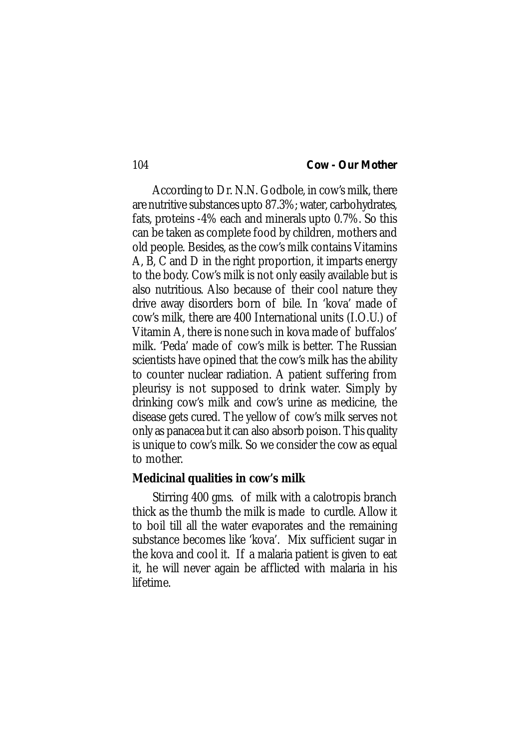According to Dr. N.N. Godbole, in cow's milk, there are nutritive substances upto 87.3%; water, carbohydrates, fats, proteins -4% each and minerals upto 0.7%. So this can be taken as complete food by children, mothers and old people. Besides, as the cow's milk contains Vitamins A, B, C and D in the right proportion, it imparts energy to the body. Cow's milk is not only easily available but is also nutritious. Also because of their cool nature they drive away disorders born of bile. In 'kova' made of cow's milk, there are 400 International units (I.O.U.) of Vitamin A, there is none such in kova made of buffalos' milk. 'Peda' made of cow's milk is better. The Russian scientists have opined that the cow's milk has the ability to counter nuclear radiation. A patient suffering from pleurisy is not supposed to drink water. Simply by drinking cow's milk and cow's urine as medicine, the disease gets cured. The yellow of cow's milk serves not only as panacea but it can also absorb poison. This quality is unique to cow's milk. So we consider the cow as equal to mother.

## **Medicinal qualities in cow's milk**

Stirring 400 gms. of milk with a calotropis branch thick as the thumb the milk is made to curdle. Allow it to boil till all the water evaporates and the remaining substance becomes like 'kova'. Mix sufficient sugar in the kova and cool it. If a malaria patient is given to eat it, he will never again be afflicted with malaria in his lifetime.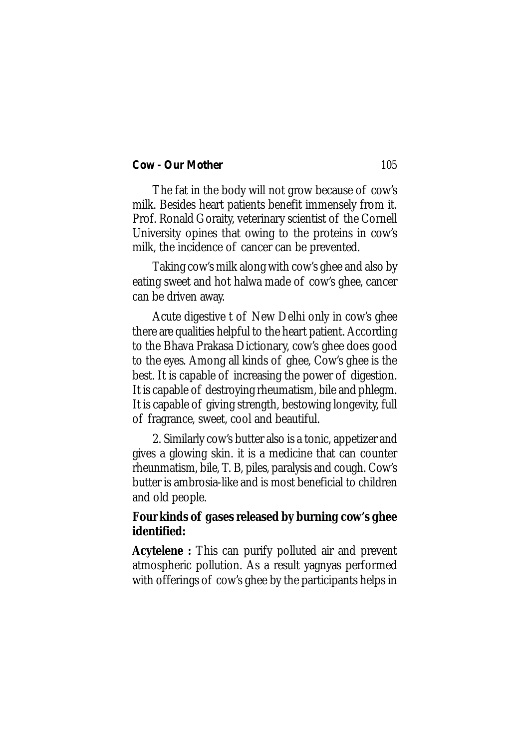The fat in the body will not grow because of cow's milk. Besides heart patients benefit immensely from it. Prof. Ronald Goraity, veterinary scientist of the Cornell University opines that owing to the proteins in cow's milk, the incidence of cancer can be prevented.

Taking cow's milk along with cow's ghee and also by eating sweet and hot halwa made of cow's ghee, cancer can be driven away.

Acute digestive t of New Delhi only in cow's ghee there are qualities helpful to the heart patient. According to the Bhava Prakasa Dictionary, cow's ghee does good to the eyes. Among all kinds of ghee, Cow's ghee is the best. It is capable of increasing the power of digestion. It is capable of destroying rheumatism, bile and phlegm. It is capable of giving strength, bestowing longevity, full of fragrance, sweet, cool and beautiful.

2. Similarly cow's butter also is a tonic, appetizer and gives a glowing skin. it is a medicine that can counter rheunmatism, bile, T. B, piles, paralysis and cough. Cow's butter is ambrosia-like and is most beneficial to children and old people.

# **Four kinds of gases released by burning cow's ghee identified:**

**Acytelene :** This can purify polluted air and prevent atmospheric pollution. As a result yagnyas performed with offerings of cow's ghee by the participants helps in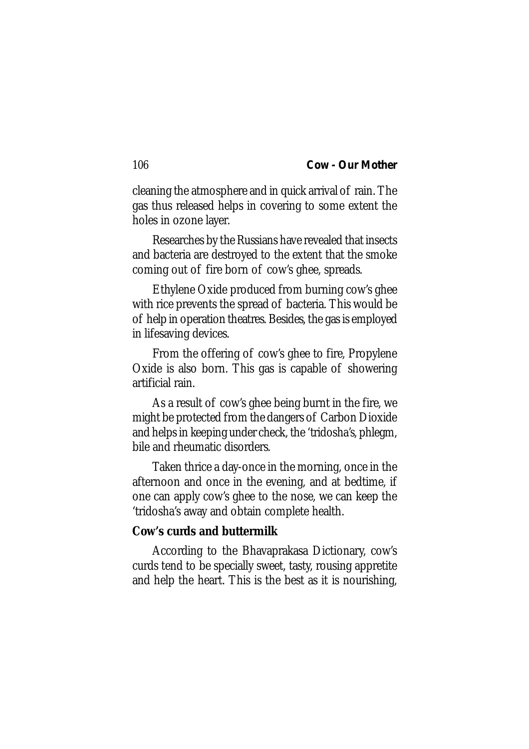cleaning the atmosphere and in quick arrival of rain. The gas thus released helps in covering to some extent the holes in ozone layer.

Researches by the Russians have revealed that insects and bacteria are destroyed to the extent that the smoke coming out of fire born of cow's ghee, spreads.

Ethylene Oxide produced from burning cow's ghee with rice prevents the spread of bacteria. This would be of help in operation theatres. Besides, the gas is employed in lifesaving devices.

From the offering of cow's ghee to fire, Propylene Oxide is also born. This gas is capable of showering artificial rain.

As a result of cow's ghee being burnt in the fire, we might be protected from the dangers of Carbon Dioxide and helps in keeping under check, the 'tridosha's, phlegm, bile and rheumatic disorders.

Taken thrice a day-once in the morning, once in the afternoon and once in the evening, and at bedtime, if one can apply cow's ghee to the nose, we can keep the 'tridosha's away and obtain complete health.

# **Cow's curds and buttermilk**

According to the Bhavaprakasa Dictionary, cow's curds tend to be specially sweet, tasty, rousing appretite and help the heart. This is the best as it is nourishing,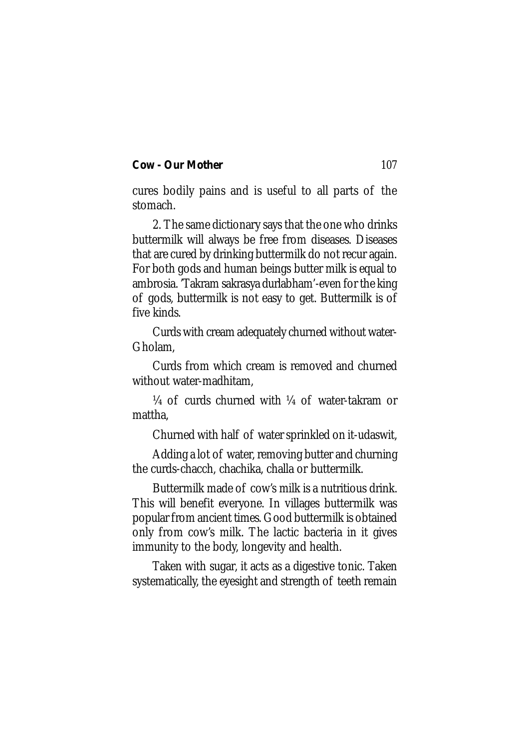cures bodily pains and is useful to all parts of the stomach.

2. The same dictionary says that the one who drinks buttermilk will always be free from diseases. Diseases that are cured by drinking buttermilk do not recur again. For both gods and human beings butter milk is equal to ambrosia. 'Takram sakrasya durlabham'-even for the king of gods, buttermilk is not easy to get. Buttermilk is of five kinds.

Curds with cream adequately churned without water-Gholam,

Curds from which cream is removed and churned without water-madhitam,

¼ of curds churned with ¼ of water-takram or mattha,

Churned with half of water sprinkled on it-udaswit,

Adding a lot of water, removing butter and churning the curds-chacch, chachika, challa or buttermilk.

Buttermilk made of cow's milk is a nutritious drink. This will benefit everyone. In villages buttermilk was popular from ancient times. Good buttermilk is obtained only from cow's milk. The lactic bacteria in it gives immunity to the body, longevity and health.

Taken with sugar, it acts as a digestive tonic. Taken systematically, the eyesight and strength of teeth remain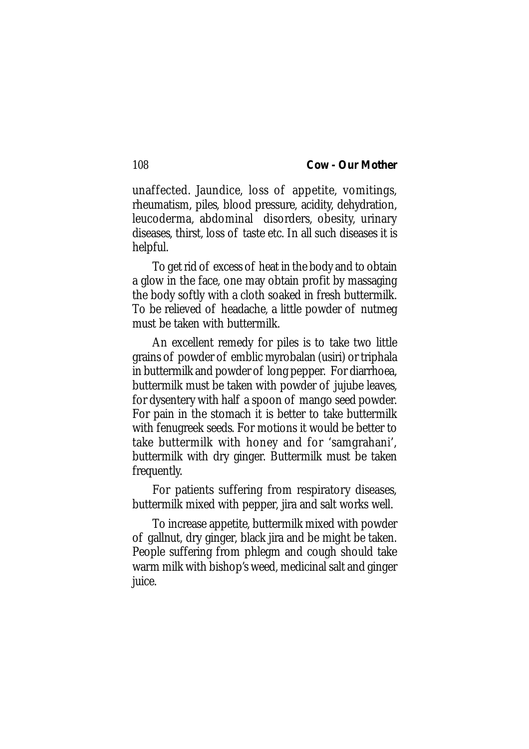unaffected. Jaundice, loss of appetite, vomitings, rheumatism, piles, blood pressure, acidity, dehydration, leucoderma, abdominal disorders, obesity, urinary diseases, thirst, loss of taste etc. In all such diseases it is helpful.

To get rid of excess of heat in the body and to obtain a glow in the face, one may obtain profit by massaging the body softly with a cloth soaked in fresh buttermilk. To be relieved of headache, a little powder of nutmeg must be taken with buttermilk.

An excellent remedy for piles is to take two little grains of powder of emblic myrobalan (usiri) or triphala in buttermilk and powder of long pepper. For diarrhoea, buttermilk must be taken with powder of jujube leaves, for dysentery with half a spoon of mango seed powder. For pain in the stomach it is better to take buttermilk with fenugreek seeds. For motions it would be better to take buttermilk with honey and for 'samgrahani', buttermilk with dry ginger. Buttermilk must be taken frequently.

For patients suffering from respiratory diseases, buttermilk mixed with pepper, jira and salt works well.

To increase appetite, buttermilk mixed with powder of gallnut, dry ginger, black jira and be might be taken. People suffering from phlegm and cough should take warm milk with bishop's weed, medicinal salt and ginger juice.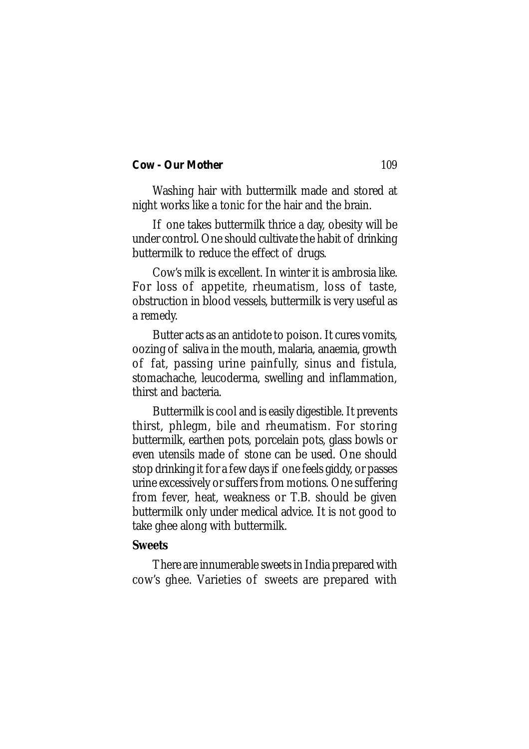Washing hair with buttermilk made and stored at night works like a tonic for the hair and the brain.

If one takes buttermilk thrice a day, obesity will be under control. One should cultivate the habit of drinking buttermilk to reduce the effect of drugs.

Cow's milk is excellent. In winter it is ambrosia like. For loss of appetite, rheumatism, loss of taste, obstruction in blood vessels, buttermilk is very useful as a remedy.

Butter acts as an antidote to poison. It cures vomits, oozing of saliva in the mouth, malaria, anaemia, growth of fat, passing urine painfully, sinus and fistula, stomachache, leucoderma, swelling and inflammation, thirst and bacteria.

Buttermilk is cool and is easily digestible. It prevents thirst, phlegm, bile and rheumatism. For storing buttermilk, earthen pots, porcelain pots, glass bowls or even utensils made of stone can be used. One should stop drinking it for a few days if one feels giddy, or passes urine excessively or suffers from motions. One suffering from fever, heat, weakness or T.B. should be given buttermilk only under medical advice. It is not good to take ghee along with buttermilk.

## **Sweets**

There are innumerable sweets in India prepared with cow's ghee. Varieties of sweets are prepared with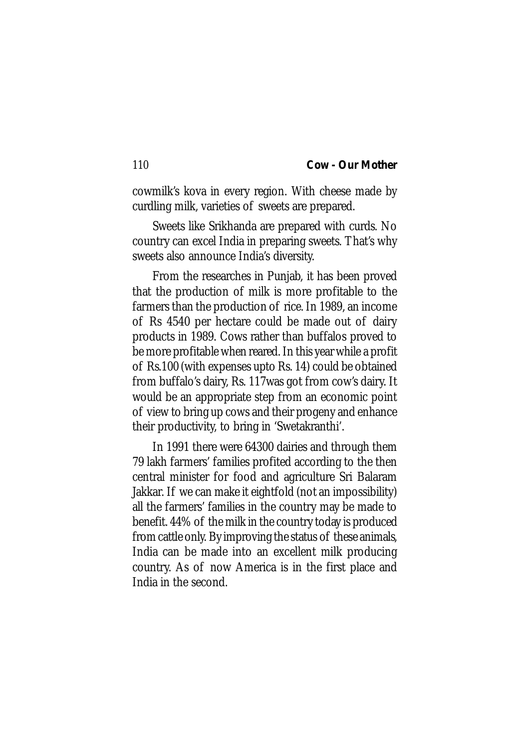cowmilk's kova in every region. With cheese made by curdling milk, varieties of sweets are prepared.

Sweets like Srikhanda are prepared with curds. No country can excel India in preparing sweets. That's why sweets also announce India's diversity.

From the researches in Punjab, it has been proved that the production of milk is more profitable to the farmers than the production of rice. In 1989, an income of Rs 4540 per hectare could be made out of dairy products in 1989. Cows rather than buffalos proved to be more profitable when reared. In this year while a profit of Rs.100 (with expenses upto Rs. 14) could be obtained from buffalo's dairy, Rs. 117was got from cow's dairy. It would be an appropriate step from an economic point of view to bring up cows and their progeny and enhance their productivity, to bring in 'Swetakranthi'.

In 1991 there were 64300 dairies and through them 79 lakh farmers' families profited according to the then central minister for food and agriculture Sri Balaram Jakkar. If we can make it eightfold (not an impossibility) all the farmers' families in the country may be made to benefit. 44% of the milk in the country today is produced from cattle only. By improving the status of these animals, India can be made into an excellent milk producing country. As of now America is in the first place and India in the second.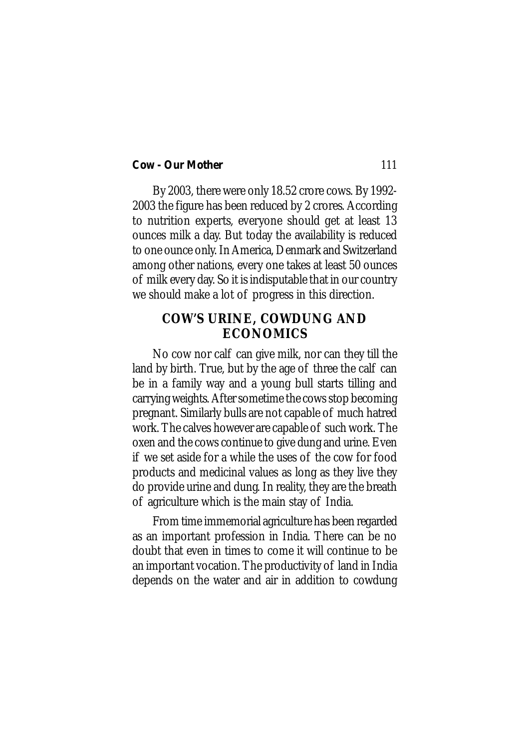By 2003, there were only 18.52 crore cows. By 1992- 2003 the figure has been reduced by 2 crores. According to nutrition experts, everyone should get at least 13 ounces milk a day. But today the availability is reduced to one ounce only. In America, Denmark and Switzerland among other nations, every one takes at least 50 ounces of milk every day. So it is indisputable that in our country we should make a lot of progress in this direction.

# **COW'S URINE, COWDUNG AND ECONOMICS**

No cow nor calf can give milk, nor can they till the land by birth. True, but by the age of three the calf can be in a family way and a young bull starts tilling and carrying weights. After sometime the cows stop becoming pregnant. Similarly bulls are not capable of much hatred work. The calves however are capable of such work. The oxen and the cows continue to give dung and urine. Even if we set aside for a while the uses of the cow for food products and medicinal values as long as they live they do provide urine and dung. In reality, they are the breath of agriculture which is the main stay of India.

From time immemorial agriculture has been regarded as an important profession in India. There can be no doubt that even in times to come it will continue to be an important vocation. The productivity of land in India depends on the water and air in addition to cowdung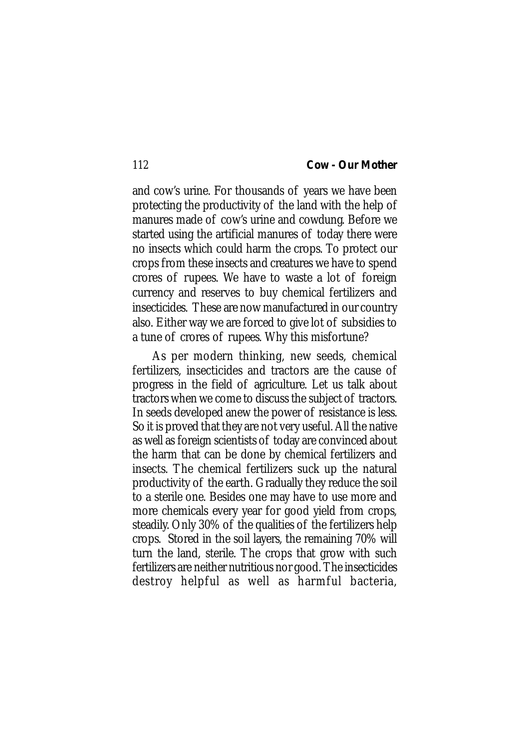and cow's urine. For thousands of years we have been protecting the productivity of the land with the help of manures made of cow's urine and cowdung. Before we started using the artificial manures of today there were no insects which could harm the crops. To protect our crops from these insects and creatures we have to spend crores of rupees. We have to waste a lot of foreign currency and reserves to buy chemical fertilizers and insecticides. These are now manufactured in our country also. Either way we are forced to give lot of subsidies to a tune of crores of rupees. Why this misfortune?

As per modern thinking, new seeds, chemical fertilizers, insecticides and tractors are the cause of progress in the field of agriculture. Let us talk about tractors when we come to discuss the subject of tractors. In seeds developed anew the power of resistance is less. So it is proved that they are not very useful. All the native as well as foreign scientists of today are convinced about the harm that can be done by chemical fertilizers and insects. The chemical fertilizers suck up the natural productivity of the earth. Gradually they reduce the soil to a sterile one. Besides one may have to use more and more chemicals every year for good yield from crops, steadily. Only 30% of the qualities of the fertilizers help crops. Stored in the soil layers, the remaining 70% will turn the land, sterile. The crops that grow with such fertilizers are neither nutritious nor good. The insecticides destroy helpful as well as harmful bacteria,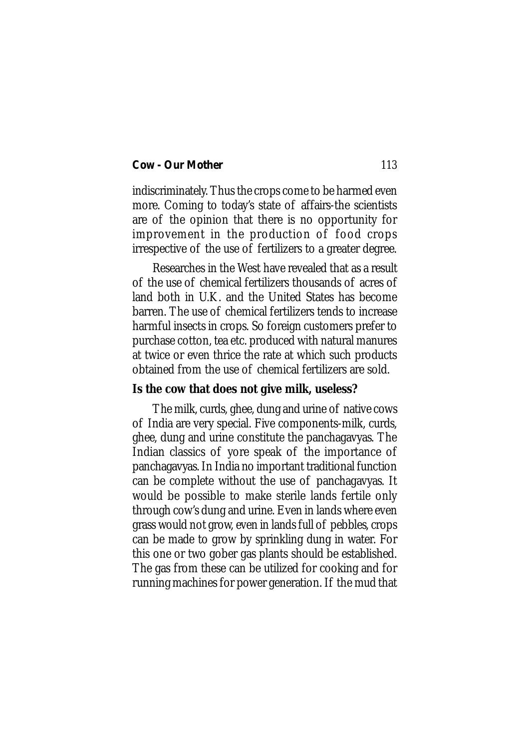indiscriminately. Thus the crops come to be harmed even more. Coming to today's state of affairs-the scientists are of the opinion that there is no opportunity for improvement in the production of food crops irrespective of the use of fertilizers to a greater degree.

Researches in the West have revealed that as a result of the use of chemical fertilizers thousands of acres of land both in U.K. and the United States has become barren. The use of chemical fertilizers tends to increase harmful insects in crops. So foreign customers prefer to purchase cotton, tea etc. produced with natural manures at twice or even thrice the rate at which such products obtained from the use of chemical fertilizers are sold.

## **Is the cow that does not give milk, useless?**

The milk, curds, ghee, dung and urine of native cows of India are very special. Five components-milk, curds, ghee, dung and urine constitute the panchagavyas. The Indian classics of yore speak of the importance of panchagavyas. In India no important traditional function can be complete without the use of panchagavyas. It would be possible to make sterile lands fertile only through cow's dung and urine. Even in lands where even grass would not grow, even in lands full of pebbles, crops can be made to grow by sprinkling dung in water. For this one or two gober gas plants should be established. The gas from these can be utilized for cooking and for running machines for power generation. If the mud that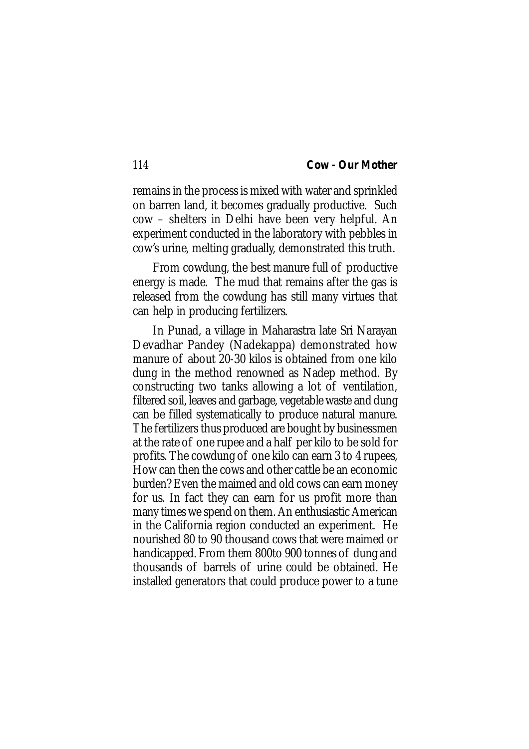remains in the process is mixed with water and sprinkled on barren land, it becomes gradually productive. Such cow – shelters in Delhi have been very helpful. An experiment conducted in the laboratory with pebbles in cow's urine, melting gradually, demonstrated this truth.

From cowdung, the best manure full of productive energy is made. The mud that remains after the gas is released from the cowdung has still many virtues that can help in producing fertilizers.

In Punad, a village in Maharastra late Sri Narayan Devadhar Pandey (Nadekappa) demonstrated how manure of about 20-30 kilos is obtained from one kilo dung in the method renowned as Nadep method. By constructing two tanks allowing a lot of ventilation, filtered soil, leaves and garbage, vegetable waste and dung can be filled systematically to produce natural manure. The fertilizers thus produced are bought by businessmen at the rate of one rupee and a half per kilo to be sold for profits. The cowdung of one kilo can earn 3 to 4 rupees, How can then the cows and other cattle be an economic burden? Even the maimed and old cows can earn money for us. In fact they can earn for us profit more than many times we spend on them. An enthusiastic American in the California region conducted an experiment. He nourished 80 to 90 thousand cows that were maimed or handicapped. From them 800to 900 tonnes of dung and thousands of barrels of urine could be obtained. He installed generators that could produce power to a tune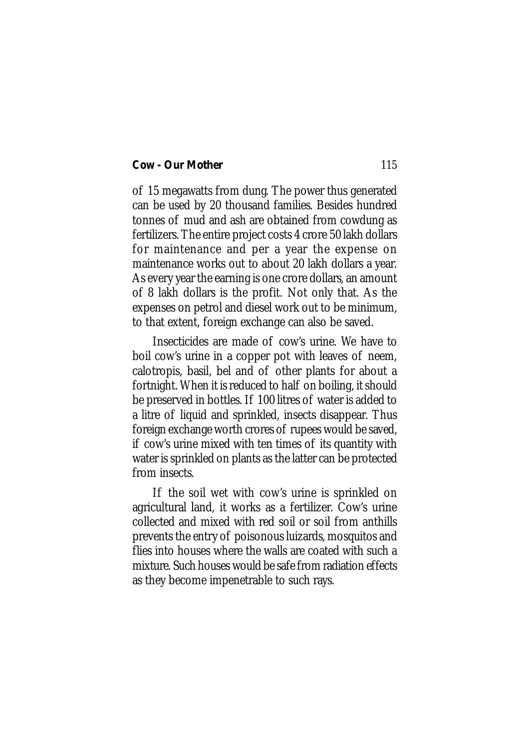of 15 megawatts from dung. The power thus generated can be used by 20 thousand families. Besides hundred tonnes of mud and ash are obtained from cowdung as fertilizers. The entire project costs 4 crore 50 lakh dollars for maintenance and per a year the expense on maintenance works out to about 20 lakh dollars a year. As every year the earning is one crore dollars, an amount of 8 lakh dollars is the profit. Not only that. As the expenses on petrol and diesel work out to be minimum, to that extent, foreign exchange can also be saved.

Insecticides are made of cow's urine. We have to boil cow's urine in a copper pot with leaves of neem, calotropis, basil, bel and of other plants for about a fortnight. When it is reduced to half on boiling, it should be preserved in bottles. If 100 litres of water is added to a litre of liquid and sprinkled, insects disappear. Thus foreign exchange worth crores of rupees would be saved, if cow's urine mixed with ten times of its quantity with water is sprinkled on plants as the latter can be protected from insects.

If the soil wet with cow's urine is sprinkled on agricultural land, it works as a fertilizer. Cow's urine collected and mixed with red soil or soil from anthills prevents the entry of poisonous luizards, mosquitos and flies into houses where the walls are coated with such a mixture. Such houses would be safe from radiation effects as they become impenetrable to such rays.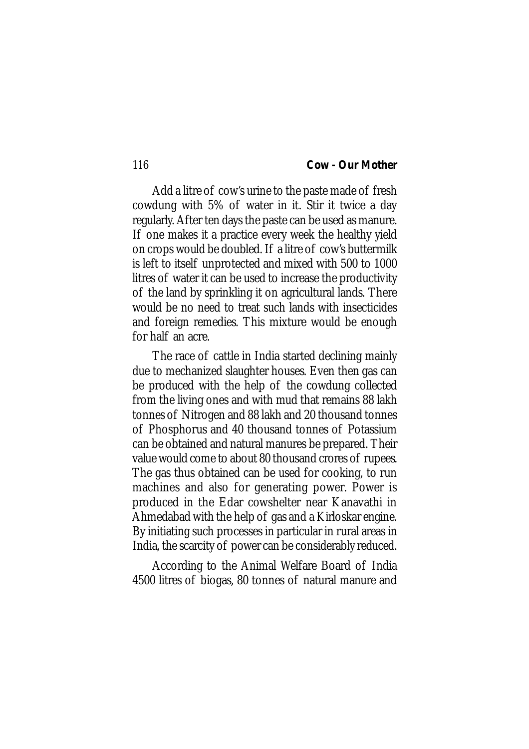Add a litre of cow's urine to the paste made of fresh cowdung with 5% of water in it. Stir it twice a day regularly. After ten days the paste can be used as manure. If one makes it a practice every week the healthy yield on crops would be doubled. If a litre of cow's buttermilk is left to itself unprotected and mixed with 500 to 1000 litres of water it can be used to increase the productivity of the land by sprinkling it on agricultural lands. There would be no need to treat such lands with insecticides and foreign remedies. This mixture would be enough for half an acre.

The race of cattle in India started declining mainly due to mechanized slaughter houses. Even then gas can be produced with the help of the cowdung collected from the living ones and with mud that remains 88 lakh tonnes of Nitrogen and 88 lakh and 20 thousand tonnes of Phosphorus and 40 thousand tonnes of Potassium can be obtained and natural manures be prepared. Their value would come to about 80 thousand crores of rupees. The gas thus obtained can be used for cooking, to run machines and also for generating power. Power is produced in the Edar cowshelter near Kanavathi in Ahmedabad with the help of gas and a Kirloskar engine. By initiating such processes in particular in rural areas in India, the scarcity of power can be considerably reduced.

According to the Animal Welfare Board of India 4500 litres of biogas, 80 tonnes of natural manure and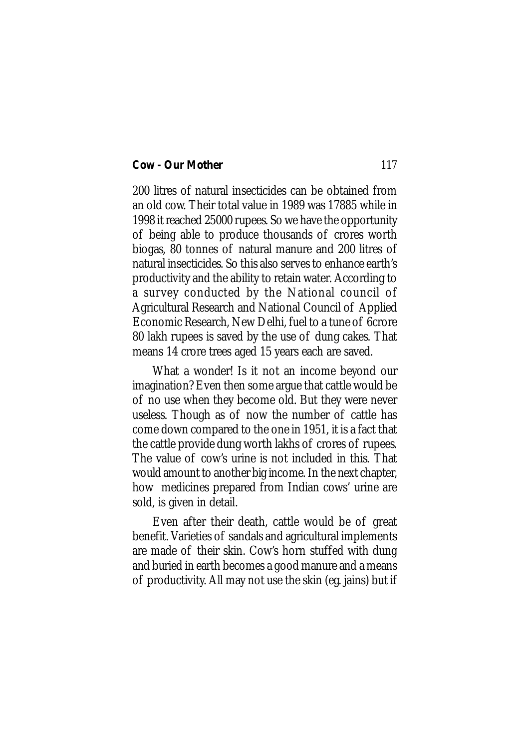200 litres of natural insecticides can be obtained from an old cow. Their total value in 1989 was 17885 while in 1998 it reached 25000 rupees. So we have the opportunity of being able to produce thousands of crores worth biogas, 80 tonnes of natural manure and 200 litres of natural insecticides. So this also serves to enhance earth's productivity and the ability to retain water. According to a survey conducted by the National council of Agricultural Research and National Council of Applied Economic Research, New Delhi, fuel to a tune of 6crore 80 lakh rupees is saved by the use of dung cakes. That means 14 crore trees aged 15 years each are saved.

What a wonder! Is it not an income beyond our imagination? Even then some argue that cattle would be of no use when they become old. But they were never useless. Though as of now the number of cattle has come down compared to the one in 1951, it is a fact that the cattle provide dung worth lakhs of crores of rupees. The value of cow's urine is not included in this. That would amount to another big income. In the next chapter, how medicines prepared from Indian cows' urine are sold, is given in detail.

Even after their death, cattle would be of great benefit. Varieties of sandals and agricultural implements are made of their skin. Cow's horn stuffed with dung and buried in earth becomes a good manure and a means of productivity. All may not use the skin (eg. jains) but if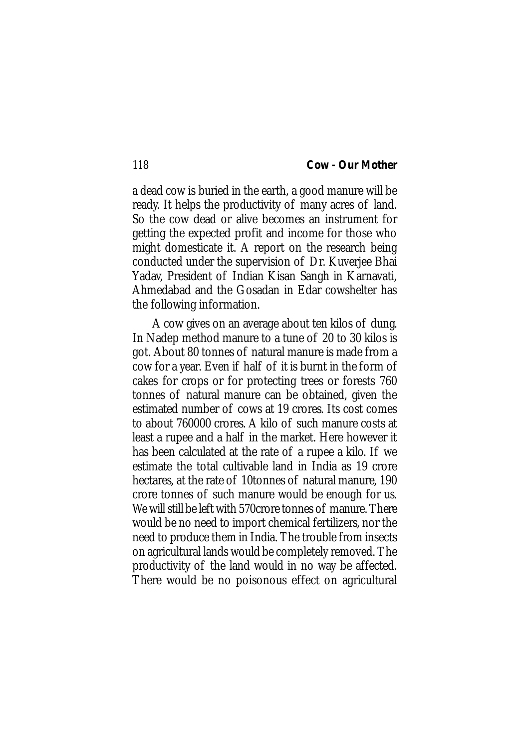a dead cow is buried in the earth, a good manure will be ready. It helps the productivity of many acres of land. So the cow dead or alive becomes an instrument for getting the expected profit and income for those who might domesticate it. A report on the research being conducted under the supervision of Dr. Kuverjee Bhai Yadav, President of Indian Kisan Sangh in Karnavati, Ahmedabad and the Gosadan in Edar cowshelter has the following information.

A cow gives on an average about ten kilos of dung. In Nadep method manure to a tune of 20 to 30 kilos is got. About 80 tonnes of natural manure is made from a cow for a year. Even if half of it is burnt in the form of cakes for crops or for protecting trees or forests 760 tonnes of natural manure can be obtained, given the estimated number of cows at 19 crores. Its cost comes to about 760000 crores. A kilo of such manure costs at least a rupee and a half in the market. Here however it has been calculated at the rate of a rupee a kilo. If we estimate the total cultivable land in India as 19 crore hectares, at the rate of 10tonnes of natural manure, 190 crore tonnes of such manure would be enough for us. We will still be left with 570crore tonnes of manure. There would be no need to import chemical fertilizers, nor the need to produce them in India. The trouble from insects on agricultural lands would be completely removed. The productivity of the land would in no way be affected. There would be no poisonous effect on agricultural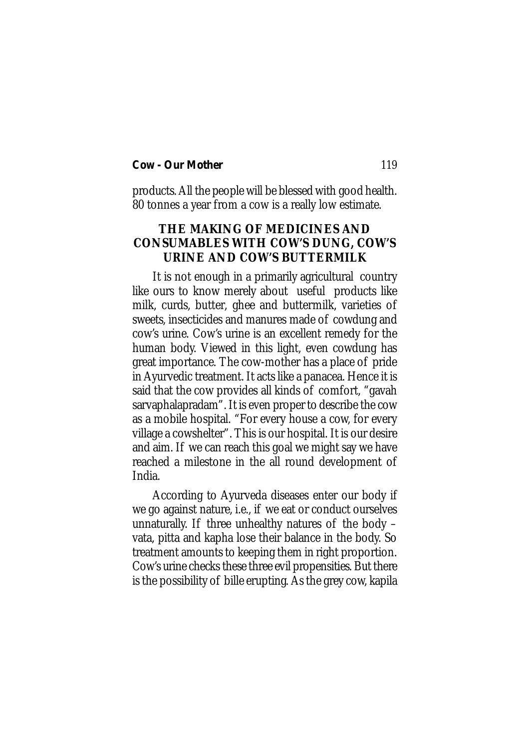products. All the people will be blessed with good health. 80 tonnes a year from a cow is a really low estimate.

# **THE MAKING OF MEDICINES AND CONSUMABLES WITH COW'S DUNG, COW'S URINE AND COW'S BUTTERMILK**

It is not enough in a primarily agricultural country like ours to know merely about useful products like milk, curds, butter, ghee and buttermilk, varieties of sweets, insecticides and manures made of cowdung and cow's urine. Cow's urine is an excellent remedy for the human body. Viewed in this light, even cowdung has great importance. The cow-mother has a place of pride in Ayurvedic treatment. It acts like a panacea. Hence it is said that the cow provides all kinds of comfort, "gavah sarvaphalapradam". It is even proper to describe the cow as a mobile hospital. "For every house a cow, for every village a cowshelter". This is our hospital. It is our desire and aim. If we can reach this goal we might say we have reached a milestone in the all round development of India.

According to Ayurveda diseases enter our body if we go against nature, i.e., if we eat or conduct ourselves unnaturally. If three unhealthy natures of the body – vata, pitta and kapha lose their balance in the body. So treatment amounts to keeping them in right proportion. Cow's urine checks these three evil propensities. But there is the possibility of bille erupting. As the grey cow, kapila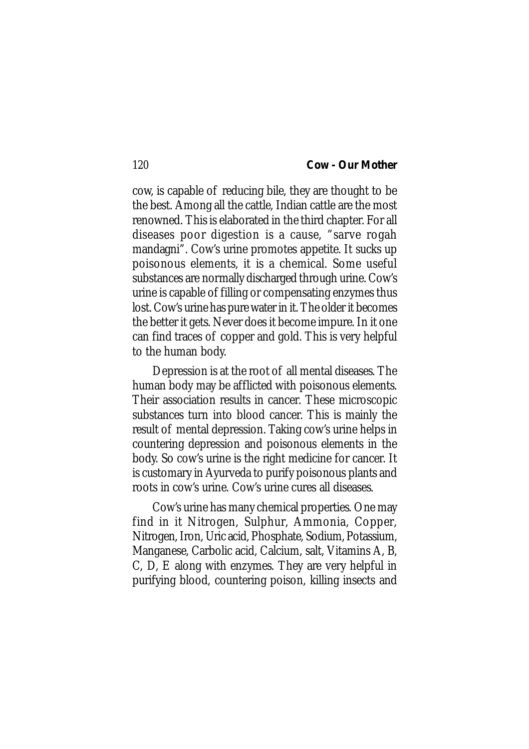cow, is capable of reducing bile, they are thought to be the best. Among all the cattle, Indian cattle are the most renowned. This is elaborated in the third chapter. For all diseases poor digestion is a cause, "sarve rogah mandagni". Cow's urine promotes appetite. It sucks up poisonous elements, it is a chemical. Some useful substances are normally discharged through urine. Cow's urine is capable of filling or compensating enzymes thus lost. Cow's urine has pure water in it. The older it becomes the better it gets. Never does it become impure. In it one can find traces of copper and gold. This is very helpful to the human body.

Depression is at the root of all mental diseases. The human body may be afflicted with poisonous elements. Their association results in cancer. These microscopic substances turn into blood cancer. This is mainly the result of mental depression. Taking cow's urine helps in countering depression and poisonous elements in the body. So cow's urine is the right medicine for cancer. It is customary in Ayurveda to purify poisonous plants and roots in cow's urine. Cow's urine cures all diseases.

Cow's urine has many chemical properties. One may find in it Nitrogen, Sulphur, Ammonia, Copper, Nitrogen, Iron, Uric acid, Phosphate, Sodium, Potassium, Manganese, Carbolic acid, Calcium, salt, Vitamins A, B, C, D, E along with enzymes. They are very helpful in purifying blood, countering poison, killing insects and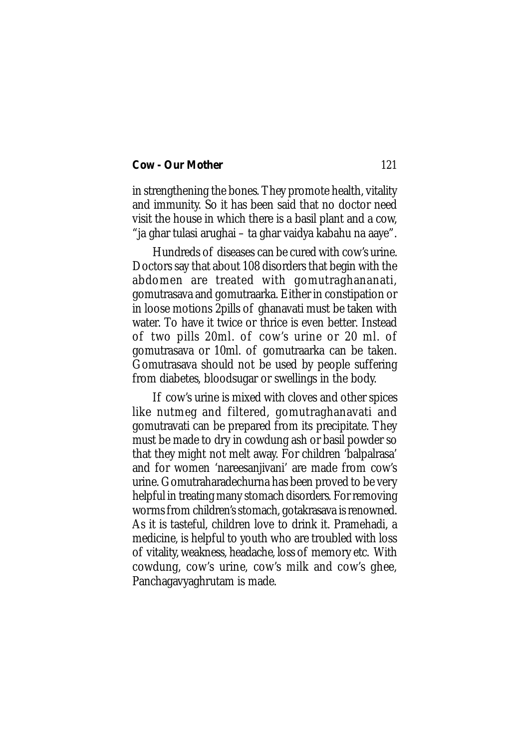in strengthening the bones. They promote health, vitality and immunity. So it has been said that no doctor need visit the house in which there is a basil plant and a cow, "ja ghar tulasi arughai – ta ghar vaidya kabahu na aaye".

Hundreds of diseases can be cured with cow's urine. Doctors say that about 108 disorders that begin with the abdomen are treated with gomutraghananati, gomutrasava and gomutraarka. Either in constipation or in loose motions 2pills of ghanavati must be taken with water. To have it twice or thrice is even better. Instead of two pills 20ml. of cow's urine or 20 ml. of gomutrasava or 10ml. of gomutraarka can be taken. Gomutrasava should not be used by people suffering from diabetes, bloodsugar or swellings in the body.

If cow's urine is mixed with cloves and other spices like nutmeg and filtered, gomutraghanavati and gomutravati can be prepared from its precipitate. They must be made to dry in cowdung ash or basil powder so that they might not melt away. For children 'balpalrasa' and for women 'nareesanjivani' are made from cow's urine. Gomutraharadechurna has been proved to be very helpful in treating many stomach disorders. For removing worms from children's stomach, gotakrasava is renowned. As it is tasteful, children love to drink it. Pramehadi, a medicine, is helpful to youth who are troubled with loss of vitality, weakness, headache, loss of memory etc. With cowdung, cow's urine, cow's milk and cow's ghee, Panchagavyaghrutam is made.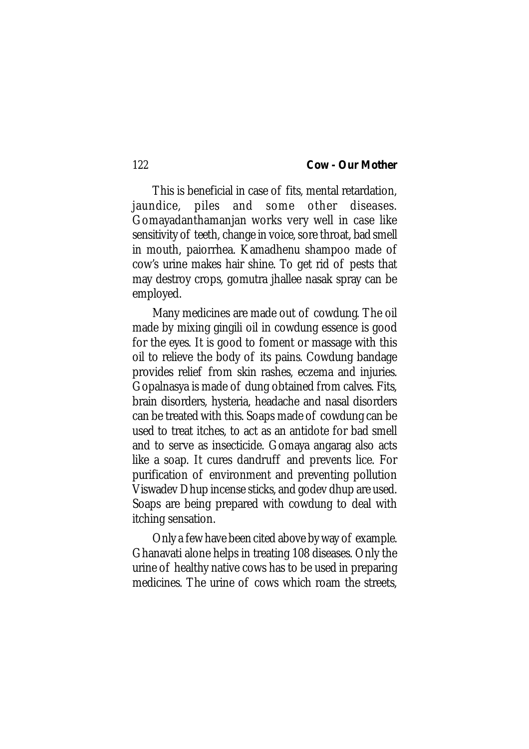This is beneficial in case of fits, mental retardation, jaundice, piles and some other diseases. Gomayadanthamanjan works very well in case like sensitivity of teeth, change in voice, sore throat, bad smell in mouth, paiorrhea. Kamadhenu shampoo made of cow's urine makes hair shine. To get rid of pests that may destroy crops, gomutra jhallee nasak spray can be employed.

Many medicines are made out of cowdung. The oil made by mixing gingili oil in cowdung essence is good for the eyes. It is good to foment or massage with this oil to relieve the body of its pains. Cowdung bandage provides relief from skin rashes, eczema and injuries. Gopalnasya is made of dung obtained from calves. Fits, brain disorders, hysteria, headache and nasal disorders can be treated with this. Soaps made of cowdung can be used to treat itches, to act as an antidote for bad smell and to serve as insecticide. Gomaya angarag also acts like a soap. It cures dandruff and prevents lice. For purification of environment and preventing pollution Viswadev Dhup incense sticks, and godev dhup are used. Soaps are being prepared with cowdung to deal with itching sensation.

Only a few have been cited above by way of example. Ghanavati alone helps in treating 108 diseases. Only the urine of healthy native cows has to be used in preparing medicines. The urine of cows which roam the streets,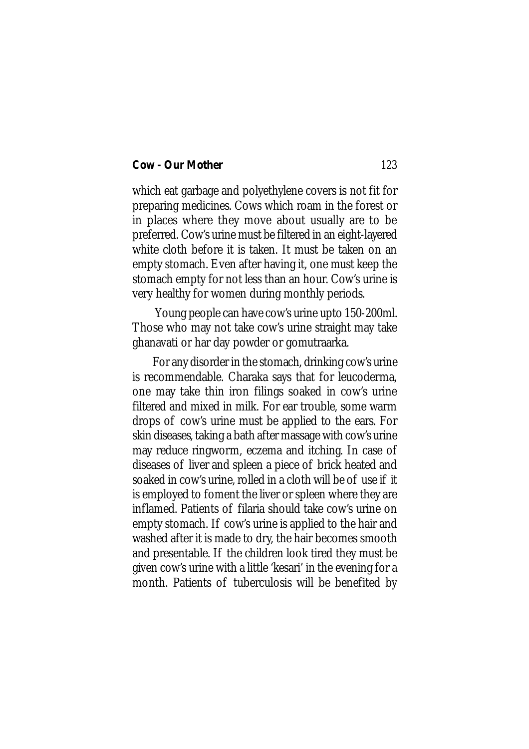which eat garbage and polyethylene covers is not fit for preparing medicines. Cows which roam in the forest or in places where they move about usually are to be preferred. Cow's urine must be filtered in an eight-layered white cloth before it is taken. It must be taken on an empty stomach. Even after having it, one must keep the stomach empty for not less than an hour. Cow's urine is very healthy for women during monthly periods.

 Young people can have cow's urine upto 150-200ml. Those who may not take cow's urine straight may take ghanavati or har day powder or gomutraarka.

For any disorder in the stomach, drinking cow's urine is recommendable. Charaka says that for leucoderma, one may take thin iron filings soaked in cow's urine filtered and mixed in milk. For ear trouble, some warm drops of cow's urine must be applied to the ears. For skin diseases, taking a bath after massage with cow's urine may reduce ringworm, eczema and itching. In case of diseases of liver and spleen a piece of brick heated and soaked in cow's urine, rolled in a cloth will be of use if it is employed to foment the liver or spleen where they are inflamed. Patients of filaria should take cow's urine on empty stomach. If cow's urine is applied to the hair and washed after it is made to dry, the hair becomes smooth and presentable. If the children look tired they must be given cow's urine with a little 'kesari' in the evening for a month. Patients of tuberculosis will be benefited by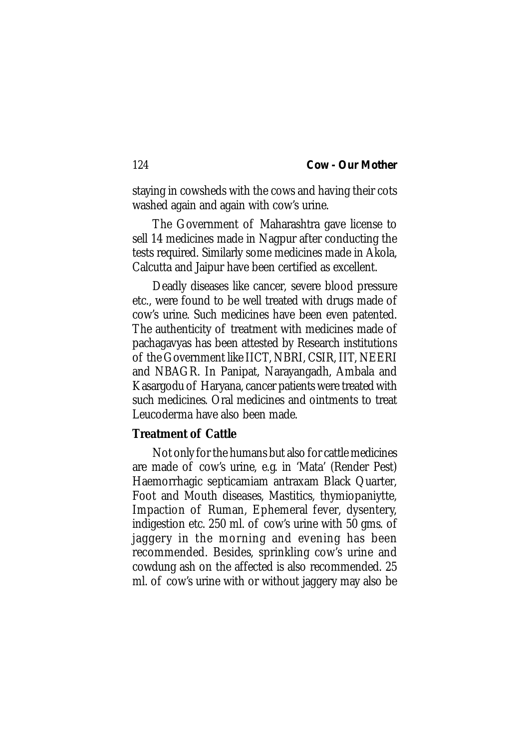staying in cowsheds with the cows and having their cots washed again and again with cow's urine.

The Government of Maharashtra gave license to sell 14 medicines made in Nagpur after conducting the tests required. Similarly some medicines made in Akola, Calcutta and Jaipur have been certified as excellent.

Deadly diseases like cancer, severe blood pressure etc., were found to be well treated with drugs made of cow's urine. Such medicines have been even patented. The authenticity of treatment with medicines made of pachagavyas has been attested by Research institutions of the Government like IICT, NBRI, CSIR, IIT, NEERI and NBAGR. In Panipat, Narayangadh, Ambala and Kasargodu of Haryana, cancer patients were treated with such medicines. Oral medicines and ointments to treat Leucoderma have also been made.

# **Treatment of Cattle**

Not only for the humans but also for cattle medicines are made of cow's urine, e.g. in 'Mata' (Render Pest) Haemorrhagic septicamiam antraxam Black Quarter, Foot and Mouth diseases, Mastitics, thymiopaniytte, Impaction of Ruman, Ephemeral fever, dysentery, indigestion etc. 250 ml. of cow's urine with 50 gms. of jaggery in the morning and evening has been recommended. Besides, sprinkling cow's urine and cowdung ash on the affected is also recommended. 25 ml. of cow's urine with or without jaggery may also be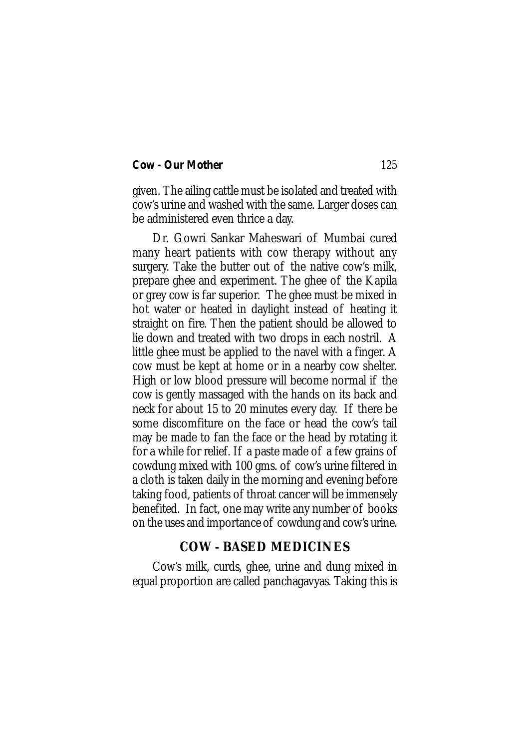given. The ailing cattle must be isolated and treated with cow's urine and washed with the same. Larger doses can be administered even thrice a day.

Dr. Gowri Sankar Maheswari of Mumbai cured many heart patients with cow therapy without any surgery. Take the butter out of the native cow's milk, prepare ghee and experiment. The ghee of the Kapila or grey cow is far superior. The ghee must be mixed in hot water or heated in daylight instead of heating it straight on fire. Then the patient should be allowed to lie down and treated with two drops in each nostril. A little ghee must be applied to the navel with a finger. A cow must be kept at home or in a nearby cow shelter. High or low blood pressure will become normal if the cow is gently massaged with the hands on its back and neck for about 15 to 20 minutes every day. If there be some discomfiture on the face or head the cow's tail may be made to fan the face or the head by rotating it for a while for relief. If a paste made of a few grains of cowdung mixed with 100 gms. of cow's urine filtered in a cloth is taken daily in the morning and evening before taking food, patients of throat cancer will be immensely benefited. In fact, one may write any number of books on the uses and importance of cowdung and cow's urine.

# **COW - BASED MEDICINES**

Cow's milk, curds, ghee, urine and dung mixed in equal proportion are called panchagavyas. Taking this is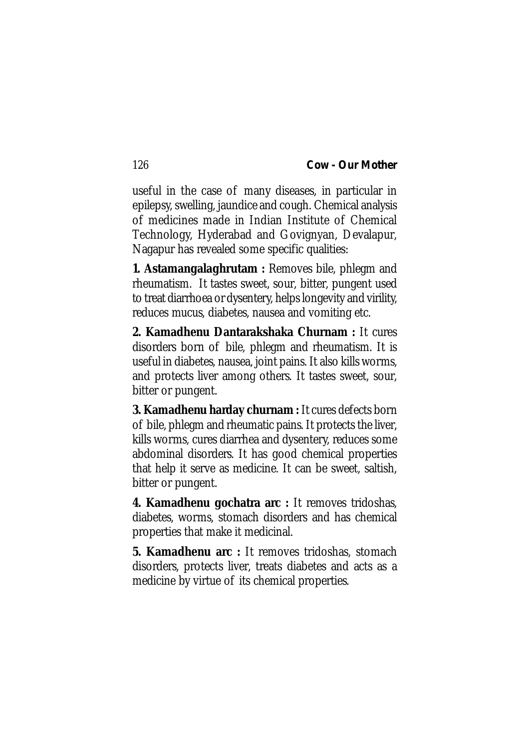useful in the case of many diseases, in particular in epilepsy, swelling, jaundice and cough. Chemical analysis of medicines made in Indian Institute of Chemical Technology, Hyderabad and Govignyan, Devalapur, Nagapur has revealed some specific qualities:

**1. Astamangalaghrutam :** Removes bile, phlegm and rheumatism. It tastes sweet, sour, bitter, pungent used to treat diarrhoea or dysentery, helps longevity and virility, reduces mucus, diabetes, nausea and vomiting etc.

**2. Kamadhenu Dantarakshaka Churnam :** It cures disorders born of bile, phlegm and rheumatism. It is useful in diabetes, nausea, joint pains. It also kills worms, and protects liver among others. It tastes sweet, sour, bitter or pungent.

**3. Kamadhenu harday churnam :** It cures defects born of bile, phlegm and rheumatic pains. It protects the liver, kills worms, cures diarrhea and dysentery, reduces some abdominal disorders. It has good chemical properties that help it serve as medicine. It can be sweet, saltish, bitter or pungent.

**4. Kamadhenu gochatra arc :** It removes tridoshas, diabetes, worms, stomach disorders and has chemical properties that make it medicinal.

**5. Kamadhenu arc :** It removes tridoshas, stomach disorders, protects liver, treats diabetes and acts as a medicine by virtue of its chemical properties.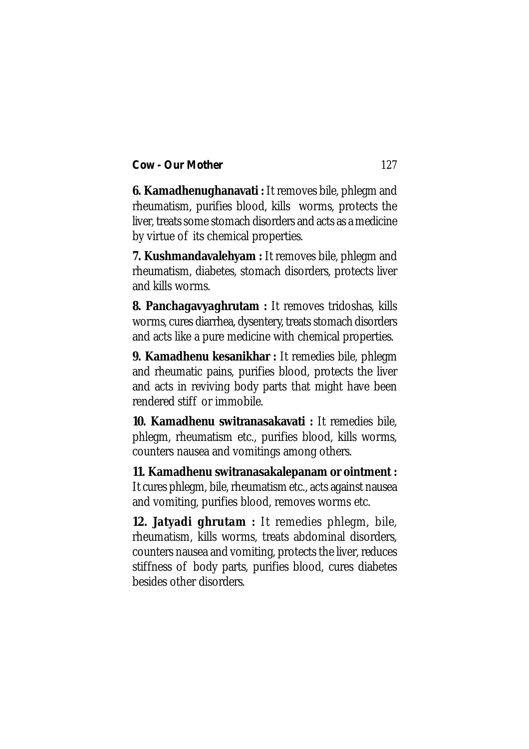**6. Kamadhenughanavati :** It removes bile, phlegm and rheumatism, purifies blood, kills worms, protects the liver, treats some stomach disorders and acts as a medicine by virtue of its chemical properties.

**7. Kushmandavalehyam :** It removes bile, phlegm and rheumatism, diabetes, stomach disorders, protects liver and kills worms.

**8. Panchagavyaghrutam :** It removes tridoshas, kills worms, cures diarrhea, dysentery, treats stomach disorders and acts like a pure medicine with chemical properties.

**9. Kamadhenu kesanikhar :** It remedies bile, phlegm and rheumatic pains, purifies blood, protects the liver and acts in reviving body parts that might have been rendered stiff or immobile.

**10. Kamadhenu switranasakavati :** It remedies bile, phlegm, rheumatism etc., purifies blood, kills worms, counters nausea and vomitings among others.

**11. Kamadhenu switranasakalepanam or ointment :** It cures phlegm, bile, rheumatism etc., acts against nausea and vomiting, purifies blood, removes worms etc.

**12. Jatyadi ghrutam :** It remedies phlegm, bile, rheumatism, kills worms, treats abdominal disorders, counters nausea and vomiting, protects the liver, reduces stiffness of body parts, purifies blood, cures diabetes besides other disorders.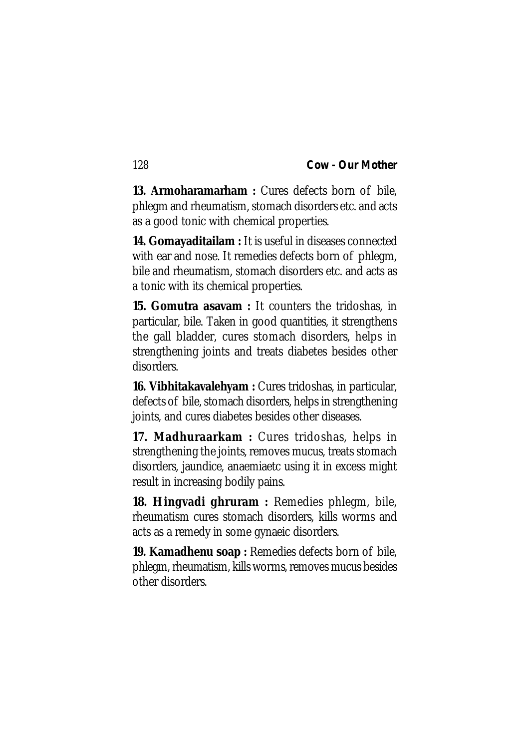**13. Armoharamarham :** Cures defects born of bile, phlegm and rheumatism, stomach disorders etc. and acts as a good tonic with chemical properties.

**14. Gomayaditailam :** It is useful in diseases connected with ear and nose. It remedies defects born of phlegm, bile and rheumatism, stomach disorders etc. and acts as a tonic with its chemical properties.

**15. Gomutra asavam :** It counters the tridoshas, in particular, bile. Taken in good quantities, it strengthens the gall bladder, cures stomach disorders, helps in strengthening joints and treats diabetes besides other disorders.

**16. Vibhitakavalehyam :** Cures tridoshas, in particular, defects of bile, stomach disorders, helps in strengthening joints, and cures diabetes besides other diseases.

**17. Madhuraarkam :** Cures tridoshas, helps in strengthening the joints, removes mucus, treats stomach disorders, jaundice, anaemiaetc using it in excess might result in increasing bodily pains.

**18. Hingvadi ghruram :** Remedies phlegm, bile, rheumatism cures stomach disorders, kills worms and acts as a remedy in some gynaeic disorders.

**19. Kamadhenu soap :** Remedies defects born of bile, phlegm, rheumatism, kills worms, removes mucus besides other disorders.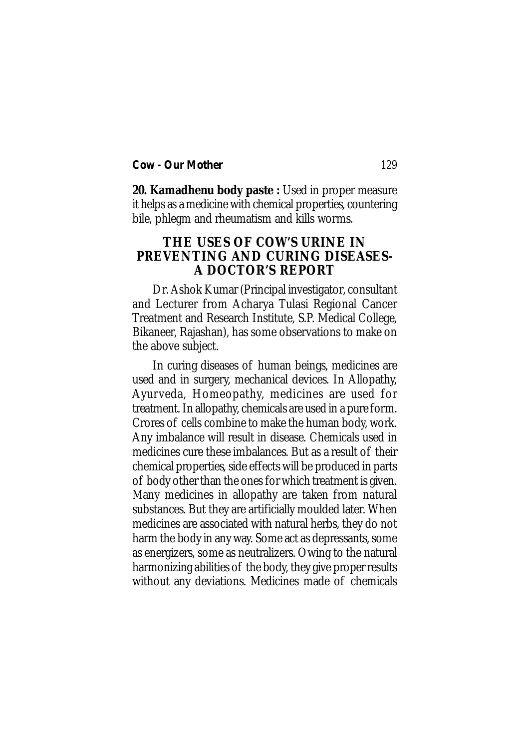**20. Kamadhenu body paste :** Used in proper measure it helps as a medicine with chemical properties, countering bile, phlegm and rheumatism and kills worms.

# **THE USES OF COW'S URINE IN PREVENTING AND CURING DISEASES-A DOCTOR'S REPORT**

Dr. Ashok Kumar (Principal investigator, consultant and Lecturer from Acharya Tulasi Regional Cancer Treatment and Research Institute, S.P. Medical College, Bikaneer, Rajashan), has some observations to make on the above subject.

In curing diseases of human beings, medicines are used and in surgery, mechanical devices. In Allopathy, Ayurveda, Homeopathy, medicines are used for treatment. In allopathy, chemicals are used in a pure form. Crores of cells combine to make the human body, work. Any imbalance will result in disease. Chemicals used in medicines cure these imbalances. But as a result of their chemical properties, side effects will be produced in parts of body other than the ones for which treatment is given. Many medicines in allopathy are taken from natural substances. But they are artificially moulded later. When medicines are associated with natural herbs, they do not harm the body in any way. Some act as depressants, some as energizers, some as neutralizers. Owing to the natural harmonizing abilities of the body, they give proper results without any deviations. Medicines made of chemicals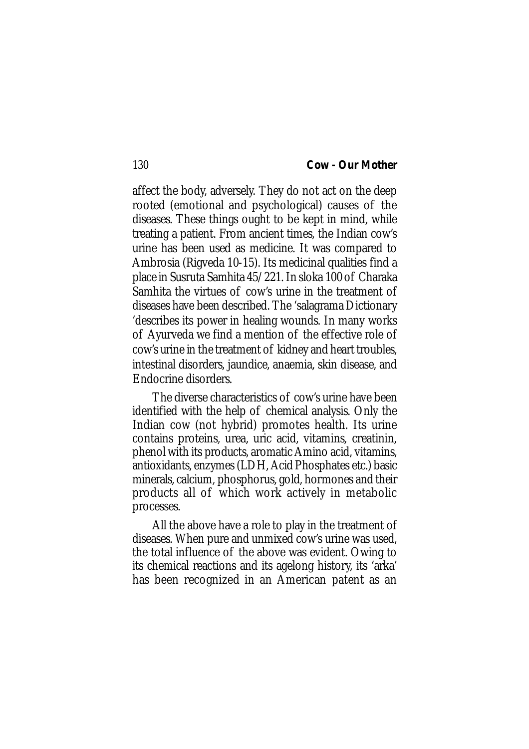affect the body, adversely. They do not act on the deep rooted (emotional and psychological) causes of the diseases. These things ought to be kept in mind, while treating a patient. From ancient times, the Indian cow's urine has been used as medicine. It was compared to Ambrosia (Rigveda 10-15). Its medicinal qualities find a place in Susruta Samhita 45/221. In sloka 100 of Charaka Samhita the virtues of cow's urine in the treatment of diseases have been described. The 'salagrama Dictionary 'describes its power in healing wounds. In many works of Ayurveda we find a mention of the effective role of cow's urine in the treatment of kidney and heart troubles, intestinal disorders, jaundice, anaemia, skin disease, and Endocrine disorders.

The diverse characteristics of cow's urine have been identified with the help of chemical analysis. Only the Indian cow (not hybrid) promotes health. Its urine contains proteins, urea, uric acid, vitamins, creatinin, phenol with its products, aromatic Amino acid, vitamins, antioxidants, enzymes (LDH, Acid Phosphates etc.) basic minerals, calcium, phosphorus, gold, hormones and their products all of which work actively in metabolic processes.

All the above have a role to play in the treatment of diseases. When pure and unmixed cow's urine was used, the total influence of the above was evident. Owing to its chemical reactions and its agelong history, its 'arka' has been recognized in an American patent as an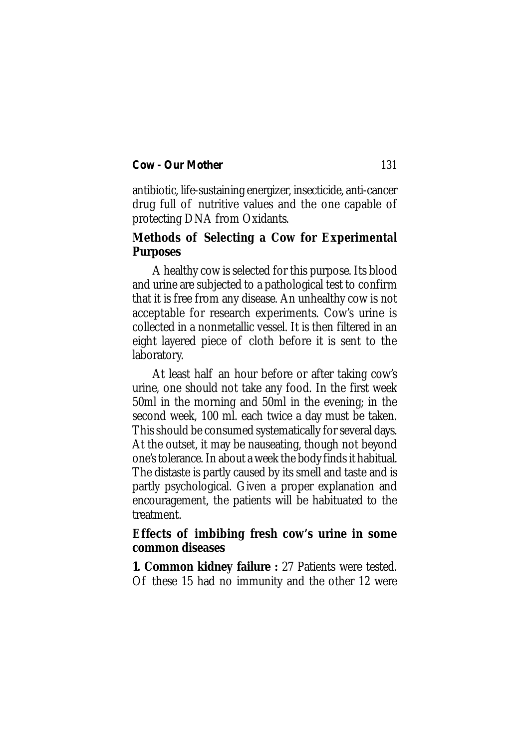antibiotic, life-sustaining energizer, insecticide, anti-cancer drug full of nutritive values and the one capable of protecting DNA from Oxidants.

# **Methods of Selecting a Cow for Experimental Purposes**

A healthy cow is selected for this purpose. Its blood and urine are subjected to a pathological test to confirm that it is free from any disease. An unhealthy cow is not acceptable for research experiments. Cow's urine is collected in a nonmetallic vessel. It is then filtered in an eight layered piece of cloth before it is sent to the laboratory.

At least half an hour before or after taking cow's urine, one should not take any food. In the first week 50ml in the morning and 50ml in the evening; in the second week, 100 ml. each twice a day must be taken. This should be consumed systematically for several days. At the outset, it may be nauseating, though not beyond one's tolerance. In about a week the body finds it habitual. The distaste is partly caused by its smell and taste and is partly psychological. Given a proper explanation and encouragement, the patients will be habituated to the treatment.

# **Effects of imbibing fresh cow's urine in some common diseases**

**1. Common kidney failure :** 27 Patients were tested. Of these 15 had no immunity and the other 12 were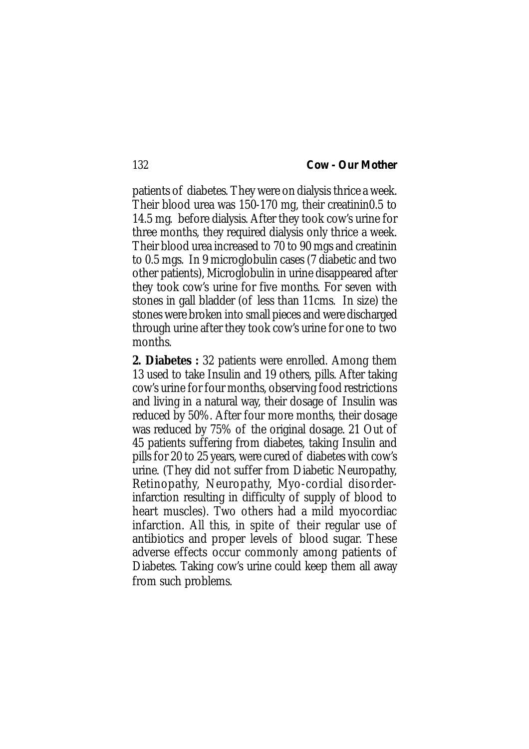patients of diabetes. They were on dialysis thrice a week. Their blood urea was 150-170 mg, their creatinin0.5 to 14.5 mg. before dialysis. After they took cow's urine for three months, they required dialysis only thrice a week. Their blood urea increased to 70 to 90 mgs and creatinin to 0.5 mgs. In 9 microglobulin cases (7 diabetic and two other patients), Microglobulin in urine disappeared after they took cow's urine for five months. For seven with stones in gall bladder (of less than 11cms. In size) the stones were broken into small pieces and were discharged through urine after they took cow's urine for one to two months.

**2. Diabetes :** 32 patients were enrolled. Among them 13 used to take Insulin and 19 others, pills. After taking cow's urine for four months, observing food restrictions and living in a natural way, their dosage of Insulin was reduced by 50%. After four more months, their dosage was reduced by 75% of the original dosage. 21 Out of 45 patients suffering from diabetes, taking Insulin and pills for 20 to 25 years, were cured of diabetes with cow's urine. (They did not suffer from Diabetic Neuropathy, Retinopathy, Neuropathy, Myo-cordial disorderinfarction resulting in difficulty of supply of blood to heart muscles). Two others had a mild myocordiac infarction. All this, in spite of their regular use of antibiotics and proper levels of blood sugar. These adverse effects occur commonly among patients of Diabetes. Taking cow's urine could keep them all away from such problems.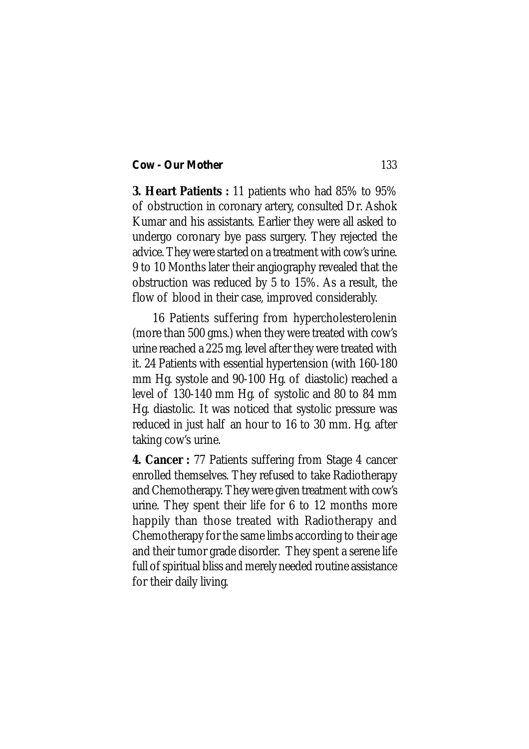**3. Heart Patients :** 11 patients who had 85% to 95% of obstruction in coronary artery, consulted Dr. Ashok Kumar and his assistants. Earlier they were all asked to undergo coronary bye pass surgery. They rejected the advice. They were started on a treatment with cow's urine. 9 to 10 Months later their angiography revealed that the obstruction was reduced by 5 to 15%. As a result, the flow of blood in their case, improved considerably.

16 Patients suffering from hypercholesterolenin (more than 500 gms.) when they were treated with cow's urine reached a 225 mg. level after they were treated with it. 24 Patients with essential hypertension (with 160-180 mm Hg. systole and 90-100 Hg. of diastolic) reached a level of 130-140 mm Hg. of systolic and 80 to 84 mm Hg. diastolic. It was noticed that systolic pressure was reduced in just half an hour to 16 to 30 mm. Hg. after taking cow's urine.

**4. Cancer :** 77 Patients suffering from Stage 4 cancer enrolled themselves. They refused to take Radiotherapy and Chemotherapy. They were given treatment with cow's urine. They spent their life for 6 to 12 months more happily than those treated with Radiotherapy and Chemotherapy for the same limbs according to their age and their tumor grade disorder. They spent a serene life full of spiritual bliss and merely needed routine assistance for their daily living.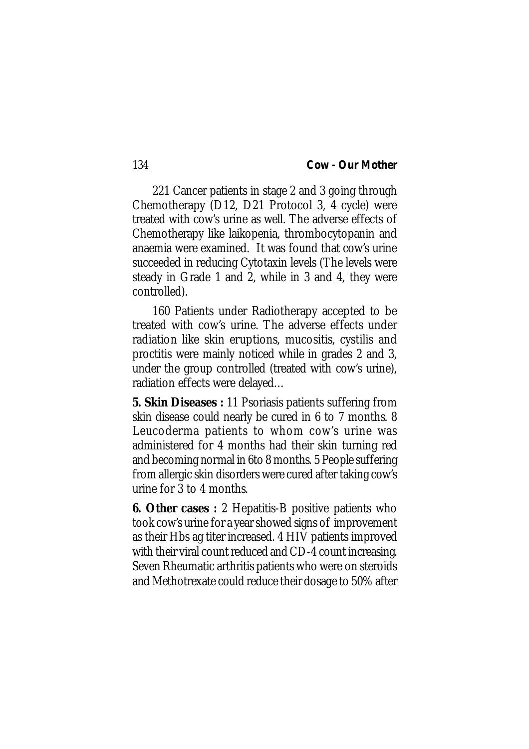221 Cancer patients in stage 2 and 3 going through Chemotherapy (D12, D21 Protocol 3, 4 cycle) were treated with cow's urine as well. The adverse effects of Chemotherapy like laikopenia, thrombocytopanin and anaemia were examined. It was found that cow's urine succeeded in reducing Cytotaxin levels (The levels were steady in Grade 1 and 2, while in 3 and 4, they were controlled).

160 Patients under Radiotherapy accepted to be treated with cow's urine. The adverse effects under radiation like skin eruptions, mucositis, cystilis and proctitis were mainly noticed while in grades 2 and 3, under the group controlled (treated with cow's urine), radiation effects were delayed…

**5. Skin Diseases :** 11 Psoriasis patients suffering from skin disease could nearly be cured in 6 to 7 months. 8 Leucoderma patients to whom cow's urine was administered for 4 months had their skin turning red and becoming normal in 6to 8 months. 5 People suffering from allergic skin disorders were cured after taking cow's urine for 3 to 4 months.

**6. Other cases :** 2 Hepatitis-B positive patients who took cow's urine for a year showed signs of improvement as their Hbs ag titer increased. 4 HIV patients improved with their viral count reduced and CD-4 count increasing. Seven Rheumatic arthritis patients who were on steroids and Methotrexate could reduce their dosage to 50% after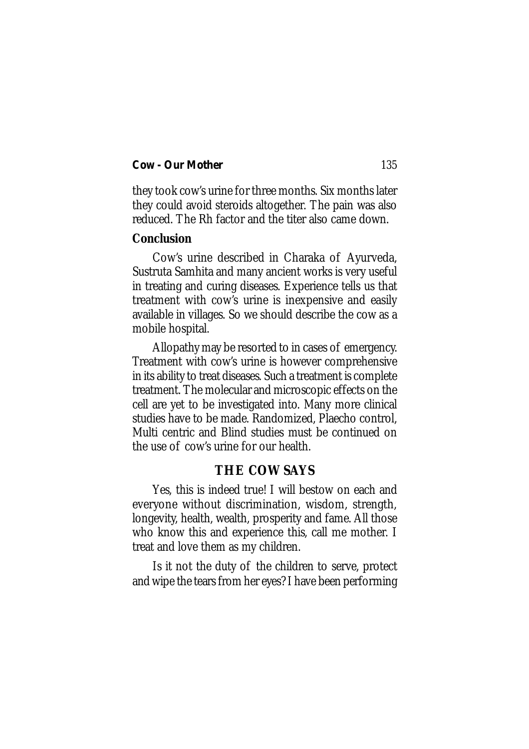they took cow's urine for three months. Six months later they could avoid steroids altogether. The pain was also reduced. The Rh factor and the titer also came down.

# **Conclusion**

Cow's urine described in Charaka of Ayurveda, Sustruta Samhita and many ancient works is very useful in treating and curing diseases. Experience tells us that treatment with cow's urine is inexpensive and easily available in villages. So we should describe the cow as a mobile hospital.

Allopathy may be resorted to in cases of emergency. Treatment with cow's urine is however comprehensive in its ability to treat diseases. Such a treatment is complete treatment. The molecular and microscopic effects on the cell are yet to be investigated into. Many more clinical studies have to be made. Randomized, Plaecho control, Multi centric and Blind studies must be continued on the use of cow's urine for our health.

# **THE COW SAYS**

Yes, this is indeed true! I will bestow on each and everyone without discrimination, wisdom, strength, longevity, health, wealth, prosperity and fame. All those who know this and experience this, call me mother. I treat and love them as my children.

Is it not the duty of the children to serve, protect and wipe the tears from her eyes? I have been performing